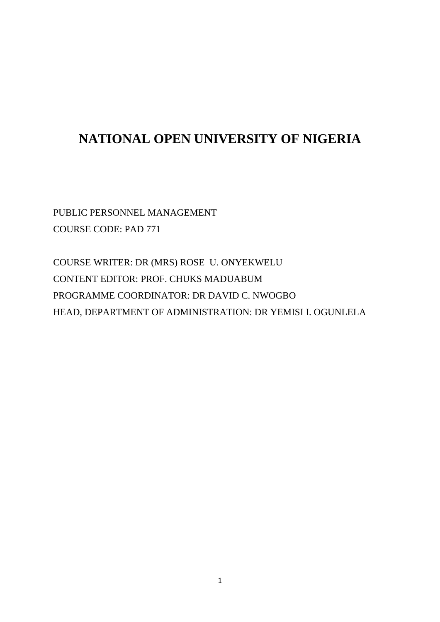# **NATIONAL OPEN UNIVERSITY OF NIGERIA**

PUBLIC PERSONNEL MANAGEMENT COURSE CODE: PAD 771

COURSE WRITER: DR (MRS) ROSE U. ONYEKWELU CONTENT EDITOR: PROF. CHUKS MADUABUM PROGRAMME COORDINATOR: DR DAVID C. NWOGBO HEAD, DEPARTMENT OF ADMINISTRATION: DR YEMISI I. OGUNLELA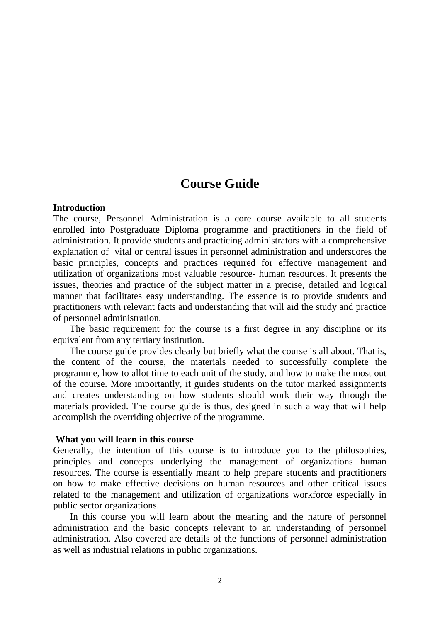# **Course Guide**

#### **Introduction**

The course, Personnel Administration is a core course available to all students enrolled into Postgraduate Diploma programme and practitioners in the field of administration. It provide students and practicing administrators with a comprehensive explanation of vital or central issues in personnel administration and underscores the basic principles, concepts and practices required for effective management and utilization of organizations most valuable resource- human resources. It presents the issues, theories and practice of the subject matter in a precise, detailed and logical manner that facilitates easy understanding. The essence is to provide students and practitioners with relevant facts and understanding that will aid the study and practice of personnel administration.

 The basic requirement for the course is a first degree in any discipline or its equivalent from any tertiary institution.

 The course guide provides clearly but briefly what the course is all about. That is, the content of the course, the materials needed to successfully complete the programme, how to allot time to each unit of the study, and how to make the most out of the course. More importantly, it guides students on the tutor marked assignments and creates understanding on how students should work their way through the materials provided. The course guide is thus, designed in such a way that will help accomplish the overriding objective of the programme.

#### **What you will learn in this course**

Generally, the intention of this course is to introduce you to the philosophies, principles and concepts underlying the management of organizations human resources. The course is essentially meant to help prepare students and practitioners on how to make effective decisions on human resources and other critical issues related to the management and utilization of organizations workforce especially in public sector organizations.

 In this course you will learn about the meaning and the nature of personnel administration and the basic concepts relevant to an understanding of personnel administration. Also covered are details of the functions of personnel administration as well as industrial relations in public organizations.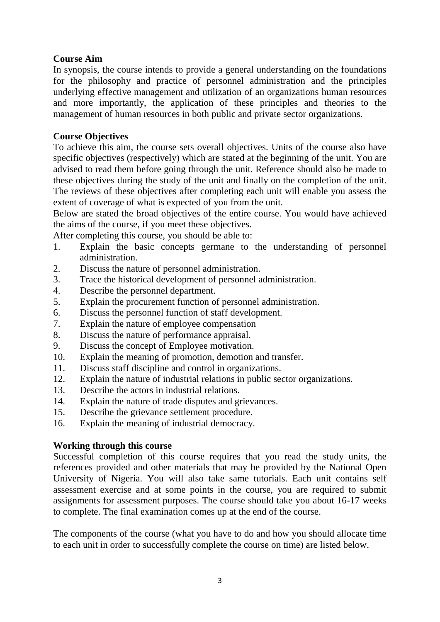# **Course Aim**

In synopsis, the course intends to provide a general understanding on the foundations for the philosophy and practice of personnel administration and the principles underlying effective management and utilization of an organizations human resources and more importantly, the application of these principles and theories to the management of human resources in both public and private sector organizations.

#### **Course Objectives**

To achieve this aim, the course sets overall objectives. Units of the course also have specific objectives (respectively) which are stated at the beginning of the unit. You are advised to read them before going through the unit. Reference should also be made to these objectives during the study of the unit and finally on the completion of the unit. The reviews of these objectives after completing each unit will enable you assess the extent of coverage of what is expected of you from the unit.

Below are stated the broad objectives of the entire course. You would have achieved the aims of the course, if you meet these objectives.

After completing this course, you should be able to:

- 1. Explain the basic concepts germane to the understanding of personnel administration.
- 2. Discuss the nature of personnel administration.
- 3. Trace the historical development of personnel administration.
- 4. Describe the personnel department.
- 5. Explain the procurement function of personnel administration.
- 6. Discuss the personnel function of staff development.
- 7. Explain the nature of employee compensation
- 8. Discuss the nature of performance appraisal.
- 9. Discuss the concept of Employee motivation.
- 10. Explain the meaning of promotion, demotion and transfer.
- 11. Discuss staff discipline and control in organizations.
- 12. Explain the nature of industrial relations in public sector organizations.
- 13. Describe the actors in industrial relations.
- 14. Explain the nature of trade disputes and grievances.
- 15. Describe the grievance settlement procedure.
- 16. Explain the meaning of industrial democracy.

# **Working through this course**

Successful completion of this course requires that you read the study units, the references provided and other materials that may be provided by the National Open University of Nigeria. You will also take same tutorials. Each unit contains self assessment exercise and at some points in the course, you are required to submit assignments for assessment purposes. The course should take you about 16-17 weeks to complete. The final examination comes up at the end of the course.

The components of the course (what you have to do and how you should allocate time to each unit in order to successfully complete the course on time) are listed below.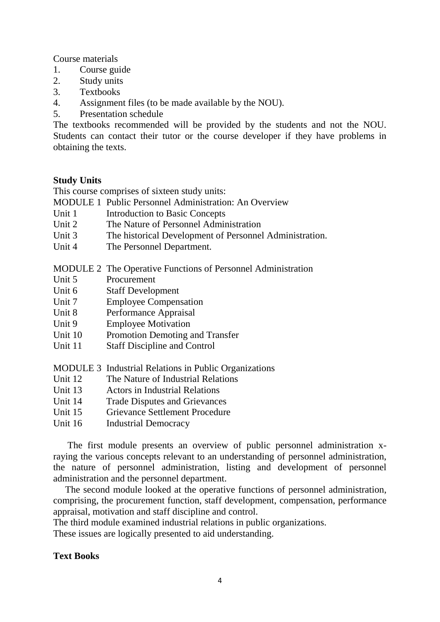Course materials

- 1. Course guide
- 2. Study units
- 3. Textbooks
- 4. Assignment files (to be made available by the NOU).
- 5. Presentation schedule

The textbooks recommended will be provided by the students and not the NOU. Students can contact their tutor or the course developer if they have problems in obtaining the texts.

#### **Study Units**

This course comprises of sixteen study units:

MODULE 1 Public Personnel Administration: An Overview

- Unit 1 Introduction to Basic Concepts
- Unit 2 The Nature of Personnel Administration
- Unit 3 The historical Development of Personnel Administration.
- Unit 4 The Personnel Department.

MODULE 2 The Operative Functions of Personnel Administration

- Unit 5 Procurement
- Unit 6 Staff Development
- Unit 7 Employee Compensation
- Unit 8 Performance Appraisal
- Unit 9 Employee Motivation
- Unit 10 Promotion Demoting and Transfer
- Unit 11 Staff Discipline and Control
- MODULE 3 Industrial Relations in Public Organizations
- Unit 12 The Nature of Industrial Relations
- Unit 13 Actors in Industrial Relations
- Unit 14 Trade Disputes and Grievances
- Unit 15 Grievance Settlement Procedure
- Unit 16 Industrial Democracy

 The first module presents an overview of public personnel administration xraying the various concepts relevant to an understanding of personnel administration, the nature of personnel administration, listing and development of personnel administration and the personnel department.

 The second module looked at the operative functions of personnel administration, comprising, the procurement function, staff development, compensation, performance appraisal, motivation and staff discipline and control.

The third module examined industrial relations in public organizations.

These issues are logically presented to aid understanding.

#### **Text Books**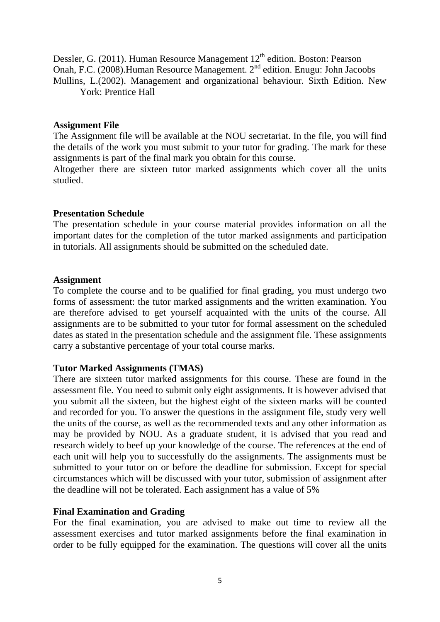Dessler, G. (2011). Human Resource Management 12<sup>th</sup> edition. Boston: Pearson Onah, F.C. (2008).Human Resource Management. 2<sup>nd</sup> edition. Enugu: John Jacoobs Mullins, L.(2002). Management and organizational behaviour. Sixth Edition. New York: Prentice Hall

#### **Assignment File**

The Assignment file will be available at the NOU secretariat. In the file, you will find the details of the work you must submit to your tutor for grading. The mark for these assignments is part of the final mark you obtain for this course.

Altogether there are sixteen tutor marked assignments which cover all the units studied.

#### **Presentation Schedule**

The presentation schedule in your course material provides information on all the important dates for the completion of the tutor marked assignments and participation in tutorials. All assignments should be submitted on the scheduled date.

#### **Assignment**

To complete the course and to be qualified for final grading, you must undergo two forms of assessment: the tutor marked assignments and the written examination. You are therefore advised to get yourself acquainted with the units of the course. All assignments are to be submitted to your tutor for formal assessment on the scheduled dates as stated in the presentation schedule and the assignment file. These assignments carry a substantive percentage of your total course marks.

#### **Tutor Marked Assignments (TMAS)**

There are sixteen tutor marked assignments for this course. These are found in the assessment file. You need to submit only eight assignments. It is however advised that you submit all the sixteen, but the highest eight of the sixteen marks will be counted and recorded for you. To answer the questions in the assignment file, study very well the units of the course, as well as the recommended texts and any other information as may be provided by NOU. As a graduate student, it is advised that you read and research widely to beef up your knowledge of the course. The references at the end of each unit will help you to successfully do the assignments. The assignments must be submitted to your tutor on or before the deadline for submission. Except for special circumstances which will be discussed with your tutor, submission of assignment after the deadline will not be tolerated. Each assignment has a value of 5%

#### **Final Examination and Grading**

For the final examination, you are advised to make out time to review all the assessment exercises and tutor marked assignments before the final examination in order to be fully equipped for the examination. The questions will cover all the units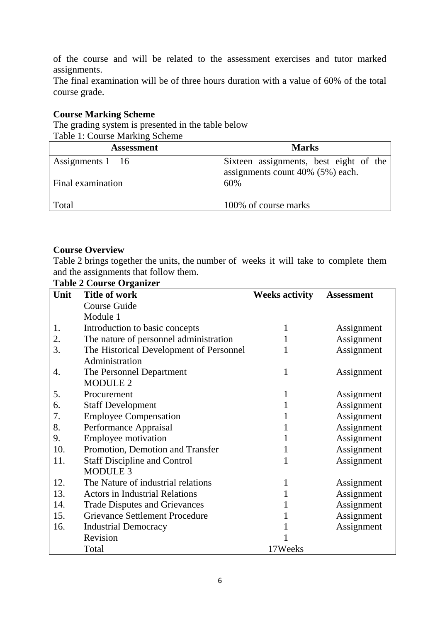of the course and will be related to the assessment exercises and tutor marked assignments.

The final examination will be of three hours duration with a value of 60% of the total course grade.

# **Course Marking Scheme**

The grading system is presented in the table below Table 1: Course Marking Scheme

| <b>Assessment</b>    | <b>Marks</b>                            |  |  |
|----------------------|-----------------------------------------|--|--|
| Assignments $1 - 16$ | Sixteen assignments, best eight of the  |  |  |
| Final examination    | assignments count 40% (5%) each.<br>60% |  |  |
| Total                | 100% of course marks                    |  |  |

#### **Course Overview**

Table 2 brings together the units, the number of weeks it will take to complete them and the assignments that follow them. **Table 2 Course Organizer**

| Unit | radit 2 Courst Organizer<br><b>Title of work</b> | <b>Weeks activity</b> | <b>Assessment</b> |
|------|--------------------------------------------------|-----------------------|-------------------|
|      | <b>Course Guide</b>                              |                       |                   |
|      | Module 1                                         |                       |                   |
| 1.   | Introduction to basic concepts                   |                       | Assignment        |
| 2.   | The nature of personnel administration           |                       | Assignment        |
| 3.   | The Historical Development of Personnel          |                       | Assignment        |
|      | Administration                                   |                       |                   |
| 4.   | The Personnel Department                         | 1                     | Assignment        |
|      | <b>MODULE 2</b>                                  |                       |                   |
| 5.   | Procurement                                      |                       | Assignment        |
| 6.   | <b>Staff Development</b>                         |                       | Assignment        |
| 7.   | <b>Employee Compensation</b>                     |                       | Assignment        |
| 8.   | Performance Appraisal                            |                       | Assignment        |
| 9.   | <b>Employee motivation</b>                       |                       | Assignment        |
| 10.  | Promotion, Demotion and Transfer                 |                       | Assignment        |
| 11.  | <b>Staff Discipline and Control</b>              |                       | Assignment        |
|      | <b>MODULE 3</b>                                  |                       |                   |
| 12.  | The Nature of industrial relations               |                       | Assignment        |
| 13.  | <b>Actors in Industrial Relations</b>            |                       | Assignment        |
| 14.  | <b>Trade Disputes and Grievances</b>             |                       | Assignment        |
| 15.  | <b>Grievance Settlement Procedure</b>            |                       | Assignment        |
| 16.  | <b>Industrial Democracy</b>                      |                       | Assignment        |
|      | Revision                                         |                       |                   |
|      | Total                                            | 17Weeks               |                   |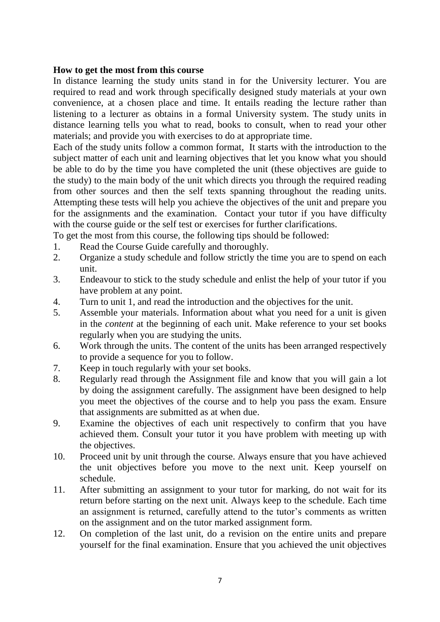#### **How to get the most from this course**

In distance learning the study units stand in for the University lecturer. You are required to read and work through specifically designed study materials at your own convenience, at a chosen place and time. It entails reading the lecture rather than listening to a lecturer as obtains in a formal University system. The study units in distance learning tells you what to read, books to consult, when to read your other materials; and provide you with exercises to do at appropriate time.

Each of the study units follow a common format, It starts with the introduction to the subject matter of each unit and learning objectives that let you know what you should be able to do by the time you have completed the unit (these objectives are guide to the study) to the main body of the unit which directs you through the required reading from other sources and then the self texts spanning throughout the reading units. Attempting these tests will help you achieve the objectives of the unit and prepare you for the assignments and the examination. Contact your tutor if you have difficulty with the course guide or the self test or exercises for further clarifications.

To get the most from this course, the following tips should be followed:

- 1. Read the Course Guide carefully and thoroughly.
- 2. Organize a study schedule and follow strictly the time you are to spend on each unit.
- 3. Endeavour to stick to the study schedule and enlist the help of your tutor if you have problem at any point.
- 4. Turn to unit 1, and read the introduction and the objectives for the unit.
- 5. Assemble your materials. Information about what you need for a unit is given in the *content* at the beginning of each unit. Make reference to your set books regularly when you are studying the units.
- 6. Work through the units. The content of the units has been arranged respectively to provide a sequence for you to follow.
- 7. Keep in touch regularly with your set books.
- 8. Regularly read through the Assignment file and know that you will gain a lot by doing the assignment carefully. The assignment have been designed to help you meet the objectives of the course and to help you pass the exam. Ensure that assignments are submitted as at when due.
- 9. Examine the objectives of each unit respectively to confirm that you have achieved them. Consult your tutor it you have problem with meeting up with the objectives.
- 10. Proceed unit by unit through the course. Always ensure that you have achieved the unit objectives before you move to the next unit. Keep yourself on schedule.
- 11. After submitting an assignment to your tutor for marking, do not wait for its return before starting on the next unit. Always keep to the schedule. Each time an assignment is returned, carefully attend to the tutor's comments as written on the assignment and on the tutor marked assignment form.
- 12. On completion of the last unit, do a revision on the entire units and prepare yourself for the final examination. Ensure that you achieved the unit objectives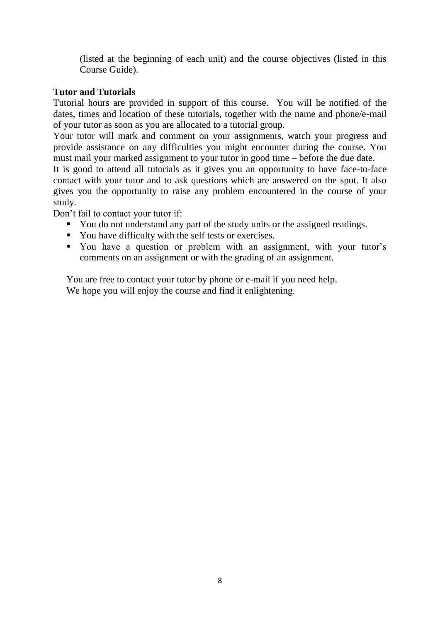(listed at the beginning of each unit) and the course objectives (listed in this Course Guide).

# **Tutor and Tutorials**

Tutorial hours are provided in support of this course. You will be notified of the dates, times and location of these tutorials, together with the name and phone/e-mail of your tutor as soon as you are allocated to a tutorial group.

Your tutor will mark and comment on your assignments, watch your progress and provide assistance on any difficulties you might encounter during the course. You must mail your marked assignment to your tutor in good time – before the due date.

It is good to attend all tutorials as it gives you an opportunity to have face-to-face contact with your tutor and to ask questions which are answered on the spot. It also gives you the opportunity to raise any problem encountered in the course of your study.

Don't fail to contact your tutor if:

- You do not understand any part of the study units or the assigned readings.
- You have difficulty with the self tests or exercises.
- You have a question or problem with an assignment, with your tutor's comments on an assignment or with the grading of an assignment.

You are free to contact your tutor by phone or e-mail if you need help. We hope you will enjoy the course and find it enlightening.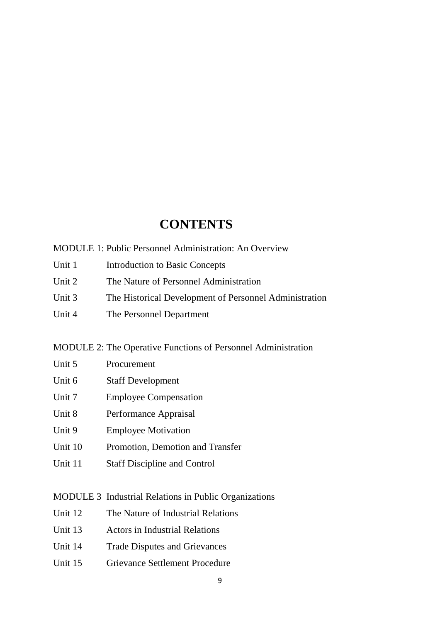# **CONTENTS**

MODULE 1: Public Personnel Administration: An Overview

- Unit 1 Introduction to Basic Concepts
- Unit 2 The Nature of Personnel Administration
- Unit 3 The Historical Development of Personnel Administration
- Unit 4 The Personnel Department

MODULE 2: The Operative Functions of Personnel Administration

- Unit 6 Staff Development
- Unit 7 Employee Compensation
- Unit 8 Performance Appraisal
- Unit 9 Employee Motivation
- Unit 10 Promotion, Demotion and Transfer
- Unit 11 Staff Discipline and Control

MODULE 3 Industrial Relations in Public Organizations

- Unit 12 The Nature of Industrial Relations
- Unit 13 Actors in Industrial Relations
- Unit 14 Trade Disputes and Grievances
- Unit 15 Grievance Settlement Procedure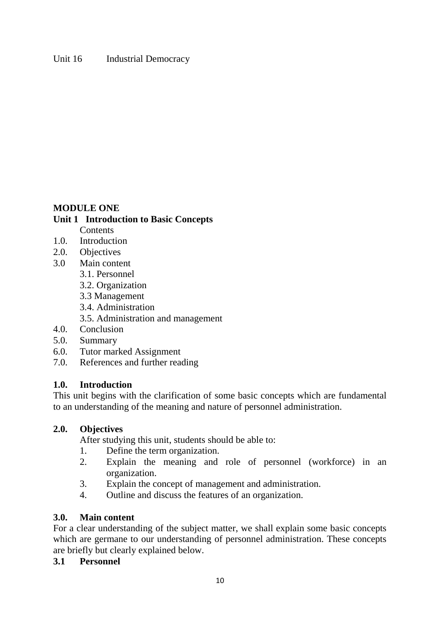# **MODULE ONE**

#### **Unit 1 Introduction to Basic Concepts Contents**

- 1.0. Introduction
- 2.0. Objectives
- 3.0 Main content
	- 3.1. Personnel
	- 3.2. Organization
	- 3.3 Management
	- 3.4. Administration
	- 3.5. Administration and management
- 4.0. Conclusion
- 5.0. Summary
- 6.0. Tutor marked Assignment
- 7.0. References and further reading

# **1.0. Introduction**

This unit begins with the clarification of some basic concepts which are fundamental to an understanding of the meaning and nature of personnel administration.

#### **2.0. Objectives**

After studying this unit, students should be able to:

- 1. Define the term organization.
- 2. Explain the meaning and role of personnel (workforce) in an organization.
- 3. Explain the concept of management and administration.
- 4. Outline and discuss the features of an organization.

#### **3.0. Main content**

For a clear understanding of the subject matter, we shall explain some basic concepts which are germane to our understanding of personnel administration. These concepts are briefly but clearly explained below.

# **3.1 Personnel**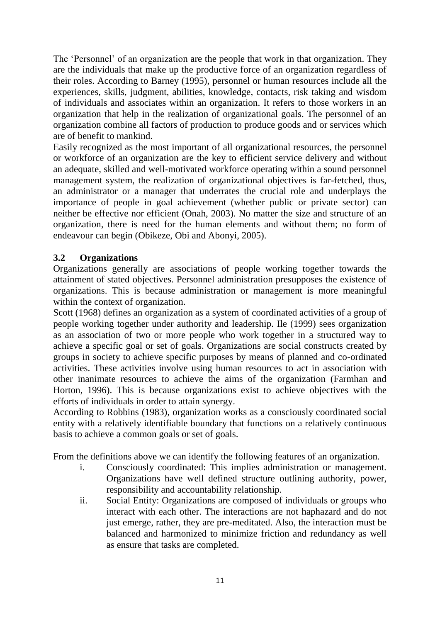The 'Personnel' of an organization are the people that work in that organization. They are the individuals that make up the productive force of an organization regardless of their roles. According to Barney (1995), personnel or human resources include all the experiences, skills, judgment, abilities, knowledge, contacts, risk taking and wisdom of individuals and associates within an organization. It refers to those workers in an organization that help in the realization of organizational goals. The personnel of an organization combine all factors of production to produce goods and or services which are of benefit to mankind.

Easily recognized as the most important of all organizational resources, the personnel or workforce of an organization are the key to efficient service delivery and without an adequate, skilled and well-motivated workforce operating within a sound personnel management system, the realization of organizational objectives is far-fetched, thus, an administrator or a manager that underrates the crucial role and underplays the importance of people in goal achievement (whether public or private sector) can neither be effective nor efficient (Onah, 2003). No matter the size and structure of an organization, there is need for the human elements and without them; no form of endeavour can begin (Obikeze, Obi and Abonyi, 2005).

# **3.2 Organizations**

Organizations generally are associations of people working together towards the attainment of stated objectives. Personnel administration presupposes the existence of organizations. This is because administration or management is more meaningful within the context of organization.

Scott (1968) defines an organization as a system of coordinated activities of a group of people working together under authority and leadership. Ile (1999) sees organization as an association of two or more people who work together in a structured way to achieve a specific goal or set of goals. Organizations are social constructs created by groups in society to achieve specific purposes by means of planned and co-ordinated activities. These activities involve using human resources to act in association with other inanimate resources to achieve the aims of the organization (Farmhan and Horton, 1996). This is because organizations exist to achieve objectives with the efforts of individuals in order to attain synergy.

According to Robbins (1983), organization works as a consciously coordinated social entity with a relatively identifiable boundary that functions on a relatively continuous basis to achieve a common goals or set of goals.

From the definitions above we can identify the following features of an organization.

- i. Consciously coordinated: This implies administration or management. Organizations have well defined structure outlining authority, power, responsibility and accountability relationship.
- ii. Social Entity: Organizations are composed of individuals or groups who interact with each other. The interactions are not haphazard and do not just emerge, rather, they are pre-meditated. Also, the interaction must be balanced and harmonized to minimize friction and redundancy as well as ensure that tasks are completed.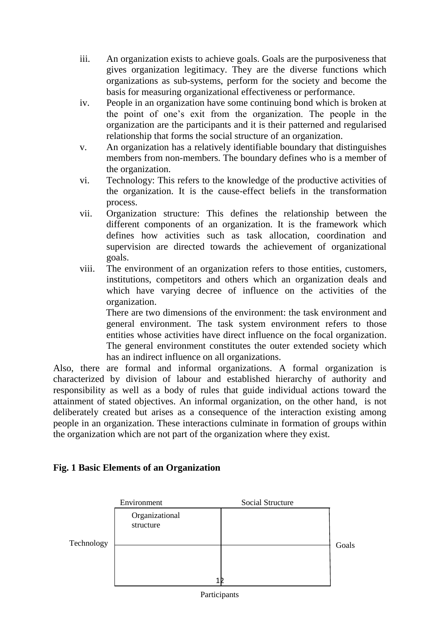- iii. An organization exists to achieve goals. Goals are the purposiveness that gives organization legitimacy. They are the diverse functions which organizations as sub-systems, perform for the society and become the basis for measuring organizational effectiveness or performance.
- iv. People in an organization have some continuing bond which is broken at the point of one's exit from the organization. The people in the organization are the participants and it is their patterned and regularised relationship that forms the social structure of an organization.
- v. An organization has a relatively identifiable boundary that distinguishes members from non-members. The boundary defines who is a member of the organization.
- vi. Technology: This refers to the knowledge of the productive activities of the organization. It is the cause-effect beliefs in the transformation process.
- vii. Organization structure: This defines the relationship between the different components of an organization. It is the framework which defines how activities such as task allocation, coordination and supervision are directed towards the achievement of organizational goals.
- viii. The environment of an organization refers to those entities, customers, institutions, competitors and others which an organization deals and which have varying decree of influence on the activities of the organization.

 There are two dimensions of the environment: the task environment and general environment. The task system environment refers to those entities whose activities have direct influence on the focal organization. The general environment constitutes the outer extended society which has an indirect influence on all organizations.

Also, there are formal and informal organizations. A formal organization is characterized by division of labour and established hierarchy of authority and responsibility as well as a body of rules that guide individual actions toward the attainment of stated objectives. An informal organization, on the other hand, is not deliberately created but arises as a consequence of the interaction existing among people in an organization. These interactions culminate in formation of groups within the organization which are not part of the organization where they exist.

# **Fig. 1 Basic Elements of an Organization**



Participants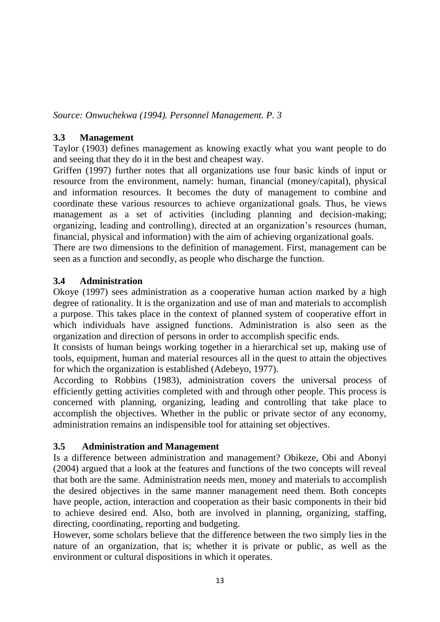*Source: Onwuchekwa (1994). Personnel Management. P. 3*

# **3.3 Management**

Taylor (1903) defines management as knowing exactly what you want people to do and seeing that they do it in the best and cheapest way.

Griffen (1997) further notes that all organizations use four basic kinds of input or resource from the environment, namely: human, financial (money/capital), physical and information resources. It becomes the duty of management to combine and coordinate these various resources to achieve organizational goals. Thus, he views management as a set of activities (including planning and decision-making; organizing, leading and controlling), directed at an organization's resources (human, financial, physical and information) with the aim of achieving organizational goals.

There are two dimensions to the definition of management. First, management can be seen as a function and secondly, as people who discharge the function.

# **3.4 Administration**

Okoye (1997) sees administration as a cooperative human action marked by a high degree of rationality. It is the organization and use of man and materials to accomplish a purpose. This takes place in the context of planned system of cooperative effort in which individuals have assigned functions. Administration is also seen as the organization and direction of persons in order to accomplish specific ends.

It consists of human beings working together in a hierarchical set up, making use of tools, equipment, human and material resources all in the quest to attain the objectives for which the organization is established (Adebeyo, 1977).

According to Robbins (1983), administration covers the universal process of efficiently getting activities completed with and through other people. This process is concerned with planning, organizing, leading and controlling that take place to accomplish the objectives. Whether in the public or private sector of any economy, administration remains an indispensible tool for attaining set objectives.

# **3.5 Administration and Management**

Is a difference between administration and management? Obikeze, Obi and Abonyi (2004) argued that a look at the features and functions of the two concepts will reveal that both are the same. Administration needs men, money and materials to accomplish the desired objectives in the same manner management need them. Both concepts have people, action, interaction and cooperation as their basic components in their bid to achieve desired end. Also, both are involved in planning, organizing, staffing, directing, coordinating, reporting and budgeting.

However, some scholars believe that the difference between the two simply lies in the nature of an organization, that is; whether it is private or public, as well as the environment or cultural dispositions in which it operates.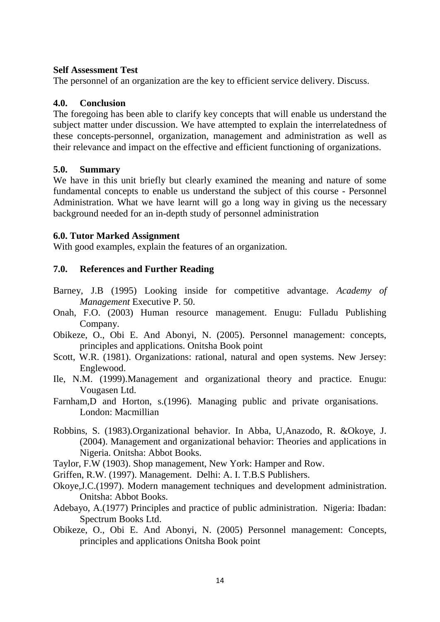#### **Self Assessment Test**

The personnel of an organization are the key to efficient service delivery. Discuss.

# **4.0. Conclusion**

The foregoing has been able to clarify key concepts that will enable us understand the subject matter under discussion. We have attempted to explain the interrelatedness of these concepts-personnel, organization, management and administration as well as their relevance and impact on the effective and efficient functioning of organizations.

# **5.0. Summary**

We have in this unit briefly but clearly examined the meaning and nature of some fundamental concepts to enable us understand the subject of this course - Personnel Administration. What we have learnt will go a long way in giving us the necessary background needed for an in-depth study of personnel administration

# **6.0. Tutor Marked Assignment**

With good examples, explain the features of an organization.

# **7.0. References and Further Reading**

- Barney, J.B (1995) Looking inside for competitive advantage. *Academy of Management* Executive P. 50.
- Onah, F.O. (2003) Human resource management. Enugu: Fulladu Publishing Company.
- Obikeze, O., Obi E. And Abonyi, N. (2005). Personnel management: concepts, principles and applications. Onitsha Book point
- Scott, W.R. (1981). Organizations: rational, natural and open systems. New Jersey: Englewood.
- Ile, N.M. (1999).Management and organizational theory and practice. Enugu: Vougasen Ltd.
- Farnham,D and Horton, s.(1996). Managing public and private organisations. London: Macmillian
- Robbins, S. (1983).Organizational behavior. In Abba, U,Anazodo, R. &Okoye, J. (2004). Management and organizational behavior: Theories and applications in Nigeria. Onitsha: Abbot Books.
- Taylor, F.W (1903). Shop management, New York: Hamper and Row.

Griffen, R.W. (1997). Management. Delhi: A. I. T.B.S Publishers.

- Okoye,J.C.(1997). Modern management techniques and development administration. Onitsha: Abbot Books.
- Adebayo, A.(1977) Principles and practice of public administration. Nigeria: Ibadan: Spectrum Books Ltd.
- Obikeze, O., Obi E. And Abonyi, N. (2005) Personnel management: Concepts, principles and applications Onitsha Book point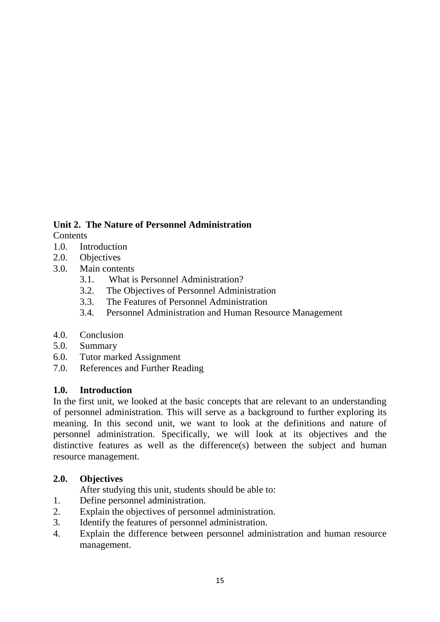# **Unit 2. The Nature of Personnel Administration**

**Contents** 

- 1.0. Introduction
- 2.0. Objectives
- 3.0. Main contents
	- 3.1. What is Personnel Administration?
	- 3.2. The Objectives of Personnel Administration
	- 3.3. The Features of Personnel Administration
	- 3.4. Personnel Administration and Human Resource Management
- 4.0. Conclusion
- 5.0. Summary
- 6.0. Tutor marked Assignment
- 7.0. References and Further Reading

# **1.0. Introduction**

In the first unit, we looked at the basic concepts that are relevant to an understanding of personnel administration. This will serve as a background to further exploring its meaning. In this second unit, we want to look at the definitions and nature of personnel administration. Specifically, we will look at its objectives and the distinctive features as well as the difference(s) between the subject and human resource management.

# **2.0. Objectives**

After studying this unit, students should be able to:

- 1. Define personnel administration.
- 2. Explain the objectives of personnel administration.
- 3. Identify the features of personnel administration.
- 4. Explain the difference between personnel administration and human resource management.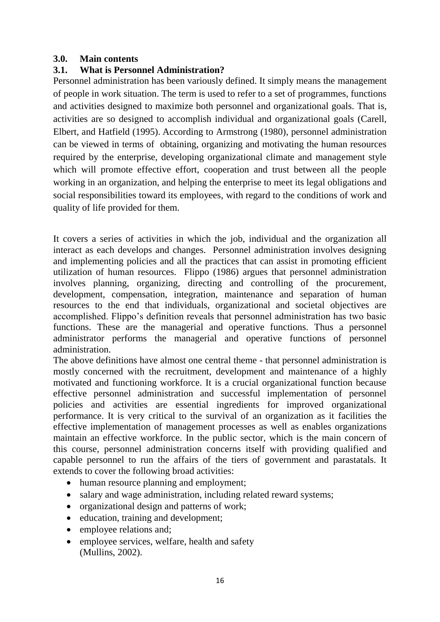#### **3.0. Main contents**

# **3.1. What is Personnel Administration?**

Personnel administration has been variously defined. It simply means the management of people in work situation. The term is used to refer to a set of programmes, functions and activities designed to maximize both personnel and organizational goals. That is, activities are so designed to accomplish individual and organizational goals (Carell, Elbert, and Hatfield (1995). According to Armstrong (1980), personnel administration can be viewed in terms of obtaining, organizing and motivating the human resources required by the enterprise, developing organizational climate and management style which will promote effective effort, cooperation and trust between all the people working in an organization, and helping the enterprise to meet its legal obligations and social responsibilities toward its employees, with regard to the conditions of work and quality of life provided for them.

It covers a series of activities in which the job, individual and the organization all interact as each develops and changes. Personnel administration involves designing and implementing policies and all the practices that can assist in promoting efficient utilization of human resources. Flippo (1986) argues that personnel administration involves planning, organizing, directing and controlling of the procurement, development, compensation, integration, maintenance and separation of human resources to the end that individuals, organizational and societal objectives are accomplished. Flippo's definition reveals that personnel administration has two basic functions. These are the managerial and operative functions. Thus a personnel administrator performs the managerial and operative functions of personnel administration.

The above definitions have almost one central theme - that personnel administration is mostly concerned with the recruitment, development and maintenance of a highly motivated and functioning workforce. It is a crucial organizational function because effective personnel administration and successful implementation of personnel policies and activities are essential ingredients for improved organizational performance. It is very critical to the survival of an organization as it facilities the effective implementation of management processes as well as enables organizations maintain an effective workforce. In the public sector, which is the main concern of this course, personnel administration concerns itself with providing qualified and capable personnel to run the affairs of the tiers of government and parastatals. It extends to cover the following broad activities:

- human resource planning and employment:
- salary and wage administration, including related reward systems;
- organizational design and patterns of work;
- education, training and development;
- employee relations and;
- employee services, welfare, health and safety (Mullins, 2002).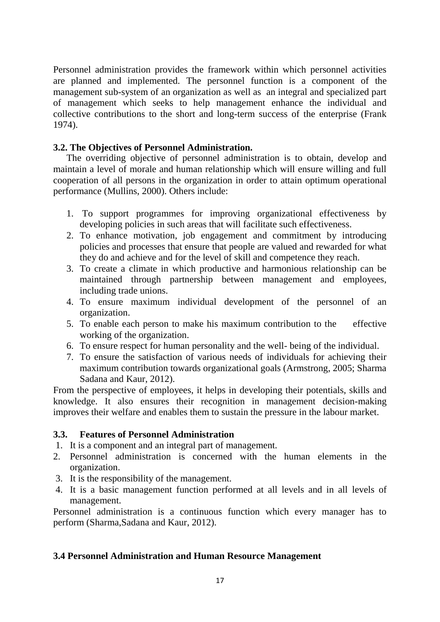Personnel administration provides the framework within which personnel activities are planned and implemented. The personnel function is a component of the management sub-system of an organization as well as an integral and specialized part of management which seeks to help management enhance the individual and collective contributions to the short and long-term success of the enterprise (Frank 1974).

# **3.2. The Objectives of Personnel Administration.**

The overriding objective of personnel administration is to obtain, develop and maintain a level of morale and human relationship which will ensure willing and full cooperation of all persons in the organization in order to attain optimum operational performance (Mullins, 2000). Others include:

- 1. To support programmes for improving organizational effectiveness by developing policies in such areas that will facilitate such effectiveness.
- 2. To enhance motivation, job engagement and commitment by introducing policies and processes that ensure that people are valued and rewarded for what they do and achieve and for the level of skill and competence they reach.
- 3. To create a climate in which productive and harmonious relationship can be maintained through partnership between management and employees, including trade unions.
- 4. To ensure maximum individual development of the personnel of an organization.
- 5. To enable each person to make his maximum contribution to the effective working of the organization.
- 6. To ensure respect for human personality and the well- being of the individual.
- 7. To ensure the satisfaction of various needs of individuals for achieving their maximum contribution towards organizational goals (Armstrong, 2005; Sharma Sadana and Kaur, 2012).

From the perspective of employees, it helps in developing their potentials, skills and knowledge. It also ensures their recognition in management decision-making improves their welfare and enables them to sustain the pressure in the labour market.

# **3.3. Features of Personnel Administration**

- 1. It is a component and an integral part of management.
- 2. Personnel administration is concerned with the human elements in the organization.
- 3. It is the responsibility of the management.
- 4. It is a basic management function performed at all levels and in all levels of management.

Personnel administration is a continuous function which every manager has to perform (Sharma,Sadana and Kaur, 2012).

# **3.4 Personnel Administration and Human Resource Management**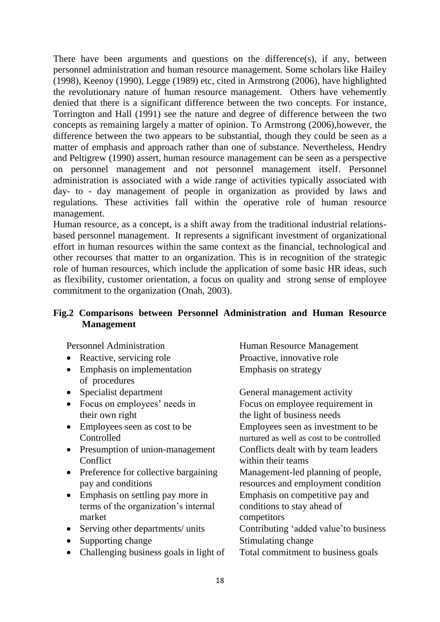There have been arguments and questions on the difference(s), if any, between personnel administration and human resource management. Some scholars like Hailey (1998), Keenoy (1990), Legge (1989) etc, cited in Armstrong (2006), have highlighted the revolutionary nature of human resource management. Others have vehemently denied that there is a significant difference between the two concepts. For instance, Torrington and Hall (1991) see the nature and degree of difference between the two concepts as remaining largely a matter of opinion. To Armstrong (2006),however, the difference between the two appears to be substantial, though they could be seen as a matter of emphasis and approach rather than one of substance. Nevertheless, Hendry and Peltigrew (1990) assert, human resource management can be seen as a perspective on personnel management and not personnel management itself. Personnel administration is associated with a wide range of activities typically associated with day- to - day management of people in organization as provided by laws and regulations. These activities fall within the operative role of human resource management.

Human resource, as a concept, is a shift away from the traditional industrial relationsbased personnel management. It represents a significant investment of organizational effort in human resources within the same context as the financial, technological and other recourses that matter to an organization. This is in recognition of the strategic role of human resources, which include the application of some basic HR ideas, such as flexibility, customer orientation, a focus on quality and strong sense of employee commitment to the organization (Onah, 2003).

# **Fig.2 Comparisons between Personnel Administration and Human Resource Management**

- Reactive, servicing role Proactive, innovative role
- Emphasis on implementation Emphasis on strategy of procedures
- 
- their own right the light of business needs
- 
- Presumption of union-management Conflicts dealt with by team leaders Conflict within their teams
- Preference for collective bargaining Management-led planning of people, pay and conditions resources and employment condition
- Emphasis on settling pay more in Emphasis on competitive pay and terms of the organization's internal conditions to stay ahead of market competitors
- 
- Supporting change Stimulating change
- Challenging business goals in light of Total commitment to business goals

Personnel Administration Full and Human Resource Management

• Specialist department General management activity • Focus on employees' needs in Focus on employee requirement in • Employees seen as cost to be Employees seen as investment to be Controlled nurtured as well as cost to be controlled • Serving other departments/ units Contributing 'added value' to business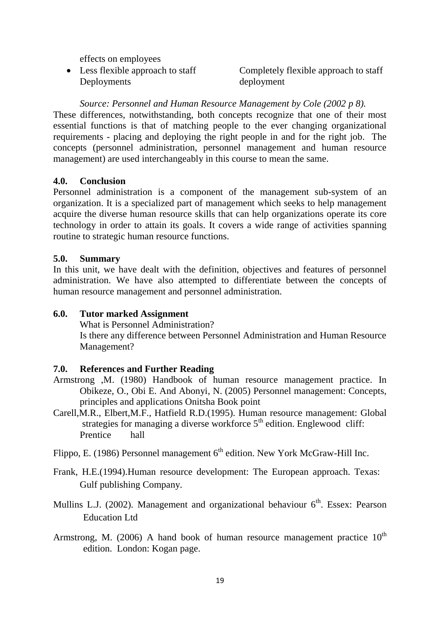effects on employees

Deployments deployment

• Less flexible approach to staff Completely flexible approach to staff

#### *Source: Personnel and Human Resource Management by Cole (2002 p 8).*

These differences, notwithstanding, both concepts recognize that one of their most essential functions is that of matching people to the ever changing organizational requirements - placing and deploying the right people in and for the right job. The concepts (personnel administration, personnel management and human resource management) are used interchangeably in this course to mean the same.

# **4.0. Conclusion**

Personnel administration is a component of the management sub-system of an organization. It is a specialized part of management which seeks to help management acquire the diverse human resource skills that can help organizations operate its core technology in order to attain its goals. It covers a wide range of activities spanning routine to strategic human resource functions.

#### **5.0. Summary**

In this unit, we have dealt with the definition, objectives and features of personnel administration. We have also attempted to differentiate between the concepts of human resource management and personnel administration.

#### **6.0. Tutor marked Assignment**

 What is Personnel Administration? Is there any difference between Personnel Administration and Human Resource Management?

# **7.0. References and Further Reading**

- Armstrong ,M. (1980) Handbook of human resource management practice. In Obikeze, O., Obi E. And Abonyi, N. (2005) Personnel management: Concepts, principles and applications Onitsha Book point
- Carell,M.R., Elbert,M.F., Hatfield R.D.(1995). Human resource management: Global strategies for managing a diverse workforce  $5<sup>th</sup>$  edition. Englewood cliff: Prentice hall

Flippo, E. (1986) Personnel management  $6<sup>th</sup>$  edition. New York McGraw-Hill Inc.

- Frank, H.E.(1994).Human resource development: The European approach. Texas: Gulf publishing Company.
- Mullins L.J. (2002). Management and organizational behaviour  $6<sup>th</sup>$ . Essex: Pearson Education Ltd
- Armstrong, M. (2006) A hand book of human resource management practice  $10^{th}$ edition. London: Kogan page.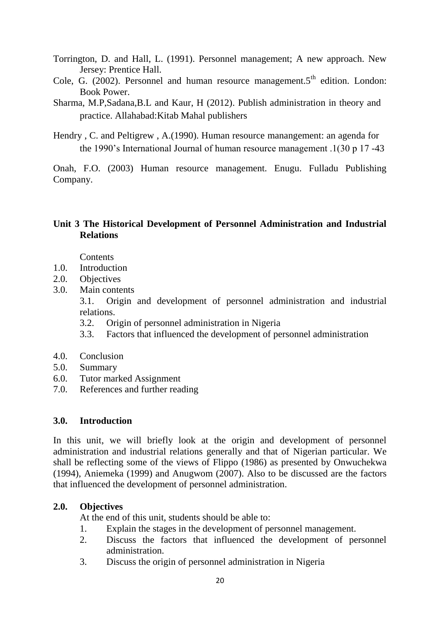- Torrington, D. and Hall, L. (1991). Personnel management; A new approach. New Jersey: Prentice Hall.
- Cole, G. (2002). Personnel and human resource management.5<sup>th</sup> edition. London: Book Power.
- Sharma, M.P,Sadana,B.L and Kaur, H (2012). Publish administration in theory and practice. Allahabad:Kitab Mahal publishers
- Hendry , C. and Peltigrew , A.(1990). Human resource manangement: an agenda for the 1990's International Journal of human resource management .1(30 p 17 -43

Onah, F.O. (2003) Human resource management. Enugu. Fulladu Publishing Company.

# **Unit 3 The Historical Development of Personnel Administration and Industrial Relations**

**Contents** 

- 1.0. Introduction
- 2.0. Objectives
- 3.0. Main contents

3.1. Origin and development of personnel administration and industrial relations.

- 3.2. Origin of personnel administration in Nigeria
- 3.3. Factors that influenced the development of personnel administration
- 4.0. Conclusion
- 5.0. Summary
- 6.0. Tutor marked Assignment
- 7.0. References and further reading

#### **3.0. Introduction**

In this unit, we will briefly look at the origin and development of personnel administration and industrial relations generally and that of Nigerian particular. We shall be reflecting some of the views of Flippo (1986) as presented by Onwuchekwa (1994), Aniemeka (1999) and Anugwom ( $2007$ ). Also to be discussed are the factors that influenced the development of personnel administration.

# **2.0. Objectives**

At the end of this unit, students should be able to:

- 1. Explain the stages in the development of personnel management.
- 2. Discuss the factors that influenced the development of personnel administration.
- 3. Discuss the origin of personnel administration in Nigeria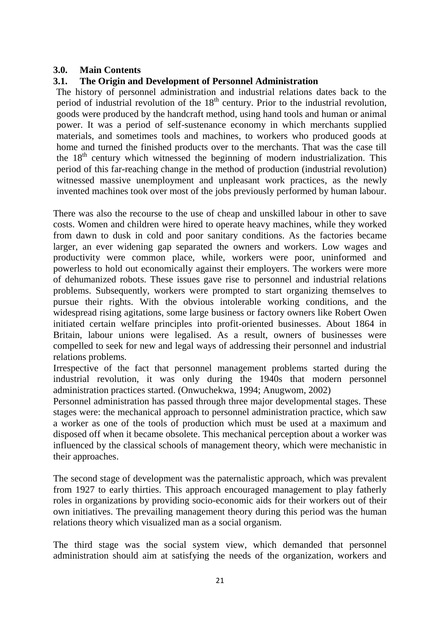# **3.0. Main Contents**

# **3.1. The Origin and Development of Personnel Administration**

 The history of personnel administration and industrial relations dates back to the period of industrial revolution of the  $18<sup>th</sup>$  century. Prior to the industrial revolution, goods were produced by the handcraft method, using hand tools and human or animal power. It was a period of self-sustenance economy in which merchants supplied materials, and sometimes tools and machines, to workers who produced goods at home and turned the finished products over to the merchants. That was the case till the  $18<sup>th</sup>$  century which witnessed the beginning of modern industrialization. This period of this far-reaching change in the method of production (industrial revolution) witnessed massive unemployment and unpleasant work practices, as the newly invented machines took over most of the jobs previously performed by human labour.

There was also the recourse to the use of cheap and unskilled labour in other to save costs. Women and children were hired to operate heavy machines, while they worked from dawn to dusk in cold and poor sanitary conditions. As the factories became larger, an ever widening gap separated the owners and workers. Low wages and productivity were common place, while, workers were poor, uninformed and powerless to hold out economically against their employers. The workers were more of dehumanized robots. These issues gave rise to personnel and industrial relations problems. Subsequently, workers were prompted to start organizing themselves to pursue their rights. With the obvious intolerable working conditions, and the widespread rising agitations, some large business or factory owners like Robert Owen initiated certain welfare principles into profit-oriented businesses. About 1864 in Britain, labour unions were legalised. As a result, owners of businesses were compelled to seek for new and legal ways of addressing their personnel and industrial relations problems.

Irrespective of the fact that personnel management problems started during the industrial revolution, it was only during the 1940s that modern personnel administration practices started. (Onwuchekwa, 1994; Anugwom, 2002)

Personnel administration has passed through three major developmental stages. These stages were: the mechanical approach to personnel administration practice, which saw a worker as one of the tools of production which must be used at a maximum and disposed off when it became obsolete. This mechanical perception about a worker was influenced by the classical schools of management theory, which were mechanistic in their approaches.

The second stage of development was the paternalistic approach, which was prevalent from 1927 to early thirties. This approach encouraged management to play fatherly roles in organizations by providing socio-economic aids for their workers out of their own initiatives. The prevailing management theory during this period was the human relations theory which visualized man as a social organism.

The third stage was the social system view, which demanded that personnel administration should aim at satisfying the needs of the organization, workers and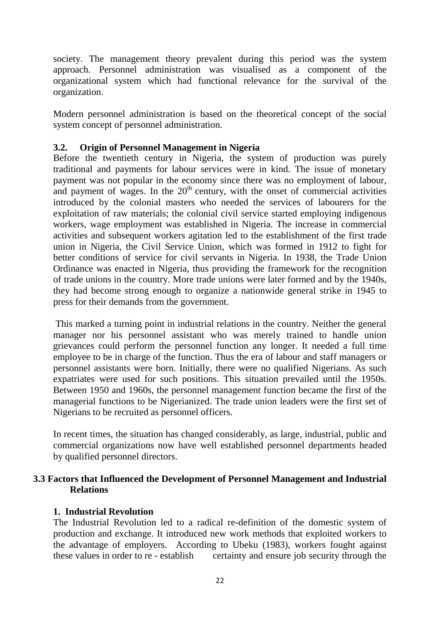society. The management theory prevalent during this period was the system approach. Personnel administration was visualised as a component of the organizational system which had functional relevance for the survival of the organization.

Modern personnel administration is based on the theoretical concept of the social system concept of personnel administration.

# **3.2. Origin of Personnel Management in Nigeria**

Before the twentieth century in Nigeria, the system of production was purely traditional and payments for labour services were in kind. The issue of monetary payment was not popular in the economy since there was no employment of labour, and payment of wages. In the  $20<sup>th</sup>$  century, with the onset of commercial activities introduced by the colonial masters who needed the services of labourers for the exploitation of raw materials; the colonial civil service started employing indigenous workers, wage employment was established in Nigeria. The increase in commercial activities and subsequent workers agitation led to the establishment of the first trade union in Nigeria, the Civil Service Union, which was formed in 1912 to fight for better conditions of service for civil servants in Nigeria. In 1938, the Trade Union Ordinance was enacted in Nigeria, thus providing the framework for the recognition of trade unions in the country. More trade unions were later formed and by the 1940s, they had become strong enough to organize a nationwide general strike in 1945 to press for their demands from the government.

This marked a turning point in industrial relations in the country. Neither the general manager nor his personnel assistant who was merely trained to handle union grievances could perform the personnel function any longer. It needed a full time employee to be in charge of the function. Thus the era of labour and staff managers or personnel assistants were born. Initially, there were no qualified Nigerians. As such expatriates were used for such positions. This situation prevailed until the 1950s. Between 1950 and 1960s, the personnel management function became the first of the managerial functions to be Nigerianized. The trade union leaders were the first set of Nigerians to be recruited as personnel officers.

In recent times, the situation has changed considerably, as large, industrial, public and commercial organizations now have well established personnel departments headed by qualified personnel directors.

# **3.3 Factors that Influenced the Development of Personnel Management and Industrial Relations**

# **1. Industrial Revolution**

The Industrial Revolution led to a radical re-definition of the domestic system of production and exchange. It introduced new work methods that exploited workers to the advantage of employers. According to Ubeku (1983), workers fought against these values in order to re - establish certainty and ensure job security through the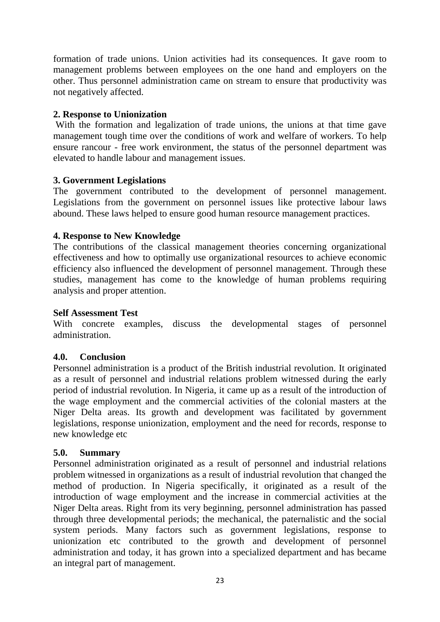formation of trade unions. Union activities had its consequences. It gave room to management problems between employees on the one hand and employers on the other. Thus personnel administration came on stream to ensure that productivity was not negatively affected.

# **2. Response to Unionization**

With the formation and legalization of trade unions, the unions at that time gave management tough time over the conditions of work and welfare of workers. To help ensure rancour - free work environment, the status of the personnel department was elevated to handle labour and management issues.

#### **3. Government Legislations**

The government contributed to the development of personnel management. Legislations from the government on personnel issues like protective labour laws abound. These laws helped to ensure good human resource management practices.

#### **4. Response to New Knowledge**

The contributions of the classical management theories concerning organizational effectiveness and how to optimally use organizational resources to achieve economic efficiency also influenced the development of personnel management. Through these studies, management has come to the knowledge of human problems requiring analysis and proper attention.

#### **Self Assessment Test**

With concrete examples, discuss the developmental stages of personnel administration.

#### **4.0. Conclusion**

Personnel administration is a product of the British industrial revolution. It originated as a result of personnel and industrial relations problem witnessed during the early period of industrial revolution. In Nigeria, it came up as a result of the introduction of the wage employment and the commercial activities of the colonial masters at the Niger Delta areas. Its growth and development was facilitated by government legislations, response unionization, employment and the need for records, response to new knowledge etc

#### **5.0. Summary**

Personnel administration originated as a result of personnel and industrial relations problem witnessed in organizations as a result of industrial revolution that changed the method of production. In Nigeria specifically, it originated as a result of the introduction of wage employment and the increase in commercial activities at the Niger Delta areas. Right from its very beginning, personnel administration has passed through three developmental periods; the mechanical, the paternalistic and the social system periods. Many factors such as government legislations, response to unionization etc contributed to the growth and development of personnel administration and today, it has grown into a specialized department and has became an integral part of management.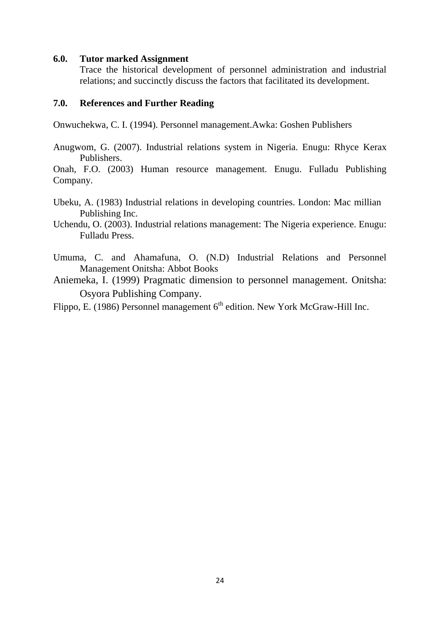#### **6.0. Tutor marked Assignment**

Trace the historical development of personnel administration and industrial relations; and succinctly discuss the factors that facilitated its development.

#### **7.0. References and Further Reading**

Onwuchekwa, C. I. (1994). Personnel management.Awka: Goshen Publishers

Anugwom, G. (2007). Industrial relations system in Nigeria. Enugu: Rhyce Kerax Publishers.

Onah, F.O. (2003) Human resource management. Enugu. Fulladu Publishing Company.

- Ubeku, A. (1983) Industrial relations in developing countries. London: Mac millian Publishing Inc.
- Uchendu, O. (2003). Industrial relations management: The Nigeria experience. Enugu: Fulladu Press.
- Umuma, C. and Ahamafuna, O. (N.D) Industrial Relations and Personnel Management Onitsha: Abbot Books

Aniemeka, I. (1999) Pragmatic dimension to personnel management. Onitsha: Osyora Publishing Company.

Flippo, E. (1986) Personnel management 6<sup>th</sup> edition. New York McGraw-Hill Inc.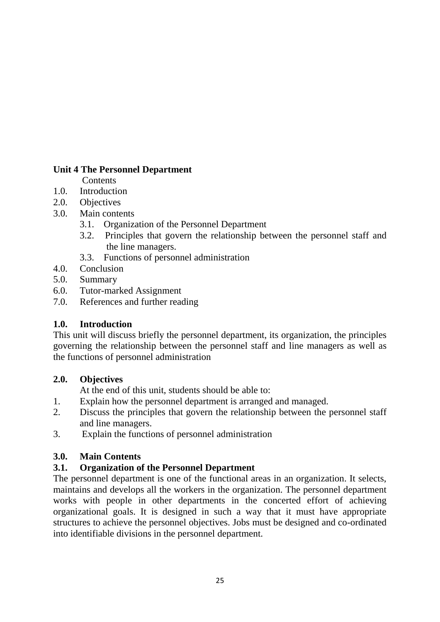# **Unit 4 The Personnel Department**

**Contents** 

- 1.0. Introduction
- 2.0. Objectives
- 3.0. Main contents
	- 3.1. Organization of the Personnel Department
	- 3.2. Principles that govern the relationship between the personnel staff and the line managers.
	- 3.3. Functions of personnel administration
- 4.0. Conclusion
- 5.0. Summary
- 6.0. Tutor-marked Assignment
- 7.0. References and further reading

# **1.0. Introduction**

This unit will discuss briefly the personnel department, its organization, the principles governing the relationship between the personnel staff and line managers as well as the functions of personnel administration

# **2.0. Objectives**

At the end of this unit, students should be able to:

- 1. Explain how the personnel department is arranged and managed.
- 2. Discuss the principles that govern the relationship between the personnel staff and line managers.
- 3. Explain the functions of personnel administration

# **3.0. Main Contents**

# **3.1. Organization of the Personnel Department**

The personnel department is one of the functional areas in an organization. It selects, maintains and develops all the workers in the organization. The personnel department works with people in other departments in the concerted effort of achieving organizational goals. It is designed in such a way that it must have appropriate structures to achieve the personnel objectives. Jobs must be designed and co-ordinated into identifiable divisions in the personnel department.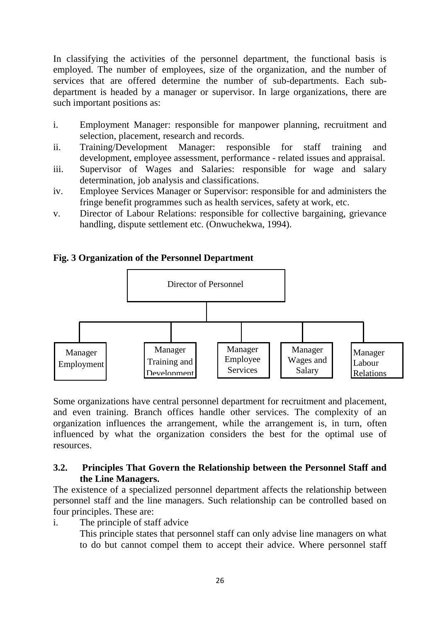In classifying the activities of the personnel department, the functional basis is employed. The number of employees, size of the organization, and the number of services that are offered determine the number of sub-departments. Each subdepartment is headed by a manager or supervisor. In large organizations, there are such important positions as:

- i. Employment Manager: responsible for manpower planning, recruitment and selection, placement, research and records.
- ii. Training/Development Manager: responsible for staff training and development, employee assessment, performance - related issues and appraisal.
- iii. Supervisor of Wages and Salaries: responsible for wage and salary determination, job analysis and classifications.
- iv. Employee Services Manager or Supervisor: responsible for and administers the fringe benefit programmes such as health services, safety at work, etc.
- v. Director of Labour Relations: responsible for collective bargaining, grievance handling, dispute settlement etc. (Onwuchekwa, 1994).

# **Fig. 3 Organization of the Personnel Department**



Some organizations have central personnel department for recruitment and placement, and even training. Branch offices handle other services. The complexity of an organization influences the arrangement, while the arrangement is, in turn, often influenced by what the organization considers the best for the optimal use of resources.

#### **3.2. Principles That Govern the Relationship between the Personnel Staff and the Line Managers.**

The existence of a specialized personnel department affects the relationship between personnel staff and the line managers. Such relationship can be controlled based on four principles. These are:

i. The principle of staff advice

This principle states that personnel staff can only advise line managers on what to do but cannot compel them to accept their advice. Where personnel staff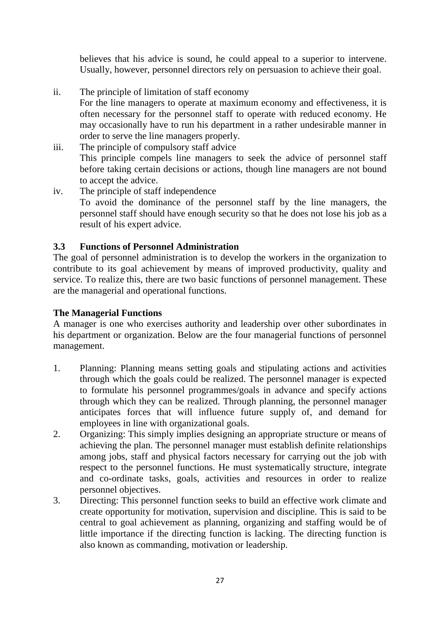believes that his advice is sound, he could appeal to a superior to intervene. Usually, however, personnel directors rely on persuasion to achieve their goal.

- ii. The principle of limitation of staff economy For the line managers to operate at maximum economy and effectiveness, it is often necessary for the personnel staff to operate with reduced economy. He may occasionally have to run his department in a rather undesirable manner in order to serve the line managers properly.
- iii. The principle of compulsory staff advice This principle compels line managers to seek the advice of personnel staff before taking certain decisions or actions, though line managers are not bound to accept the advice.
- iv. The principle of staff independence To avoid the dominance of the personnel staff by the line managers, the personnel staff should have enough security so that he does not lose his job as a result of his expert advice.

# **3.3 Functions of Personnel Administration**

The goal of personnel administration is to develop the workers in the organization to contribute to its goal achievement by means of improved productivity, quality and service. To realize this, there are two basic functions of personnel management. These are the managerial and operational functions.

# **The Managerial Functions**

A manager is one who exercises authority and leadership over other subordinates in his department or organization. Below are the four managerial functions of personnel management.

- 1. Planning: Planning means setting goals and stipulating actions and activities through which the goals could be realized. The personnel manager is expected to formulate his personnel programmes/goals in advance and specify actions through which they can be realized. Through planning, the personnel manager anticipates forces that will influence future supply of, and demand for employees in line with organizational goals.
- 2. Organizing: This simply implies designing an appropriate structure or means of achieving the plan. The personnel manager must establish definite relationships among jobs, staff and physical factors necessary for carrying out the job with respect to the personnel functions. He must systematically structure, integrate and co-ordinate tasks, goals, activities and resources in order to realize personnel objectives.
- 3. Directing: This personnel function seeks to build an effective work climate and create opportunity for motivation, supervision and discipline. This is said to be central to goal achievement as planning, organizing and staffing would be of little importance if the directing function is lacking. The directing function is also known as commanding, motivation or leadership.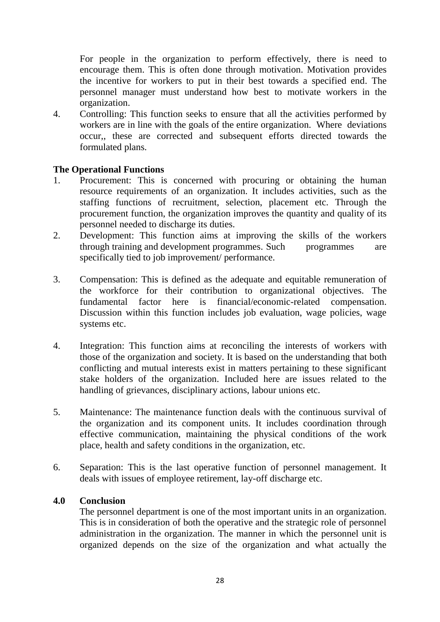For people in the organization to perform effectively, there is need to encourage them. This is often done through motivation. Motivation provides the incentive for workers to put in their best towards a specified end. The personnel manager must understand how best to motivate workers in the organization.

4. Controlling: This function seeks to ensure that all the activities performed by workers are in line with the goals of the entire organization. Where deviations occur,, these are corrected and subsequent efforts directed towards the formulated plans.

# **The Operational Functions**

- 1. Procurement: This is concerned with procuring or obtaining the human resource requirements of an organization. It includes activities, such as the staffing functions of recruitment, selection, placement etc. Through the procurement function, the organization improves the quantity and quality of its personnel needed to discharge its duties.
- 2. Development: This function aims at improving the skills of the workers through training and development programmes. Such programmes are specifically tied to job improvement/ performance.
- 3. Compensation: This is defined as the adequate and equitable remuneration of the workforce for their contribution to organizational objectives. The fundamental factor here is financial/economic-related compensation. Discussion within this function includes job evaluation, wage policies, wage systems etc.
- 4. Integration: This function aims at reconciling the interests of workers with those of the organization and society. It is based on the understanding that both conflicting and mutual interests exist in matters pertaining to these significant stake holders of the organization. Included here are issues related to the handling of grievances, disciplinary actions, labour unions etc.
- 5. Maintenance: The maintenance function deals with the continuous survival of the organization and its component units. It includes coordination through effective communication, maintaining the physical conditions of the work place, health and safety conditions in the organization, etc.
- 6. Separation: This is the last operative function of personnel management. It deals with issues of employee retirement, lay-off discharge etc.

#### **4.0 Conclusion**

 The personnel department is one of the most important units in an organization. This is in consideration of both the operative and the strategic role of personnel administration in the organization. The manner in which the personnel unit is organized depends on the size of the organization and what actually the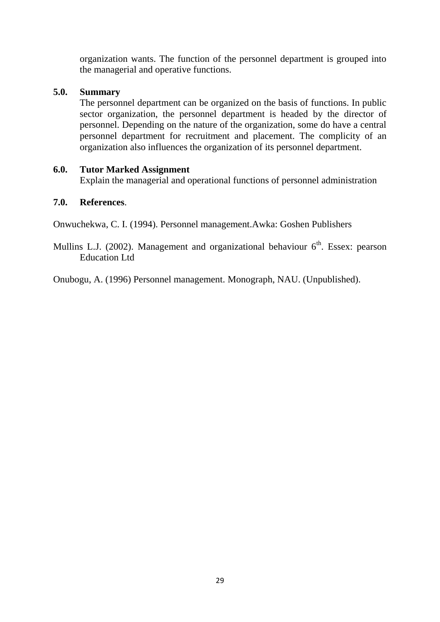organization wants. The function of the personnel department is grouped into the managerial and operative functions.

#### **5.0. Summary**

The personnel department can be organized on the basis of functions. In public sector organization, the personnel department is headed by the director of personnel. Depending on the nature of the organization, some do have a central personnel department for recruitment and placement. The complicity of an organization also influences the organization of its personnel department.

#### **6.0. Tutor Marked Assignment**

Explain the managerial and operational functions of personnel administration

# **7.0. References**.

Onwuchekwa, C. I. (1994). Personnel management.Awka: Goshen Publishers

Mullins L.J. (2002). Management and organizational behaviour  $6<sup>th</sup>$ . Essex: pearson Education Ltd

Onubogu, A. (1996) Personnel management. Monograph, NAU. (Unpublished).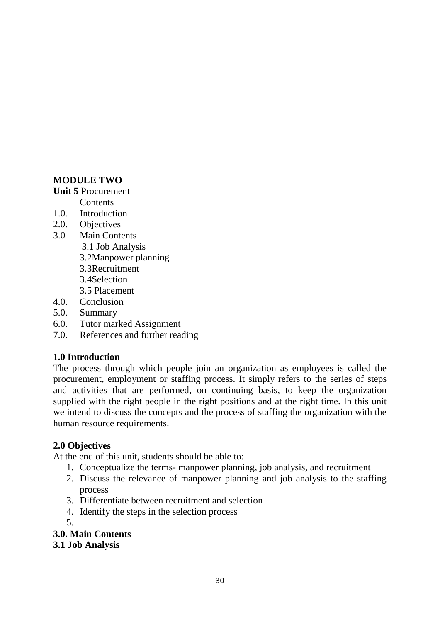# **MODULE TWO**

#### **Unit 5** Procurement

**Contents** 

- 1.0. Introduction
- 2.0. Objectives
- 3.0 Main Contents
	- 3.1 Job Analysis
	- 3.2Manpower planning
	- 3.3Recruitment
	- 3.4Selection
	- 3.5 Placement
- 4.0. Conclusion
- 5.0. Summary
- 6.0. Tutor marked Assignment
- 7.0. References and further reading

# **1.0 Introduction**

The process through which people join an organization as employees is called the procurement, employment or staffing process. It simply refers to the series of steps and activities that are performed, on continuing basis, to keep the organization supplied with the right people in the right positions and at the right time. In this unit we intend to discuss the concepts and the process of staffing the organization with the human resource requirements.

# **2.0 Objectives**

At the end of this unit, students should be able to:

- 1. Conceptualize the terms- manpower planning, job analysis, and recruitment
- 2. Discuss the relevance of manpower planning and job analysis to the staffing process
- 3. Differentiate between recruitment and selection
- 4. Identify the steps in the selection process
- 5.

**3.0. Main Contents**

**3.1 Job Analysis**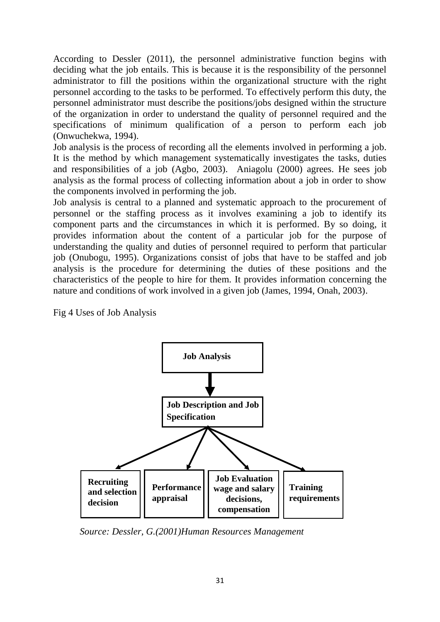According to Dessler (2011), the personnel administrative function begins with deciding what the job entails. This is because it is the responsibility of the personnel administrator to fill the positions within the organizational structure with the right personnel according to the tasks to be performed. To effectively perform this duty, the personnel administrator must describe the positions/jobs designed within the structure of the organization in order to understand the quality of personnel required and the specifications of minimum qualification of a person to perform each job (Onwuchekwa, 1994).

Job analysis is the process of recording all the elements involved in performing a job. It is the method by which management systematically investigates the tasks, duties and responsibilities of a job (Agbo, 2003). Aniagolu (2000) agrees. He sees job analysis as the formal process of collecting information about a job in order to show the components involved in performing the job.

Job analysis is central to a planned and systematic approach to the procurement of personnel or the staffing process as it involves examining a job to identify its component parts and the circumstances in which it is performed. By so doing, it provides information about the content of a particular job for the purpose of understanding the quality and duties of personnel required to perform that particular job (Onubogu, 1995). Organizations consist of jobs that have to be staffed and job analysis is the procedure for determining the duties of these positions and the characteristics of the people to hire for them. It provides information concerning the nature and conditions of work involved in a given job (James, 1994, Onah, 2003).

Fig 4 Uses of Job Analysis



*Source: Dessler, G.(2001)Human Resources Management*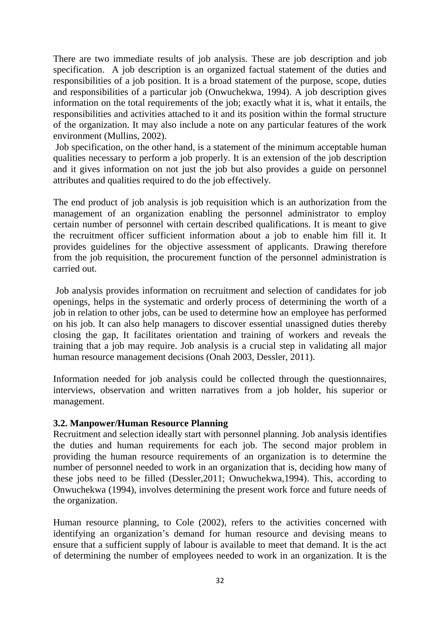There are two immediate results of job analysis. These are job description and job specification. A job description is an organized factual statement of the duties and responsibilities of a job position. It is a broad statement of the purpose, scope, duties and responsibilities of a particular job (Onwuchekwa, 1994). A job description gives information on the total requirements of the job; exactly what it is, what it entails, the responsibilities and activities attached to it and its position within the formal structure of the organization. It may also include a note on any particular features of the work environment (Mullins, 2002).

Job specification, on the other hand, is a statement of the minimum acceptable human qualities necessary to perform a job properly. It is an extension of the job description and it gives information on not just the job but also provides a guide on personnel attributes and qualities required to do the job effectively.

The end product of job analysis is job requisition which is an authorization from the management of an organization enabling the personnel administrator to employ certain number of personnel with certain described qualifications. It is meant to give the recruitment officer sufficient information about a job to enable him fill it. It provides guidelines for the objective assessment of applicants. Drawing therefore from the job requisition, the procurement function of the personnel administration is carried out.

Job analysis provides information on recruitment and selection of candidates for job openings, helps in the systematic and orderly process of determining the worth of a job in relation to other jobs, can be used to determine how an employee has performed on his job. It can also help managers to discover essential unassigned duties thereby closing the gap, It facilitates orientation and training of workers and reveals the training that a job may require. Job analysis is a crucial step in validating all major human resource management decisions (Onah 2003, Dessler, 2011).

Information needed for job analysis could be collected through the questionnaires, interviews, observation and written narratives from a job holder, his superior or management.

# **3.2. Manpower/Human Resource Planning**

Recruitment and selection ideally start with personnel planning. Job analysis identifies the duties and human requirements for each job. The second major problem in providing the human resource requirements of an organization is to determine the number of personnel needed to work in an organization that is, deciding how many of these jobs need to be filled (Dessler,2011; Onwuchekwa,1994). This, according to Onwuchekwa (1994), involves determining the present work force and future needs of the organization.

Human resource planning, to Cole (2002), refers to the activities concerned with identifying an organization's demand for human resource and devising means to ensure that a sufficient supply of labour is available to meet that demand. It is the act of determining the number of employees needed to work in an organization. It is the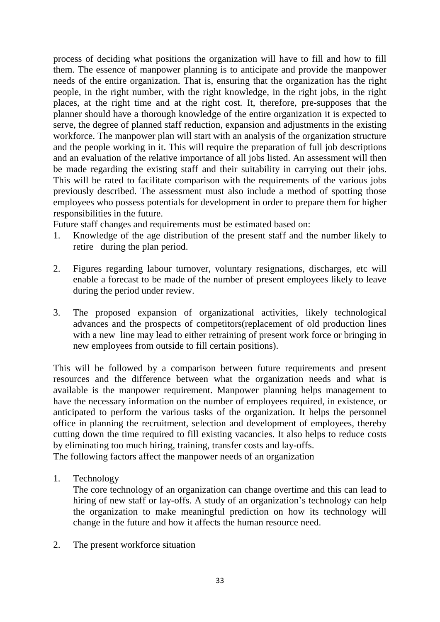process of deciding what positions the organization will have to fill and how to fill them. The essence of manpower planning is to anticipate and provide the manpower needs of the entire organization. That is, ensuring that the organization has the right people, in the right number, with the right knowledge, in the right jobs, in the right places, at the right time and at the right cost. It, therefore, pre-supposes that the planner should have a thorough knowledge of the entire organization it is expected to serve, the degree of planned staff reduction, expansion and adjustments in the existing workforce. The manpower plan will start with an analysis of the organization structure and the people working in it. This will require the preparation of full job descriptions and an evaluation of the relative importance of all jobs listed. An assessment will then be made regarding the existing staff and their suitability in carrying out their jobs. This will be rated to facilitate comparison with the requirements of the various jobs previously described. The assessment must also include a method of spotting those employees who possess potentials for development in order to prepare them for higher responsibilities in the future.

Future staff changes and requirements must be estimated based on:

- 1. Knowledge of the age distribution of the present staff and the number likely to retire during the plan period.
- 2. Figures regarding labour turnover, voluntary resignations, discharges, etc will enable a forecast to be made of the number of present employees likely to leave during the period under review.
- 3. The proposed expansion of organizational activities, likely technological advances and the prospects of competitors(replacement of old production lines with a new line may lead to either retraining of present work force or bringing in new employees from outside to fill certain positions).

This will be followed by a comparison between future requirements and present resources and the difference between what the organization needs and what is available is the manpower requirement. Manpower planning helps management to have the necessary information on the number of employees required, in existence, or anticipated to perform the various tasks of the organization. It helps the personnel office in planning the recruitment, selection and development of employees, thereby cutting down the time required to fill existing vacancies. It also helps to reduce costs by eliminating too much hiring, training, transfer costs and lay-offs.

The following factors affect the manpower needs of an organization

1. Technology

The core technology of an organization can change overtime and this can lead to hiring of new staff or lay-offs. A study of an organization's technology can help the organization to make meaningful prediction on how its technology will change in the future and how it affects the human resource need.

2. The present workforce situation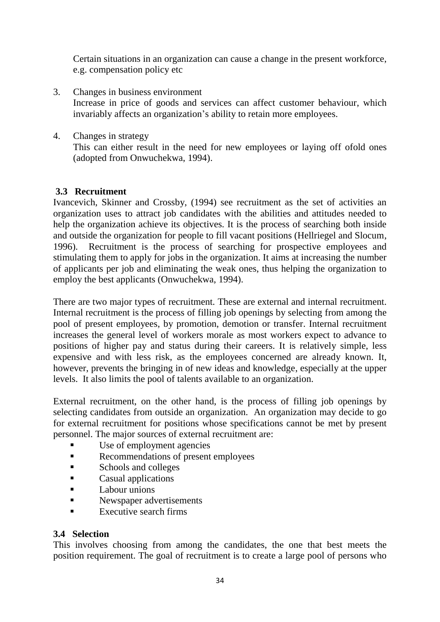Certain situations in an organization can cause a change in the present workforce, e.g. compensation policy etc

- 3. Changes in business environment Increase in price of goods and services can affect customer behaviour, which invariably affects an organization's ability to retain more employees.
- 4. Changes in strategy

This can either result in the need for new employees or laying off ofold ones (adopted from Onwuchekwa, 1994).

# **3.3 Recruitment**

Ivancevich, Skinner and Crossby, (1994) see recruitment as the set of activities an organization uses to attract job candidates with the abilities and attitudes needed to help the organization achieve its objectives. It is the process of searching both inside and outside the organization for people to fill vacant positions (Hellriegel and Slocum, 1996). Recruitment is the process of searching for prospective employees and stimulating them to apply for jobs in the organization. It aims at increasing the number of applicants per job and eliminating the weak ones, thus helping the organization to employ the best applicants (Onwuchekwa, 1994).

There are two major types of recruitment. These are external and internal recruitment. Internal recruitment is the process of filling job openings by selecting from among the pool of present employees, by promotion, demotion or transfer. Internal recruitment increases the general level of workers morale as most workers expect to advance to positions of higher pay and status during their careers. It is relatively simple, less expensive and with less risk, as the employees concerned are already known. It, however, prevents the bringing in of new ideas and knowledge, especially at the upper levels. It also limits the pool of talents available to an organization.

External recruitment, on the other hand, is the process of filling job openings by selecting candidates from outside an organization. An organization may decide to go for external recruitment for positions whose specifications cannot be met by present personnel. The major sources of external recruitment are:

- Use of employment agencies
- Recommendations of present employees
- Schools and colleges
- **Casual applications**
- **Labour unions**
- Newspaper advertisements
- $\blacksquare$  Executive search firms

# **3.4 Selection**

This involves choosing from among the candidates, the one that best meets the position requirement. The goal of recruitment is to create a large pool of persons who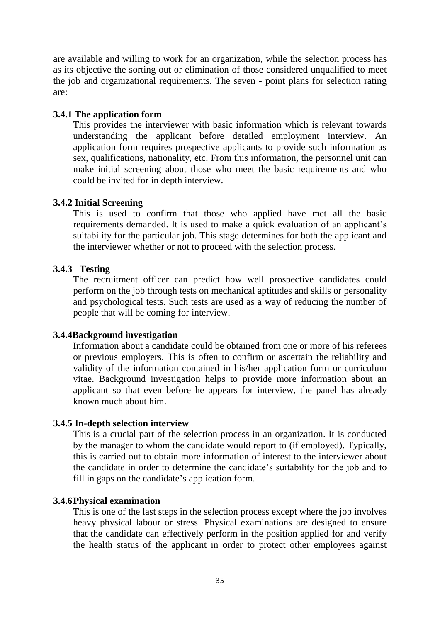are available and willing to work for an organization, while the selection process has as its objective the sorting out or elimination of those considered unqualified to meet the job and organizational requirements. The seven - point plans for selection rating are:

#### **3.4.1 The application form**

This provides the interviewer with basic information which is relevant towards understanding the applicant before detailed employment interview. An application form requires prospective applicants to provide such information as sex, qualifications, nationality, etc. From this information, the personnel unit can make initial screening about those who meet the basic requirements and who could be invited for in depth interview.

#### **3.4.2 Initial Screening**

This is used to confirm that those who applied have met all the basic requirements demanded. It is used to make a quick evaluation of an applicant's suitability for the particular job. This stage determines for both the applicant and the interviewer whether or not to proceed with the selection process.

#### **3.4.3 Testing**

The recruitment officer can predict how well prospective candidates could perform on the job through tests on mechanical aptitudes and skills or personality and psychological tests. Such tests are used as a way of reducing the number of people that will be coming for interview.

#### **3.4.4Background investigation**

Information about a candidate could be obtained from one or more of his referees or previous employers. This is often to confirm or ascertain the reliability and validity of the information contained in his/her application form or curriculum vitae. Background investigation helps to provide more information about an applicant so that even before he appears for interview, the panel has already known much about him.

#### **3.4.5 In-depth selection interview**

This is a crucial part of the selection process in an organization. It is conducted by the manager to whom the candidate would report to (if employed). Typically, this is carried out to obtain more information of interest to the interviewer about the candidate in order to determine the candidate's suitability for the job and to fill in gaps on the candidate's application form.

#### **3.4.6Physical examination**

This is one of the last steps in the selection process except where the job involves heavy physical labour or stress. Physical examinations are designed to ensure that the candidate can effectively perform in the position applied for and verify the health status of the applicant in order to protect other employees against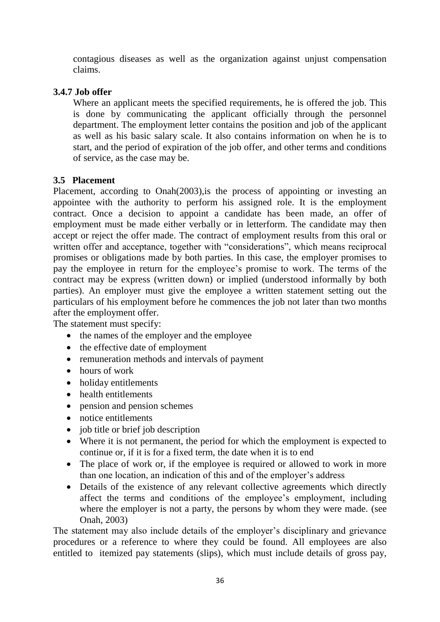contagious diseases as well as the organization against unjust compensation claims.

# **3.4.7 Job offer**

Where an applicant meets the specified requirements, he is offered the job. This is done by communicating the applicant officially through the personnel department. The employment letter contains the position and job of the applicant as well as his basic salary scale. It also contains information on when he is to start, and the period of expiration of the job offer, and other terms and conditions of service, as the case may be.

# **3.5 Placement**

Placement, according to Onah(2003),is the process of appointing or investing an appointee with the authority to perform his assigned role. It is the employment contract. Once a decision to appoint a candidate has been made, an offer of employment must be made either verbally or in letterform. The candidate may then accept or reject the offer made. The contract of employment results from this oral or written offer and acceptance, together with "considerations", which means reciprocal promises or obligations made by both parties. In this case, the employer promises to pay the employee in return for the employee's promise to work. The terms of the contract may be express (written down) or implied (understood informally by both parties). An employer must give the employee a written statement setting out the particulars of his employment before he commences the job not later than two months after the employment offer.

The statement must specify:

- the names of the employer and the employee
- $\bullet$  the effective date of employment
- remuneration methods and intervals of payment
- hours of work
- holiday entitlements
- health entitlements
- pension and pension schemes
- notice entitlements
- job title or brief job description
- Where it is not permanent, the period for which the employment is expected to continue or, if it is for a fixed term, the date when it is to end
- The place of work or, if the employee is required or allowed to work in more than one location, an indication of this and of the employer's address
- Details of the existence of any relevant collective agreements which directly affect the terms and conditions of the employee's employment, including where the employer is not a party, the persons by whom they were made. (see Onah, 2003)

The statement may also include details of the employer's disciplinary and grievance procedures or a reference to where they could be found. All employees are also entitled to itemized pay statements (slips), which must include details of gross pay,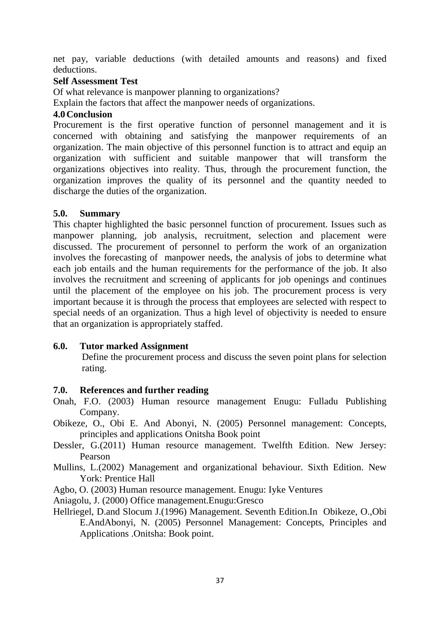net pay, variable deductions (with detailed amounts and reasons) and fixed deductions.

#### **Self Assessment Test**

Of what relevance is manpower planning to organizations?

Explain the factors that affect the manpower needs of organizations.

#### **4.0Conclusion**

Procurement is the first operative function of personnel management and it is concerned with obtaining and satisfying the manpower requirements of an organization. The main objective of this personnel function is to attract and equip an organization with sufficient and suitable manpower that will transform the organizations objectives into reality. Thus, through the procurement function, the organization improves the quality of its personnel and the quantity needed to discharge the duties of the organization.

#### **5.0. Summary**

This chapter highlighted the basic personnel function of procurement. Issues such as manpower planning, job analysis, recruitment, selection and placement were discussed. The procurement of personnel to perform the work of an organization involves the forecasting of manpower needs, the analysis of jobs to determine what each job entails and the human requirements for the performance of the job. It also involves the recruitment and screening of applicants for job openings and continues until the placement of the employee on his job. The procurement process is very important because it is through the process that employees are selected with respect to special needs of an organization. Thus a high level of objectivity is needed to ensure that an organization is appropriately staffed.

### **6.0. Tutor marked Assignment**

 Define the procurement process and discuss the seven point plans for selection rating.

### **7.0. References and further reading**

Onah, F.O. (2003) Human resource management Enugu: Fulladu Publishing Company.

- Obikeze, O., Obi E. And Abonyi, N. (2005) Personnel management: Concepts, principles and applications Onitsha Book point
- Dessler, G.(2011) Human resource management. Twelfth Edition. New Jersey: Pearson
- Mullins, L.(2002) Management and organizational behaviour. Sixth Edition. New York: Prentice Hall

Agbo, O. (2003) Human resource management. Enugu: Iyke Ventures

Aniagolu, J. (2000) Office management.Enugu:Gresco

Hellriegel, D.and Slocum J.(1996) Management. Seventh Edition.In Obikeze, O.,Obi E.AndAbonyi, N. (2005) Personnel Management: Concepts, Principles and Applications .Onitsha: Book point.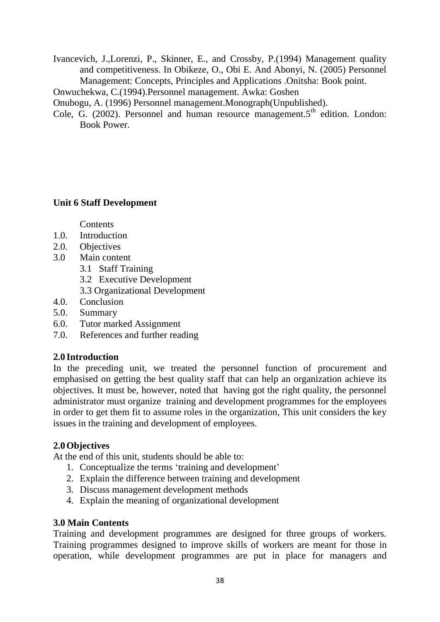Ivancevich, J.,Lorenzi, P., Skinner, E., and Crossby, P.(1994) Management quality and competitiveness. In Obikeze, O., Obi E. And Abonyi, N. (2005) Personnel Management: Concepts, Principles and Applications .Onitsha: Book point.

Onwuchekwa, C.(1994).Personnel management. Awka: Goshen

Onubogu, A. (1996) Personnel management.Monograph(Unpublished).

Cole, G.  $(2002)$ . Personnel and human resource management.  $5<sup>th</sup>$  edition. London: Book Power.

### **Unit 6 Staff Development**

**Contents** 

- 1.0. Introduction
- 2.0. Objectives
- 3.0 Main content
	- 3.1 Staff Training
	- 3.2 Executive Development
	- 3.3 Organizational Development
- 4.0. Conclusion
- 5.0. Summary
- 6.0. Tutor marked Assignment
- 7.0. References and further reading

### **2.0 Introduction**

In the preceding unit, we treated the personnel function of procurement and emphasised on getting the best quality staff that can help an organization achieve its objectives. It must be, however, noted that having got the right quality, the personnel administrator must organize training and development programmes for the employees in order to get them fit to assume roles in the organization, This unit considers the key issues in the training and development of employees.

### **2.0Objectives**

At the end of this unit, students should be able to:

- 1. Conceptualize the terms 'training and development'
- 2. Explain the difference between training and development
- 3. Discuss management development methods
- 4. Explain the meaning of organizational development

### **3.0 Main Contents**

Training and development programmes are designed for three groups of workers. Training programmes designed to improve skills of workers are meant for those in operation, while development programmes are put in place for managers and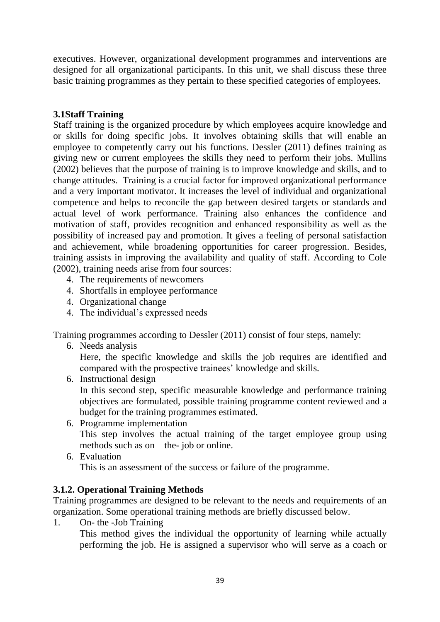executives. However, organizational development programmes and interventions are designed for all organizational participants. In this unit, we shall discuss these three basic training programmes as they pertain to these specified categories of employees.

# **3.1Staff Training**

Staff training is the organized procedure by which employees acquire knowledge and or skills for doing specific jobs. It involves obtaining skills that will enable an employee to competently carry out his functions. Dessler (2011) defines training as giving new or current employees the skills they need to perform their jobs. Mullins (2002) believes that the purpose of training is to improve knowledge and skills, and to change attitudes. Training is a crucial factor for improved organizational performance and a very important motivator. It increases the level of individual and organizational competence and helps to reconcile the gap between desired targets or standards and actual level of work performance. Training also enhances the confidence and motivation of staff, provides recognition and enhanced responsibility as well as the possibility of increased pay and promotion. It gives a feeling of personal satisfaction and achievement, while broadening opportunities for career progression. Besides, training assists in improving the availability and quality of staff. According to Cole (2002), training needs arise from four sources:

- 4. The requirements of newcomers
- 4. Shortfalls in employee performance
- 4. Organizational change
- 4. The individual's expressed needs

Training programmes according to Dessler (2011) consist of four steps, namely:

6. Needs analysis

Here, the specific knowledge and skills the job requires are identified and compared with the prospective trainees' knowledge and skills.

6. Instructional design

In this second step, specific measurable knowledge and performance training objectives are formulated, possible training programme content reviewed and a budget for the training programmes estimated.

- 6. Programme implementation This step involves the actual training of the target employee group using methods such as on – the- job or online.
- 6. Evaluation This is an assessment of the success or failure of the programme.

### **3.1.2. Operational Training Methods**

Training programmes are designed to be relevant to the needs and requirements of an organization. Some operational training methods are briefly discussed below.

1. On- the -Job Training

This method gives the individual the opportunity of learning while actually performing the job. He is assigned a supervisor who will serve as a coach or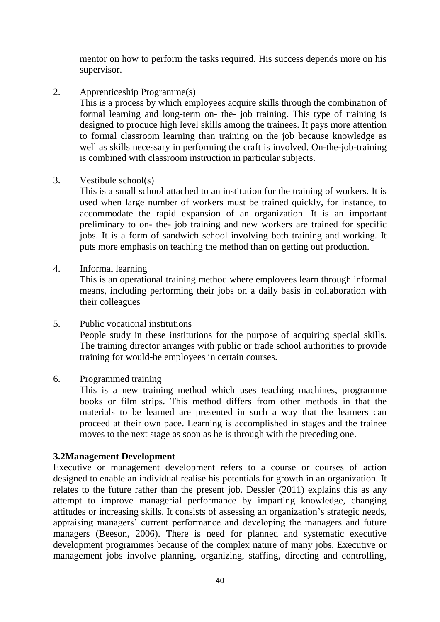mentor on how to perform the tasks required. His success depends more on his supervisor.

2. Apprenticeship Programme(s)

This is a process by which employees acquire skills through the combination of formal learning and long-term on- the- job training. This type of training is designed to produce high level skills among the trainees. It pays more attention to formal classroom learning than training on the job because knowledge as well as skills necessary in performing the craft is involved. On-the-job-training is combined with classroom instruction in particular subjects.

3. Vestibule school(s)

This is a small school attached to an institution for the training of workers. It is used when large number of workers must be trained quickly, for instance, to accommodate the rapid expansion of an organization. It is an important preliminary to on- the- job training and new workers are trained for specific jobs. It is a form of sandwich school involving both training and working. It puts more emphasis on teaching the method than on getting out production.

4. Informal learning

This is an operational training method where employees learn through informal means, including performing their jobs on a daily basis in collaboration with their colleagues

- 5. Public vocational institutions People study in these institutions for the purpose of acquiring special skills. The training director arranges with public or trade school authorities to provide training for would-be employees in certain courses.
- 6. Programmed training

This is a new training method which uses teaching machines, programme books or film strips. This method differs from other methods in that the materials to be learned are presented in such a way that the learners can proceed at their own pace. Learning is accomplished in stages and the trainee moves to the next stage as soon as he is through with the preceding one.

# **3.2Management Development**

Executive or management development refers to a course or courses of action designed to enable an individual realise his potentials for growth in an organization. It relates to the future rather than the present job. Dessler (2011) explains this as any attempt to improve managerial performance by imparting knowledge, changing attitudes or increasing skills. It consists of assessing an organization's strategic needs, appraising managers' current performance and developing the managers and future managers (Beeson, 2006). There is need for planned and systematic executive development programmes because of the complex nature of many jobs. Executive or management jobs involve planning, organizing, staffing, directing and controlling,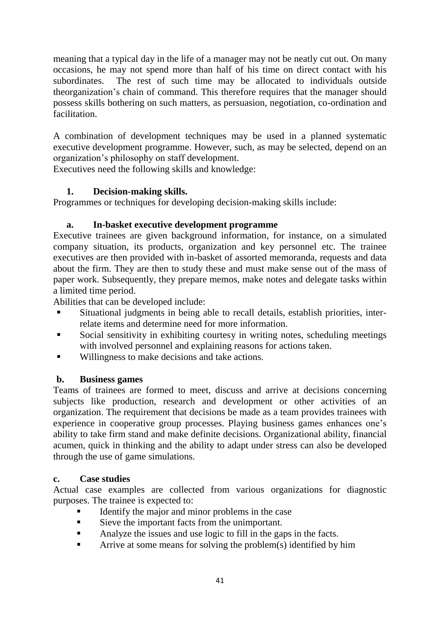meaning that a typical day in the life of a manager may not be neatly cut out. On many occasions, he may not spend more than half of his time on direct contact with his subordinates. The rest of such time may be allocated to individuals outside theorganization's chain of command. This therefore requires that the manager should possess skills bothering on such matters, as persuasion, negotiation, co-ordination and facilitation.

A combination of development techniques may be used in a planned systematic executive development programme. However, such, as may be selected, depend on an organization's philosophy on staff development.

Executives need the following skills and knowledge:

# **1. Decision-making skills.**

Programmes or techniques for developing decision-making skills include:

# **a. In-basket executive development programme**

Executive trainees are given background information, for instance, on a simulated company situation, its products, organization and key personnel etc. The trainee executives are then provided with in-basket of assorted memoranda, requests and data about the firm. They are then to study these and must make sense out of the mass of paper work. Subsequently, they prepare memos, make notes and delegate tasks within a limited time period.

Abilities that can be developed include:

- Situational judgments in being able to recall details, establish priorities, interrelate items and determine need for more information.
- Social sensitivity in exhibiting courtesy in writing notes, scheduling meetings with involved personnel and explaining reasons for actions taken.
- Willingness to make decisions and take actions.

# **b. Business games**

Teams of trainees are formed to meet, discuss and arrive at decisions concerning subjects like production, research and development or other activities of an organization. The requirement that decisions be made as a team provides trainees with experience in cooperative group processes. Playing business games enhances one's ability to take firm stand and make definite decisions. Organizational ability, financial acumen, quick in thinking and the ability to adapt under stress can also be developed through the use of game simulations.

# **c. Case studies**

Actual case examples are collected from various organizations for diagnostic purposes. The trainee is expected to:

- Identify the major and minor problems in the case
- Sieve the important facts from the unimportant.
- Analyze the issues and use logic to fill in the gaps in the facts.
- Arrive at some means for solving the problem(s) identified by him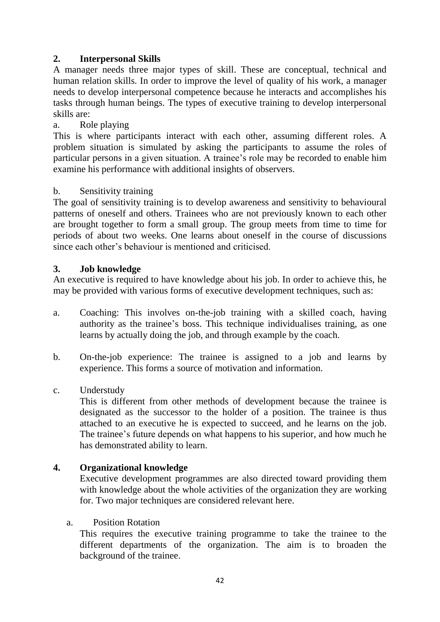# **2. Interpersonal Skills**

A manager needs three major types of skill. These are conceptual, technical and human relation skills. In order to improve the level of quality of his work, a manager needs to develop interpersonal competence because he interacts and accomplishes his tasks through human beings. The types of executive training to develop interpersonal skills are:

### a. Role playing

This is where participants interact with each other, assuming different roles. A problem situation is simulated by asking the participants to assume the roles of particular persons in a given situation. A trainee's role may be recorded to enable him examine his performance with additional insights of observers.

#### b. Sensitivity training

The goal of sensitivity training is to develop awareness and sensitivity to behavioural patterns of oneself and others. Trainees who are not previously known to each other are brought together to form a small group. The group meets from time to time for periods of about two weeks. One learns about oneself in the course of discussions since each other's behaviour is mentioned and criticised.

#### **3. Job knowledge**

An executive is required to have knowledge about his job. In order to achieve this, he may be provided with various forms of executive development techniques, such as:

- a. Coaching: This involves on-the-job training with a skilled coach, having authority as the trainee's boss. This technique individualises training, as one learns by actually doing the job, and through example by the coach.
- b. On-the-job experience: The trainee is assigned to a job and learns by experience. This forms a source of motivation and information.
- c. Understudy

This is different from other methods of development because the trainee is designated as the successor to the holder of a position. The trainee is thus attached to an executive he is expected to succeed, and he learns on the job. The trainee's future depends on what happens to his superior, and how much he has demonstrated ability to learn.

### **4. Organizational knowledge**

Executive development programmes are also directed toward providing them with knowledge about the whole activities of the organization they are working for. Two major techniques are considered relevant here.

#### a. Position Rotation

This requires the executive training programme to take the trainee to the different departments of the organization. The aim is to broaden the background of the trainee.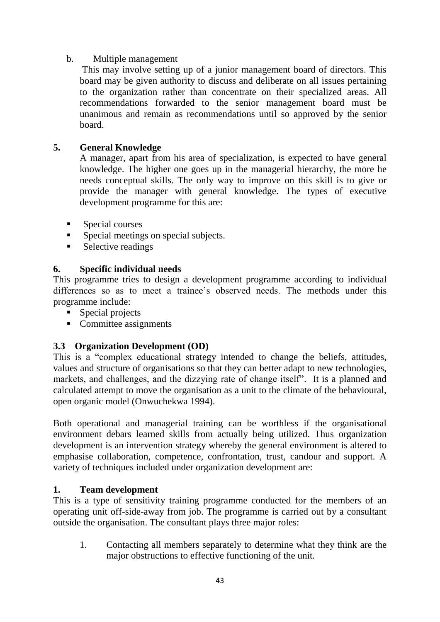## b. Multiple management

This may involve setting up of a junior management board of directors. This board may be given authority to discuss and deliberate on all issues pertaining to the organization rather than concentrate on their specialized areas. All recommendations forwarded to the senior management board must be unanimous and remain as recommendations until so approved by the senior board.

## **5. General Knowledge**

A manager, apart from his area of specialization, is expected to have general knowledge. The higher one goes up in the managerial hierarchy, the more he needs conceptual skills. The only way to improve on this skill is to give or provide the manager with general knowledge. The types of executive development programme for this are:

- **Special courses**
- Special meetings on special subjects.
- **Selective readings**

# **6. Specific individual needs**

This programme tries to design a development programme according to individual differences so as to meet a trainee's observed needs. The methods under this programme include:

- **Special projects**
- Committee assignments

# **3.3 Organization Development (OD)**

This is a "complex educational strategy intended to change the beliefs, attitudes, values and structure of organisations so that they can better adapt to new technologies, markets, and challenges, and the dizzying rate of change itself". It is a planned and calculated attempt to move the organisation as a unit to the climate of the behavioural, open organic model (Onwuchekwa 1994).

Both operational and managerial training can be worthless if the organisational environment debars learned skills from actually being utilized. Thus organization development is an intervention strategy whereby the general environment is altered to emphasise collaboration, competence, confrontation, trust, candour and support. A variety of techniques included under organization development are:

### **1. Team development**

This is a type of sensitivity training programme conducted for the members of an operating unit off-side-away from job. The programme is carried out by a consultant outside the organisation. The consultant plays three major roles:

1. Contacting all members separately to determine what they think are the major obstructions to effective functioning of the unit.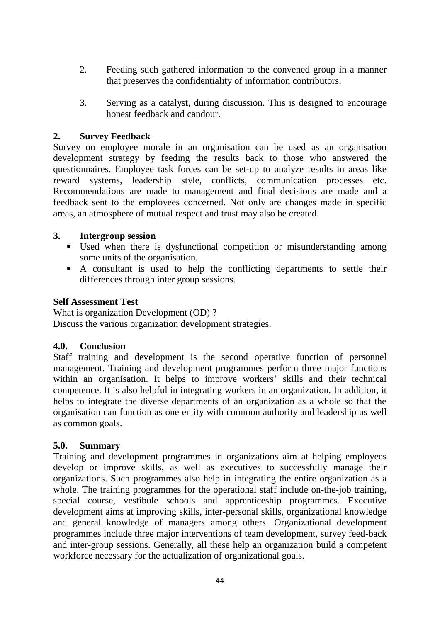- 2. Feeding such gathered information to the convened group in a manner that preserves the confidentiality of information contributors.
- 3. Serving as a catalyst, during discussion. This is designed to encourage honest feedback and candour.

## **2. Survey Feedback**

Survey on employee morale in an organisation can be used as an organisation development strategy by feeding the results back to those who answered the questionnaires. Employee task forces can be set-up to analyze results in areas like reward systems, leadership style, conflicts, communication processes etc. Recommendations are made to management and final decisions are made and a feedback sent to the employees concerned. Not only are changes made in specific areas, an atmosphere of mutual respect and trust may also be created.

### **3. Intergroup session**

- Used when there is dysfunctional competition or misunderstanding among some units of the organisation.
- A consultant is used to help the conflicting departments to settle their differences through inter group sessions.

### **Self Assessment Test**

What is organization Development (OD)? Discuss the various organization development strategies.

### **4.0. Conclusion**

Staff training and development is the second operative function of personnel management. Training and development programmes perform three major functions within an organisation. It helps to improve workers' skills and their technical competence. It is also helpful in integrating workers in an organization. In addition, it helps to integrate the diverse departments of an organization as a whole so that the organisation can function as one entity with common authority and leadership as well as common goals.

### **5.0. Summary**

Training and development programmes in organizations aim at helping employees develop or improve skills, as well as executives to successfully manage their organizations. Such programmes also help in integrating the entire organization as a whole. The training programmes for the operational staff include on-the-job training, special course, vestibule schools and apprenticeship programmes. Executive development aims at improving skills, inter-personal skills, organizational knowledge and general knowledge of managers among others. Organizational development programmes include three major interventions of team development, survey feed-back and inter-group sessions. Generally, all these help an organization build a competent workforce necessary for the actualization of organizational goals.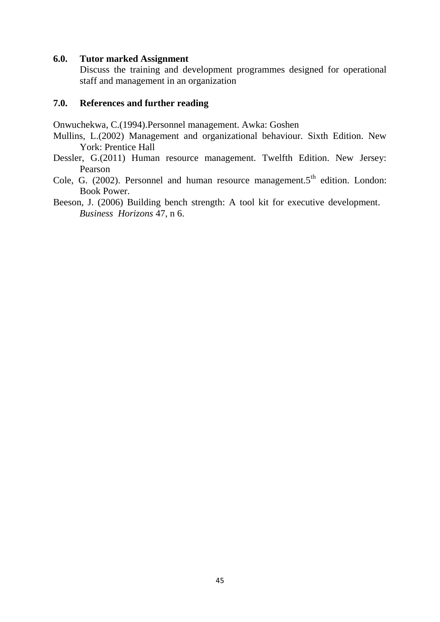#### **6.0. Tutor marked Assignment**

Discuss the training and development programmes designed for operational staff and management in an organization

#### **7.0. References and further reading**

Onwuchekwa, C.(1994).Personnel management. Awka: Goshen

- Mullins, L.(2002) Management and organizational behaviour. Sixth Edition. New York: Prentice Hall
- Dessler, G.(2011) Human resource management. Twelfth Edition. New Jersey: Pearson
- Cole, G. (2002). Personnel and human resource management. $5<sup>th</sup>$  edition. London: Book Power.
- Beeson, J. (2006) Building bench strength: A tool kit for executive development. *Business Horizons* 47, n 6.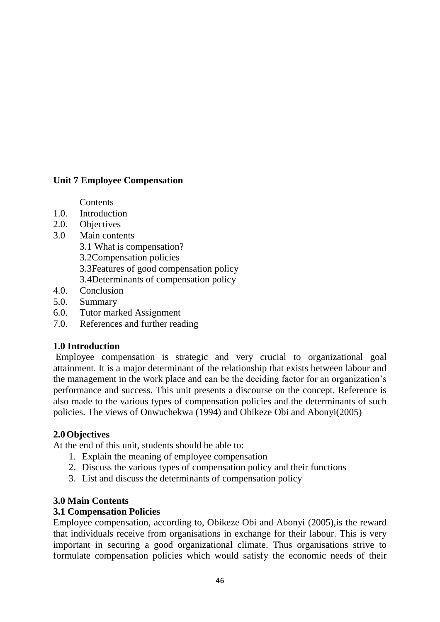# **Unit 7 Employee Compensation**

**Contents** 

- 1.0. Introduction
- 2.0. Objectives
- 3.0 Main contents
	- 3.1 What is compensation?
	- 3.2Compensation policies
	- 3.3Features of good compensation policy
	- 3.4Determinants of compensation policy
- 4.0. Conclusion
- 5.0. Summary
- 6.0. Tutor marked Assignment
- 7.0. References and further reading

# **1.0 Introduction**

Employee compensation is strategic and very crucial to organizational goal attainment. It is a major determinant of the relationship that exists between labour and the management in the work place and can be the deciding factor for an organization's performance and success. This unit presents a discourse on the concept. Reference is also made to the various types of compensation policies and the determinants of such policies. The views of Onwuchekwa (1994) and Obikeze Obi and Abonyi(2005)

### **2.0Objectives**

At the end of this unit, students should be able to:

- 1. Explain the meaning of employee compensation
- 2. Discuss the various types of compensation policy and their functions
- 3. List and discuss the determinants of compensation policy

# **3.0 Main Contents**

### **3.1 Compensation Policies**

Employee compensation, according to, Obikeze Obi and Abonyi (2005),is the reward that individuals receive from organisations in exchange for their labour. This is very important in securing a good organizational climate. Thus organisations strive to formulate compensation policies which would satisfy the economic needs of their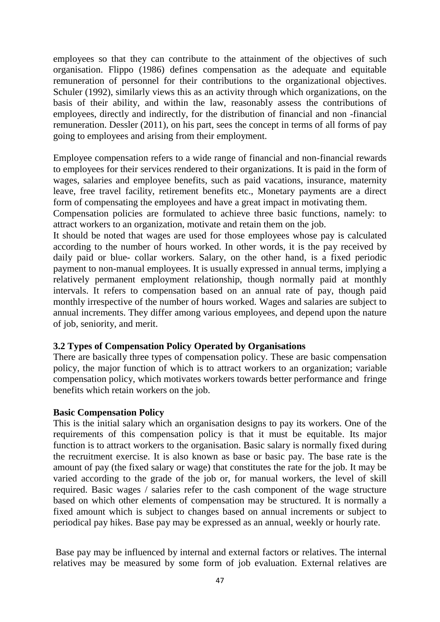employees so that they can contribute to the attainment of the objectives of such organisation. Flippo (1986) defines compensation as the adequate and equitable remuneration of personnel for their contributions to the organizational objectives. Schuler (1992), similarly views this as an activity through which organizations, on the basis of their ability, and within the law, reasonably assess the contributions of employees, directly and indirectly, for the distribution of financial and non -financial remuneration. Dessler (2011), on his part, sees the concept in terms of all forms of pay going to employees and arising from their employment.

Employee compensation refers to a wide range of financial and non-financial rewards to employees for their services rendered to their organizations. It is paid in the form of wages, salaries and employee benefits, such as paid vacations, insurance, maternity leave, free travel facility, retirement benefits etc., Monetary payments are a direct form of compensating the employees and have a great impact in motivating them.

Compensation policies are formulated to achieve three basic functions, namely: to attract workers to an organization, motivate and retain them on the job.

It should be noted that wages are used for those employees whose pay is calculated according to the number of hours worked. In other words, it is the pay received by daily paid or blue- collar workers. Salary, on the other hand, is a fixed periodic payment to non-manual employees. It is usually expressed in annual terms, implying a relatively permanent employment relationship, though normally paid at monthly intervals. It refers to compensation based on an annual rate of pay, though paid monthly irrespective of the number of hours worked. Wages and salaries are subject to annual increments. They differ among various employees, and depend upon the nature of job, seniority, and merit.

#### **3.2 Types of Compensation Policy Operated by Organisations**

There are basically three types of compensation policy. These are basic compensation policy, the major function of which is to attract workers to an organization; variable compensation policy, which motivates workers towards better performance and fringe benefits which retain workers on the job.

#### **Basic Compensation Policy**

This is the initial salary which an organisation designs to pay its workers. One of the requirements of this compensation policy is that it must be equitable. Its major function is to attract workers to the organisation. Basic salary is normally fixed during the recruitment exercise. It is also known as base or basic pay. The base rate is the amount of pay (the fixed salary or wage) that constitutes the rate for the job. It may be varied according to the grade of the job or, for manual workers, the level of skill required. Basic wages / salaries refer to the cash component of the wage structure based on which other elements of compensation may be structured. It is normally a fixed amount which is subject to changes based on annual increments or subject to periodical pay hikes. Base pay may be expressed as an annual, weekly or hourly rate.

Base pay may be influenced by internal and external factors or relatives. The internal relatives may be measured by some form of job evaluation. External relatives are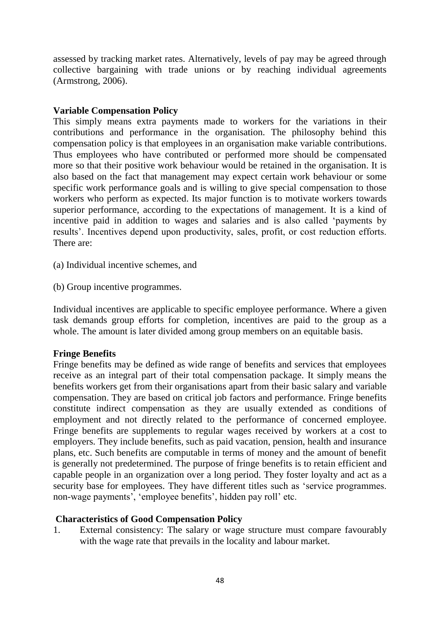assessed by tracking market rates. Alternatively, levels of pay may be agreed through collective bargaining with trade unions or by reaching individual agreements (Armstrong, 2006).

#### **Variable Compensation Policy**

This simply means extra payments made to workers for the variations in their contributions and performance in the organisation. The philosophy behind this compensation policy is that employees in an organisation make variable contributions. Thus employees who have contributed or performed more should be compensated more so that their positive work behaviour would be retained in the organisation. It is also based on the fact that management may expect certain work behaviour or some specific work performance goals and is willing to give special compensation to those workers who perform as expected. Its major function is to motivate workers towards superior performance, according to the expectations of management. It is a kind of incentive paid in addition to wages and salaries and is also called 'payments by results'. Incentives depend upon productivity, sales, profit, or cost reduction efforts. There are:

(a) Individual incentive schemes, and

(b) Group incentive programmes.

Individual incentives are applicable to specific employee performance. Where a given task demands group efforts for completion, incentives are paid to the group as a whole. The amount is later divided among group members on an equitable basis.

### **Fringe Benefits**

Fringe benefits may be defined as wide range of benefits and services that employees receive as an integral part of their total compensation package. It simply means the benefits workers get from their organisations apart from their basic salary and variable compensation. They are based on critical job factors and performance. Fringe benefits constitute indirect compensation as they are usually extended as conditions of employment and not directly related to the performance of concerned employee. Fringe benefits are supplements to regular wages received by workers at a cost to employers. They include benefits, such as paid vacation, pension, health and insurance plans, etc. Such benefits are computable in terms of money and the amount of benefit is generally not predetermined. The purpose of fringe benefits is to retain efficient and capable people in an organization over a long period. They foster loyalty and act as a security base for employees. They have different titles such as 'service programmes. non-wage payments', 'employee benefits', hidden pay roll' etc.

### **Characteristics of Good Compensation Policy**

1. External consistency: The salary or wage structure must compare favourably with the wage rate that prevails in the locality and labour market.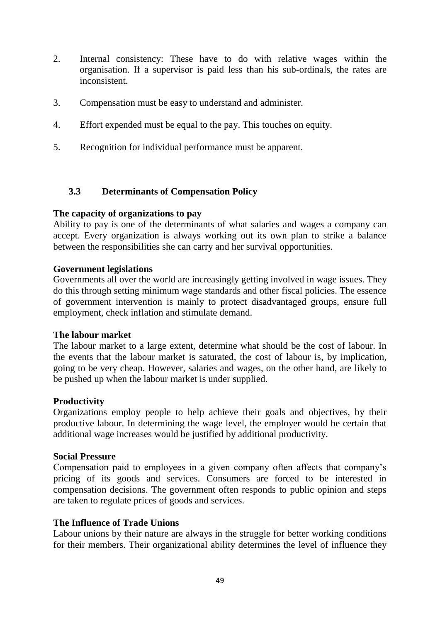- 2. Internal consistency: These have to do with relative wages within the organisation. If a supervisor is paid less than his sub-ordinals, the rates are inconsistent.
- 3. Compensation must be easy to understand and administer.
- 4. Effort expended must be equal to the pay. This touches on equity.
- 5. Recognition for individual performance must be apparent.

#### **3.3 Determinants of Compensation Policy**

#### **The capacity of organizations to pay**

Ability to pay is one of the determinants of what salaries and wages a company can accept. Every organization is always working out its own plan to strike a balance between the responsibilities she can carry and her survival opportunities.

#### **Government legislations**

Governments all over the world are increasingly getting involved in wage issues. They do this through setting minimum wage standards and other fiscal policies. The essence of government intervention is mainly to protect disadvantaged groups, ensure full employment, check inflation and stimulate demand.

#### **The labour market**

The labour market to a large extent, determine what should be the cost of labour. In the events that the labour market is saturated, the cost of labour is, by implication, going to be very cheap. However, salaries and wages, on the other hand, are likely to be pushed up when the labour market is under supplied.

#### **Productivity**

Organizations employ people to help achieve their goals and objectives, by their productive labour. In determining the wage level, the employer would be certain that additional wage increases would be justified by additional productivity.

#### **Social Pressure**

Compensation paid to employees in a given company often affects that company's pricing of its goods and services. Consumers are forced to be interested in compensation decisions. The government often responds to public opinion and steps are taken to regulate prices of goods and services.

#### **The Influence of Trade Unions**

Labour unions by their nature are always in the struggle for better working conditions for their members. Their organizational ability determines the level of influence they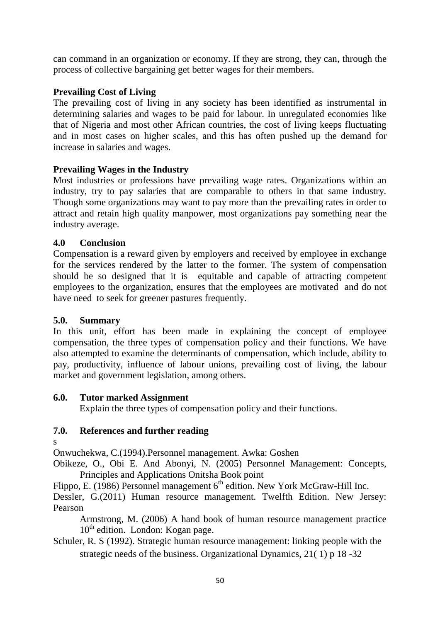can command in an organization or economy. If they are strong, they can, through the process of collective bargaining get better wages for their members.

# **Prevailing Cost of Living**

The prevailing cost of living in any society has been identified as instrumental in determining salaries and wages to be paid for labour. In unregulated economies like that of Nigeria and most other African countries, the cost of living keeps fluctuating and in most cases on higher scales, and this has often pushed up the demand for increase in salaries and wages.

# **Prevailing Wages in the Industry**

Most industries or professions have prevailing wage rates. Organizations within an industry, try to pay salaries that are comparable to others in that same industry. Though some organizations may want to pay more than the prevailing rates in order to attract and retain high quality manpower, most organizations pay something near the industry average.

### **4.0 Conclusion**

Compensation is a reward given by employers and received by employee in exchange for the services rendered by the latter to the former. The system of compensation should be so designed that it is equitable and capable of attracting competent employees to the organization, ensures that the employees are motivated and do not have need to seek for greener pastures frequently.

### **5.0. Summary**

In this unit, effort has been made in explaining the concept of employee compensation, the three types of compensation policy and their functions. We have also attempted to examine the determinants of compensation, which include, ability to pay, productivity, influence of labour unions, prevailing cost of living, the labour market and government legislation, among others.

### **6.0. Tutor marked Assignment**

Explain the three types of compensation policy and their functions.

### **7.0. References and further reading**

s

Onwuchekwa, C.(1994).Personnel management. Awka: Goshen

Obikeze, O., Obi E. And Abonyi, N. (2005) Personnel Management: Concepts, Principles and Applications Onitsha Book point

Flippo, E. (1986) Personnel management  $6<sup>th</sup>$  edition. New York McGraw-Hill Inc.

Dessler, G.(2011) Human resource management. Twelfth Edition. New Jersey: Pearson

Armstrong, M. (2006) A hand book of human resource management practice  $10<sup>th</sup>$  edition. London: Kogan page.

Schuler, R. S (1992). Strategic human resource management: linking people with the strategic needs of the business. Organizational Dynamics, 21( 1) p 18 -32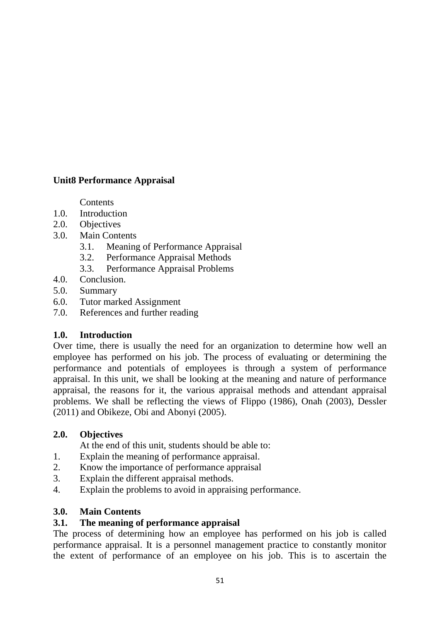# **Unit8 Performance Appraisal**

**Contents** 

- 1.0. Introduction
- 2.0. Objectives
- 3.0. Main Contents
	- 3.1. Meaning of Performance Appraisal
	- 3.2. Performance Appraisal Methods
	- 3.3. Performance Appraisal Problems
- 4.0. Conclusion.
- 5.0. Summary
- 6.0. Tutor marked Assignment
- 7.0. References and further reading

### **1.0. Introduction**

Over time, there is usually the need for an organization to determine how well an employee has performed on his job. The process of evaluating or determining the performance and potentials of employees is through a system of performance appraisal. In this unit, we shall be looking at the meaning and nature of performance appraisal, the reasons for it, the various appraisal methods and attendant appraisal problems. We shall be reflecting the views of Flippo (1986), Onah (2003), Dessler (2011) and Obikeze, Obi and Abonyi (2005).

### **2.0. Objectives**

At the end of this unit, students should be able to:

- 1. Explain the meaning of performance appraisal.
- 2. Know the importance of performance appraisal
- 3. Explain the different appraisal methods.
- 4. Explain the problems to avoid in appraising performance.

### **3.0. Main Contents**

# **3.1. The meaning of performance appraisal**

The process of determining how an employee has performed on his job is called performance appraisal. It is a personnel management practice to constantly monitor the extent of performance of an employee on his job. This is to ascertain the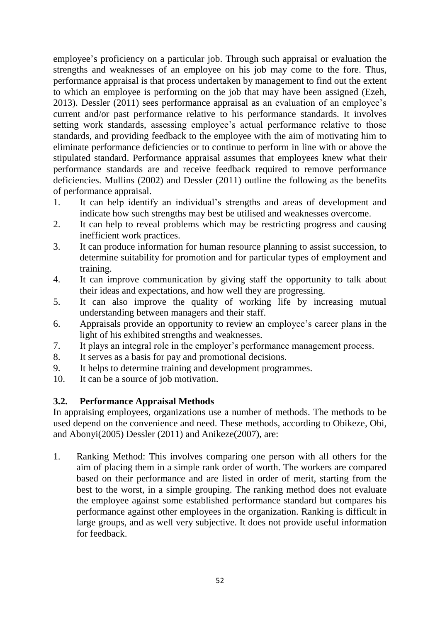employee's proficiency on a particular job. Through such appraisal or evaluation the strengths and weaknesses of an employee on his job may come to the fore. Thus, performance appraisal is that process undertaken by management to find out the extent to which an employee is performing on the job that may have been assigned (Ezeh, 2013). Dessler (2011) sees performance appraisal as an evaluation of an employee's current and/or past performance relative to his performance standards. It involves setting work standards, assessing employee's actual performance relative to those standards, and providing feedback to the employee with the aim of motivating him to eliminate performance deficiencies or to continue to perform in line with or above the stipulated standard. Performance appraisal assumes that employees knew what their performance standards are and receive feedback required to remove performance deficiencies. Mullins (2002) and Dessler (2011) outline the following as the benefits of performance appraisal.

- 1. It can help identify an individual's strengths and areas of development and indicate how such strengths may best be utilised and weaknesses overcome.
- 2. It can help to reveal problems which may be restricting progress and causing inefficient work practices.
- 3. It can produce information for human resource planning to assist succession, to determine suitability for promotion and for particular types of employment and training.
- 4. It can improve communication by giving staff the opportunity to talk about their ideas and expectations, and how well they are progressing.
- 5. It can also improve the quality of working life by increasing mutual understanding between managers and their staff.
- 6. Appraisals provide an opportunity to review an employee's career plans in the light of his exhibited strengths and weaknesses.
- 7. It plays an integral role in the employer's performance management process.
- 8. It serves as a basis for pay and promotional decisions.
- 9. It helps to determine training and development programmes.
- 10. It can be a source of job motivation.

### **3.2. Performance Appraisal Methods**

In appraising employees, organizations use a number of methods. The methods to be used depend on the convenience and need. These methods, according to Obikeze, Obi, and Abonyi(2005) Dessler (2011) and Anikeze(2007), are:

1. Ranking Method: This involves comparing one person with all others for the aim of placing them in a simple rank order of worth. The workers are compared based on their performance and are listed in order of merit, starting from the best to the worst, in a simple grouping. The ranking method does not evaluate the employee against some established performance standard but compares his performance against other employees in the organization. Ranking is difficult in large groups, and as well very subjective. It does not provide useful information for feedback.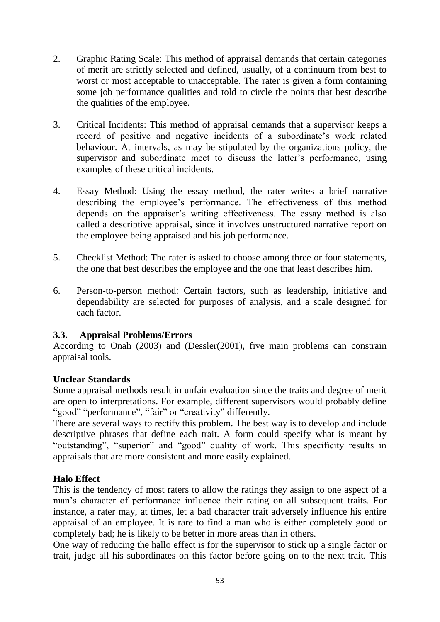- 2. Graphic Rating Scale: This method of appraisal demands that certain categories of merit are strictly selected and defined, usually, of a continuum from best to worst or most acceptable to unacceptable. The rater is given a form containing some job performance qualities and told to circle the points that best describe the qualities of the employee.
- 3. Critical Incidents: This method of appraisal demands that a supervisor keeps a record of positive and negative incidents of a subordinate's work related behaviour. At intervals, as may be stipulated by the organizations policy, the supervisor and subordinate meet to discuss the latter's performance, using examples of these critical incidents.
- 4. Essay Method: Using the essay method, the rater writes a brief narrative describing the employee's performance. The effectiveness of this method depends on the appraiser's writing effectiveness. The essay method is also called a descriptive appraisal, since it involves unstructured narrative report on the employee being appraised and his job performance.
- 5. Checklist Method: The rater is asked to choose among three or four statements, the one that best describes the employee and the one that least describes him.
- 6. Person-to-person method: Certain factors, such as leadership, initiative and dependability are selected for purposes of analysis, and a scale designed for each factor.

### **3.3. Appraisal Problems/Errors**

According to Onah (2003) and (Dessler(2001), five main problems can constrain appraisal tools.

### **Unclear Standards**

Some appraisal methods result in unfair evaluation since the traits and degree of merit are open to interpretations. For example, different supervisors would probably define "good" "performance", "fair" or "creativity" differently.

There are several ways to rectify this problem. The best way is to develop and include descriptive phrases that define each trait. A form could specify what is meant by "outstanding", "superior" and "good" quality of work. This specificity results in appraisals that are more consistent and more easily explained.

### **Halo Effect**

This is the tendency of most raters to allow the ratings they assign to one aspect of a man's character of performance influence their rating on all subsequent traits. For instance, a rater may, at times, let a bad character trait adversely influence his entire appraisal of an employee. It is rare to find a man who is either completely good or completely bad; he is likely to be better in more areas than in others.

One way of reducing the hallo effect is for the supervisor to stick up a single factor or trait, judge all his subordinates on this factor before going on to the next trait. This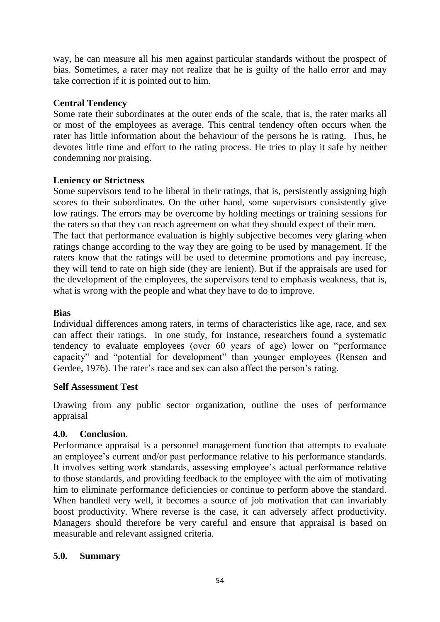way, he can measure all his men against particular standards without the prospect of bias. Sometimes, a rater may not realize that he is guilty of the hallo error and may take correction if it is pointed out to him.

## **Central Tendency**

Some rate their subordinates at the outer ends of the scale, that is, the rater marks all or most of the employees as average. This central tendency often occurs when the rater has little information about the behaviour of the persons he is rating. Thus, he devotes little time and effort to the rating process. He tries to play it safe by neither condemning nor praising.

# **Leniency or Strictness**

Some supervisors tend to be liberal in their ratings, that is, persistently assigning high scores to their subordinates. On the other hand, some supervisors consistently give low ratings. The errors may be overcome by holding meetings or training sessions for the raters so that they can reach agreement on what they should expect of their men. The fact that performance evaluation is highly subjective becomes very glaring when ratings change according to the way they are going to be used by management. If the raters know that the ratings will be used to determine promotions and pay increase, they will tend to rate on high side (they are lenient). But if the appraisals are used for the development of the employees, the supervisors tend to emphasis weakness, that is, what is wrong with the people and what they have to do to improve.

### **Bias**

Individual differences among raters, in terms of characteristics like age, race, and sex can affect their ratings. In one study, for instance, researchers found a systematic tendency to evaluate employees (over 60 years of age) lower on "performance capacity" and "potential for development" than younger employees (Rensen and Gerdee, 1976). The rater's race and sex can also affect the person's rating.

### **Self Assessment Test**

Drawing from any public sector organization, outline the uses of performance appraisal

### **4.0. Conclusion**.

Performance appraisal is a personnel management function that attempts to evaluate an employee's current and/or past performance relative to his performance standards. It involves setting work standards, assessing employee's actual performance relative to those standards, and providing feedback to the employee with the aim of motivating him to eliminate performance deficiencies or continue to perform above the standard. When handled very well, it becomes a source of job motivation that can invariably boost productivity. Where reverse is the case, it can adversely affect productivity. Managers should therefore be very careful and ensure that appraisal is based on measurable and relevant assigned criteria.

### **5.0. Summary**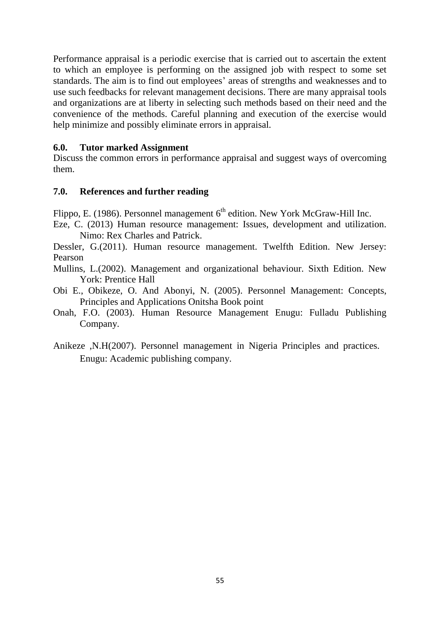Performance appraisal is a periodic exercise that is carried out to ascertain the extent to which an employee is performing on the assigned job with respect to some set standards. The aim is to find out employees' areas of strengths and weaknesses and to use such feedbacks for relevant management decisions. There are many appraisal tools and organizations are at liberty in selecting such methods based on their need and the convenience of the methods. Careful planning and execution of the exercise would help minimize and possibly eliminate errors in appraisal.

#### **6.0. Tutor marked Assignment**

Discuss the common errors in performance appraisal and suggest ways of overcoming them.

#### **7.0. References and further reading**

Flippo, E. (1986). Personnel management  $6<sup>th</sup>$  edition. New York McGraw-Hill Inc.

Eze, C. (2013) Human resource management: Issues, development and utilization. Nimo: Rex Charles and Patrick.

Dessler, G.(2011). Human resource management. Twelfth Edition. New Jersey: Pearson

- Mullins, L.(2002). Management and organizational behaviour. Sixth Edition. New York: Prentice Hall
- Obi E., Obikeze, O. And Abonyi, N. (2005). Personnel Management: Concepts, Principles and Applications Onitsha Book point
- Onah, F.O. (2003). Human Resource Management Enugu: Fulladu Publishing Company.
- Anikeze ,N.H(2007). Personnel management in Nigeria Principles and practices. Enugu: Academic publishing company.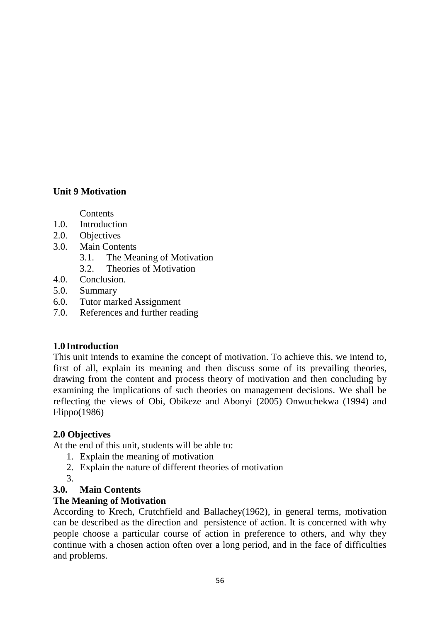# **Unit 9 Motivation**

Contents

- 1.0. Introduction
- 2.0. Objectives
- 3.0. Main Contents
	- 3.1. The Meaning of Motivation
	- 3.2. Theories of Motivation
- 4.0. Conclusion.
- 5.0. Summary
- 6.0. Tutor marked Assignment
- 7.0. References and further reading

# **1.0 Introduction**

This unit intends to examine the concept of motivation. To achieve this, we intend to, first of all, explain its meaning and then discuss some of its prevailing theories, drawing from the content and process theory of motivation and then concluding by examining the implications of such theories on management decisions. We shall be reflecting the views of Obi, Obikeze and Abonyi (2005) Onwuchekwa (1994) and Flippo(1986)

### **2.0 Objectives**

At the end of this unit, students will be able to:

- 1. Explain the meaning of motivation
- 2. Explain the nature of different theories of motivation
- 3.

# **3.0. Main Contents**

### **The Meaning of Motivation**

According to Krech, Crutchfield and Ballachey(1962), in general terms, motivation can be described as the direction and persistence of action. It is concerned with why people choose a particular course of action in preference to others, and why they continue with a chosen action often over a long period, and in the face of difficulties and problems.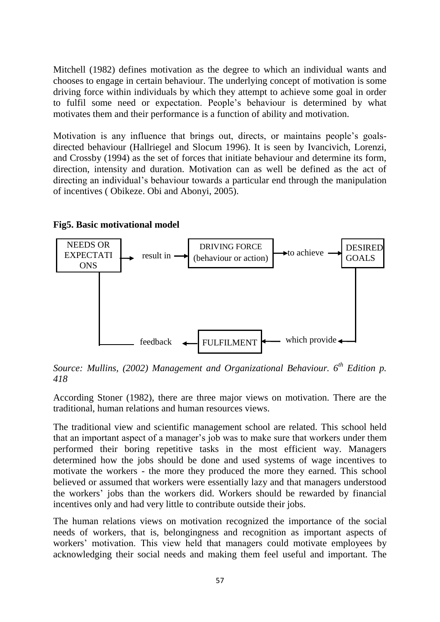Mitchell (1982) defines motivation as the degree to which an individual wants and chooses to engage in certain behaviour. The underlying concept of motivation is some driving force within individuals by which they attempt to achieve some goal in order to fulfil some need or expectation. People's behaviour is determined by what motivates them and their performance is a function of ability and motivation.

Motivation is any influence that brings out, directs, or maintains people's goalsdirected behaviour (Hallriegel and Slocum 1996). It is seen by Ivancivich, Lorenzi, and Crossby (1994) as the set of forces that initiate behaviour and determine its form, direction, intensity and duration. Motivation can as well be defined as the act of directing an individual's behaviour towards a particular end through the manipulation of incentives ( Obikeze. Obi and Abonyi, 2005).



#### **Fig5. Basic motivational model**

*Source: Mullins, (2002) Management and Organizational Behaviour. 6th Edition p. 418*

According Stoner (1982), there are three major views on motivation. There are the traditional, human relations and human resources views.

The traditional view and scientific management school are related. This school held that an important aspect of a manager's job was to make sure that workers under them performed their boring repetitive tasks in the most efficient way. Managers determined how the jobs should be done and used systems of wage incentives to motivate the workers - the more they produced the more they earned. This school believed or assumed that workers were essentially lazy and that managers understood the workers' jobs than the workers did. Workers should be rewarded by financial incentives only and had very little to contribute outside their jobs.

The human relations views on motivation recognized the importance of the social needs of workers, that is, belongingness and recognition as important aspects of workers' motivation. This view held that managers could motivate employees by acknowledging their social needs and making them feel useful and important. The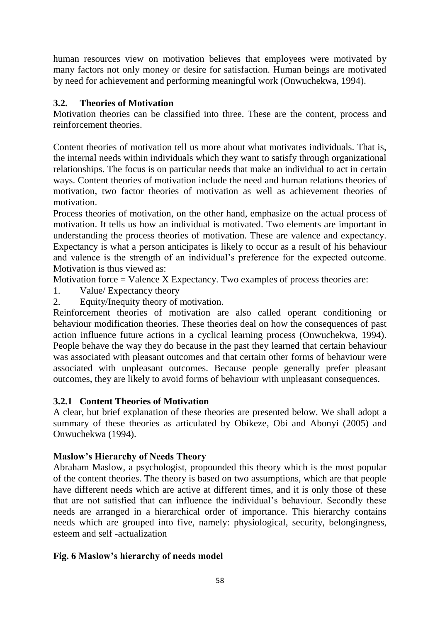human resources view on motivation believes that employees were motivated by many factors not only money or desire for satisfaction. Human beings are motivated by need for achievement and performing meaningful work (Onwuchekwa, 1994).

# **3.2. Theories of Motivation**

Motivation theories can be classified into three. These are the content, process and reinforcement theories.

Content theories of motivation tell us more about what motivates individuals. That is, the internal needs within individuals which they want to satisfy through organizational relationships. The focus is on particular needs that make an individual to act in certain ways. Content theories of motivation include the need and human relations theories of motivation, two factor theories of motivation as well as achievement theories of motivation.

Process theories of motivation, on the other hand, emphasize on the actual process of motivation. It tells us how an individual is motivated. Two elements are important in understanding the process theories of motivation. These are valence and expectancy. Expectancy is what a person anticipates is likely to occur as a result of his behaviour and valence is the strength of an individual's preference for the expected outcome. Motivation is thus viewed as:

Motivation force  $=$  Valence X Expectancy. Two examples of process theories are:

- 1. Value/ Expectancy theory
- 2. Equity/Inequity theory of motivation.

Reinforcement theories of motivation are also called operant conditioning or behaviour modification theories. These theories deal on how the consequences of past action influence future actions in a cyclical learning process (Onwuchekwa, 1994). People behave the way they do because in the past they learned that certain behaviour was associated with pleasant outcomes and that certain other forms of behaviour were associated with unpleasant outcomes. Because people generally prefer pleasant outcomes, they are likely to avoid forms of behaviour with unpleasant consequences.

### **3.2.1 Content Theories of Motivation**

A clear, but brief explanation of these theories are presented below. We shall adopt a summary of these theories as articulated by Obikeze, Obi and Abonyi (2005) and Onwuchekwa (1994).

# **Maslow's Hierarchy of Needs Theory**

Abraham Maslow, a psychologist, propounded this theory which is the most popular of the content theories. The theory is based on two assumptions, which are that people have different needs which are active at different times, and it is only those of these that are not satisfied that can influence the individual's behaviour. Secondly these needs are arranged in a hierarchical order of importance. This hierarchy contains needs which are grouped into five, namely: physiological, security, belongingness, esteem and self -actualization

# **Fig. 6 Maslow's hierarchy of needs model**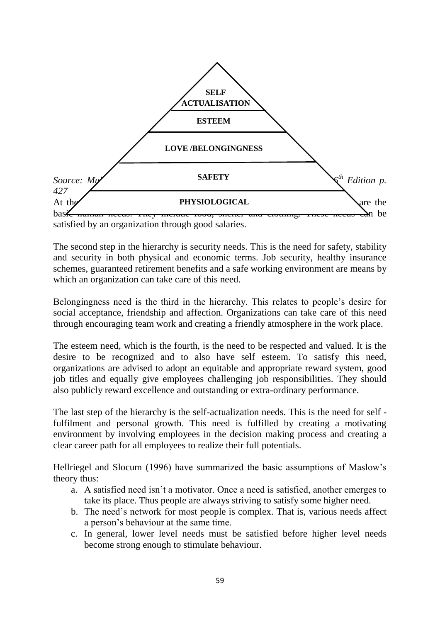

The second step in the hierarchy is security needs. This is the need for safety, stability and security in both physical and economic terms. Job security, healthy insurance schemes, guaranteed retirement benefits and a safe working environment are means by which an organization can take care of this need.

Belongingness need is the third in the hierarchy. This relates to people's desire for social acceptance, friendship and affection. Organizations can take care of this need through encouraging team work and creating a friendly atmosphere in the work place.

The esteem need, which is the fourth, is the need to be respected and valued. It is the desire to be recognized and to also have self esteem. To satisfy this need, organizations are advised to adopt an equitable and appropriate reward system, good job titles and equally give employees challenging job responsibilities. They should also publicly reward excellence and outstanding or extra-ordinary performance.

The last step of the hierarchy is the self-actualization needs. This is the need for self fulfilment and personal growth. This need is fulfilled by creating a motivating environment by involving employees in the decision making process and creating a clear career path for all employees to realize their full potentials.

Hellriegel and Slocum (1996) have summarized the basic assumptions of Maslow's theory thus:

- a. A satisfied need isn't a motivator. Once a need is satisfied, another emerges to take its place. Thus people are always striving to satisfy some higher need.
- b. The need's network for most people is complex. That is, various needs affect a person's behaviour at the same time.
- c. In general, lower level needs must be satisfied before higher level needs become strong enough to stimulate behaviour.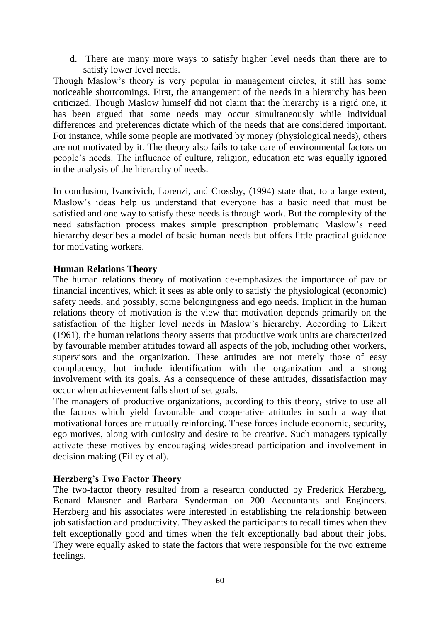d. There are many more ways to satisfy higher level needs than there are to satisfy lower level needs.

Though Maslow's theory is very popular in management circles, it still has some noticeable shortcomings. First, the arrangement of the needs in a hierarchy has been criticized. Though Maslow himself did not claim that the hierarchy is a rigid one, it has been argued that some needs may occur simultaneously while individual differences and preferences dictate which of the needs that are considered important. For instance, while some people are motivated by money (physiological needs), others are not motivated by it. The theory also fails to take care of environmental factors on people's needs. The influence of culture, religion, education etc was equally ignored in the analysis of the hierarchy of needs.

In conclusion, Ivancivich, Lorenzi, and Crossby, (1994) state that, to a large extent, Maslow's ideas help us understand that everyone has a basic need that must be satisfied and one way to satisfy these needs is through work. But the complexity of the need satisfaction process makes simple prescription problematic Maslow's need hierarchy describes a model of basic human needs but offers little practical guidance for motivating workers.

#### **Human Relations Theory**

The human relations theory of motivation de-emphasizes the importance of pay or financial incentives, which it sees as able only to satisfy the physiological (economic) safety needs, and possibly, some belongingness and ego needs. Implicit in the human relations theory of motivation is the view that motivation depends primarily on the satisfaction of the higher level needs in Maslow's hierarchy. According to Likert (1961), the human relations theory asserts that productive work units are characterized by favourable member attitudes toward all aspects of the job, including other workers, supervisors and the organization. These attitudes are not merely those of easy complacency, but include identification with the organization and a strong involvement with its goals. As a consequence of these attitudes, dissatisfaction may occur when achievement falls short of set goals.

The managers of productive organizations, according to this theory, strive to use all the factors which yield favourable and cooperative attitudes in such a way that motivational forces are mutually reinforcing. These forces include economic, security, ego motives, along with curiosity and desire to be creative. Such managers typically activate these motives by encouraging widespread participation and involvement in decision making (Filley et al).

#### **Herzberg's Two Factor Theory**

The two-factor theory resulted from a research conducted by Frederick Herzberg, Benard Mausner and Barbara Synderman on 200 Accountants and Engineers. Herzberg and his associates were interested in establishing the relationship between job satisfaction and productivity. They asked the participants to recall times when they felt exceptionally good and times when the felt exceptionally bad about their jobs. They were equally asked to state the factors that were responsible for the two extreme feelings.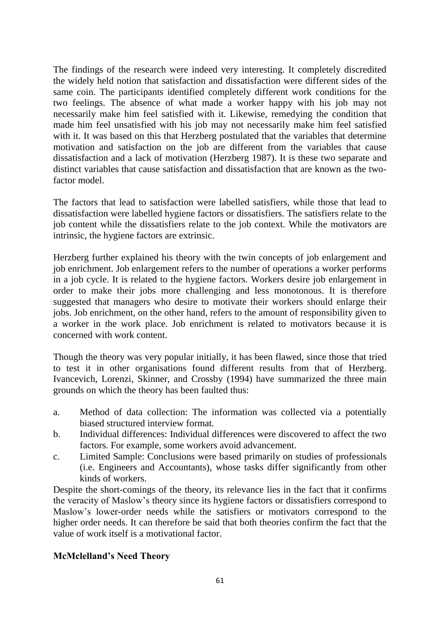The findings of the research were indeed very interesting. It completely discredited the widely held notion that satisfaction and dissatisfaction were different sides of the same coin. The participants identified completely different work conditions for the two feelings. The absence of what made a worker happy with his job may not necessarily make him feel satisfied with it. Likewise, remedying the condition that made him feel unsatisfied with his job may not necessarily make him feel satisfied with it. It was based on this that Herzberg postulated that the variables that determine motivation and satisfaction on the job are different from the variables that cause dissatisfaction and a lack of motivation (Herzberg 1987). It is these two separate and distinct variables that cause satisfaction and dissatisfaction that are known as the twofactor model.

The factors that lead to satisfaction were labelled satisfiers, while those that lead to dissatisfaction were labelled hygiene factors or dissatisfiers. The satisfiers relate to the job content while the dissatisfiers relate to the job context. While the motivators are intrinsic, the hygiene factors are extrinsic.

Herzberg further explained his theory with the twin concepts of job enlargement and job enrichment. Job enlargement refers to the number of operations a worker performs in a job cycle. It is related to the hygiene factors. Workers desire job enlargement in order to make their jobs more challenging and less monotonous. It is therefore suggested that managers who desire to motivate their workers should enlarge their jobs. Job enrichment, on the other hand, refers to the amount of responsibility given to a worker in the work place. Job enrichment is related to motivators because it is concerned with work content.

Though the theory was very popular initially, it has been flawed, since those that tried to test it in other organisations found different results from that of Herzberg. Ivancevich, Lorenzi, Skinner, and Crossby (1994) have summarized the three main grounds on which the theory has been faulted thus:

- a. Method of data collection: The information was collected via a potentially biased structured interview format.
- b. Individual differences: Individual differences were discovered to affect the two factors. For example, some workers avoid advancement.
- c. Limited Sample: Conclusions were based primarily on studies of professionals (i.e. Engineers and Accountants), whose tasks differ significantly from other kinds of workers.

Despite the short-comings of the theory, its relevance lies in the fact that it confirms the veracity of Maslow's theory since its hygiene factors or dissatisfiers correspond to Maslow's lower-order needs while the satisfiers or motivators correspond to the higher order needs. It can therefore be said that both theories confirm the fact that the value of work itself is a motivational factor.

# **McMclelland's Need Theory**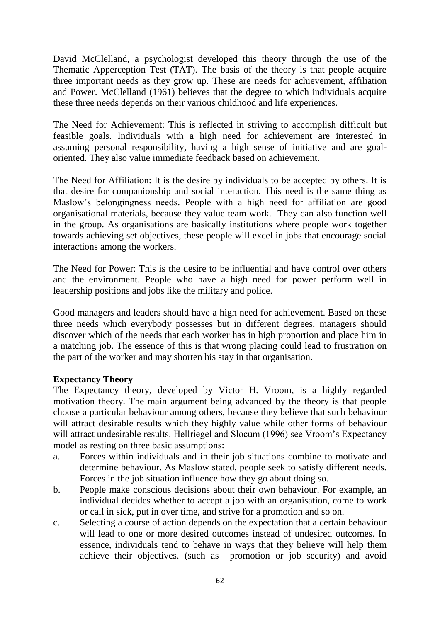David McClelland, a psychologist developed this theory through the use of the Thematic Apperception Test (TAT). The basis of the theory is that people acquire three important needs as they grow up. These are needs for achievement, affiliation and Power. McClelland (1961) believes that the degree to which individuals acquire these three needs depends on their various childhood and life experiences.

The Need for Achievement: This is reflected in striving to accomplish difficult but feasible goals. Individuals with a high need for achievement are interested in assuming personal responsibility, having a high sense of initiative and are goaloriented. They also value immediate feedback based on achievement.

The Need for Affiliation: It is the desire by individuals to be accepted by others. It is that desire for companionship and social interaction. This need is the same thing as Maslow's belongingness needs. People with a high need for affiliation are good organisational materials, because they value team work. They can also function well in the group. As organisations are basically institutions where people work together towards achieving set objectives, these people will excel in jobs that encourage social interactions among the workers.

The Need for Power: This is the desire to be influential and have control over others and the environment. People who have a high need for power perform well in leadership positions and jobs like the military and police.

Good managers and leaders should have a high need for achievement. Based on these three needs which everybody possesses but in different degrees, managers should discover which of the needs that each worker has in high proportion and place him in a matching job. The essence of this is that wrong placing could lead to frustration on the part of the worker and may shorten his stay in that organisation.

### **Expectancy Theory**

The Expectancy theory, developed by Victor H. Vroom, is a highly regarded motivation theory. The main argument being advanced by the theory is that people choose a particular behaviour among others, because they believe that such behaviour will attract desirable results which they highly value while other forms of behaviour will attract undesirable results. Hellriegel and Slocum (1996) see Vroom's Expectancy model as resting on three basic assumptions:

- a. Forces within individuals and in their job situations combine to motivate and determine behaviour. As Maslow stated, people seek to satisfy different needs. Forces in the job situation influence how they go about doing so.
- b. People make conscious decisions about their own behaviour. For example, an individual decides whether to accept a job with an organisation, come to work or call in sick, put in over time, and strive for a promotion and so on.
- c. Selecting a course of action depends on the expectation that a certain behaviour will lead to one or more desired outcomes instead of undesired outcomes. In essence, individuals tend to behave in ways that they believe will help them achieve their objectives. (such as promotion or job security) and avoid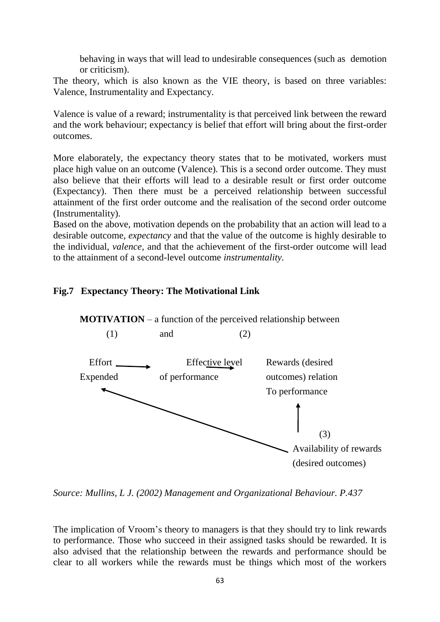behaving in ways that will lead to undesirable consequences (such as demotion or criticism).

The theory, which is also known as the VIE theory, is based on three variables: Valence, Instrumentality and Expectancy.

Valence is value of a reward; instrumentality is that perceived link between the reward and the work behaviour; expectancy is belief that effort will bring about the first-order outcomes.

More elaborately, the expectancy theory states that to be motivated, workers must place high value on an outcome (Valence). This is a second order outcome. They must also believe that their efforts will lead to a desirable result or first order outcome (Expectancy). Then there must be a perceived relationship between successful attainment of the first order outcome and the realisation of the second order outcome (Instrumentality).

Based on the above, motivation depends on the probability that an action will lead to a desirable outcome, *expectancy* and that the value of the outcome is highly desirable to the individual, *valence,* and that the achievement of the first-order outcome will lead to the attainment of a second-level outcome *instrumentality.*

#### **Fig.7 Expectancy Theory: The Motivational Link**



*Source: Mullins, L J. (2002) Management and Organizational Behaviour. P.437*

The implication of Vroom's theory to managers is that they should try to link rewards to performance. Those who succeed in their assigned tasks should be rewarded. It is also advised that the relationship between the rewards and performance should be clear to all workers while the rewards must be things which most of the workers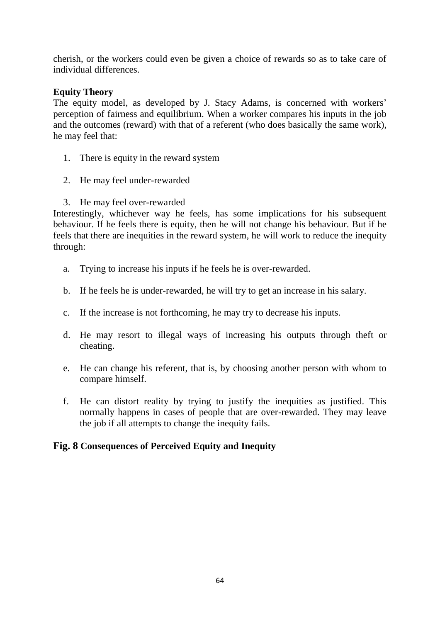cherish, or the workers could even be given a choice of rewards so as to take care of individual differences.

# **Equity Theory**

The equity model, as developed by J. Stacy Adams, is concerned with workers' perception of fairness and equilibrium. When a worker compares his inputs in the job and the outcomes (reward) with that of a referent (who does basically the same work), he may feel that:

- 1. There is equity in the reward system
- 2. He may feel under-rewarded
- 3. He may feel over-rewarded

Interestingly, whichever way he feels, has some implications for his subsequent behaviour. If he feels there is equity, then he will not change his behaviour. But if he feels that there are inequities in the reward system, he will work to reduce the inequity through:

- a. Trying to increase his inputs if he feels he is over-rewarded.
- b. If he feels he is under-rewarded, he will try to get an increase in his salary.
- c. If the increase is not forthcoming, he may try to decrease his inputs.
- d. He may resort to illegal ways of increasing his outputs through theft or cheating.
- e. He can change his referent, that is, by choosing another person with whom to compare himself.
- f. He can distort reality by trying to justify the inequities as justified. This normally happens in cases of people that are over-rewarded. They may leave the job if all attempts to change the inequity fails.

# **Fig. 8 Consequences of Perceived Equity and Inequity**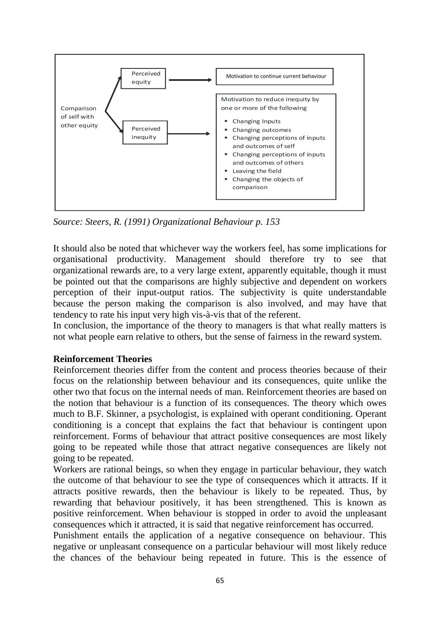

*Source: Steers, R. (1991) Organizational Behaviour p. 153*

It should also be noted that whichever way the workers feel, has some implications for organisational productivity. Management should therefore try to see that organizational rewards are, to a very large extent, apparently equitable, though it must be pointed out that the comparisons are highly subjective and dependent on workers perception of their input-output ratios. The subjectivity is quite understandable because the person making the comparison is also involved, and may have that tendency to rate his input very high vis-à-vis that of the referent.

In conclusion, the importance of the theory to managers is that what really matters is not what people earn relative to others, but the sense of fairness in the reward system.

### **Reinforcement Theories**

Reinforcement theories differ from the content and process theories because of their focus on the relationship between behaviour and its consequences, quite unlike the other two that focus on the internal needs of man. Reinforcement theories are based on the notion that behaviour is a function of its consequences. The theory which owes much to B.F. Skinner, a psychologist, is explained with operant conditioning. Operant conditioning is a concept that explains the fact that behaviour is contingent upon reinforcement. Forms of behaviour that attract positive consequences are most likely going to be repeated while those that attract negative consequences are likely not going to be repeated.

Workers are rational beings, so when they engage in particular behaviour, they watch the outcome of that behaviour to see the type of consequences which it attracts. If it attracts positive rewards, then the behaviour is likely to be repeated. Thus, by rewarding that behaviour positively, it has been strengthened. This is known as positive reinforcement. When behaviour is stopped in order to avoid the unpleasant consequences which it attracted, it is said that negative reinforcement has occurred.

Punishment entails the application of a negative consequence on behaviour. This negative or unpleasant consequence on a particular behaviour will most likely reduce the chances of the behaviour being repeated in future. This is the essence of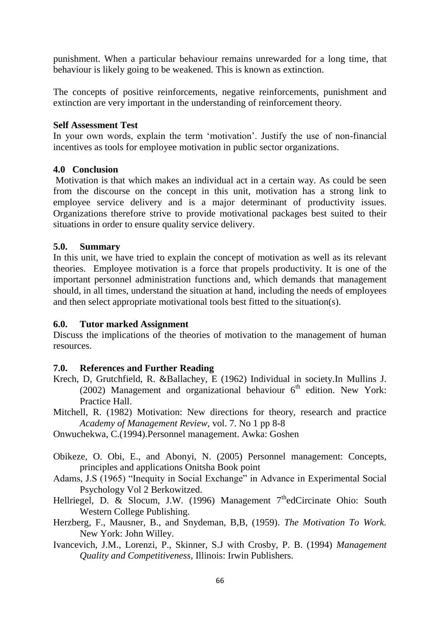punishment. When a particular behaviour remains unrewarded for a long time, that behaviour is likely going to be weakened. This is known as extinction.

The concepts of positive reinforcements, negative reinforcements, punishment and extinction are very important in the understanding of reinforcement theory.

#### **Self Assessment Test**

In your own words, explain the term 'motivation'. Justify the use of non-financial incentives as tools for employee motivation in public sector organizations.

### **4.0 Conclusion**

Motivation is that which makes an individual act in a certain way. As could be seen from the discourse on the concept in this unit, motivation has a strong link to employee service delivery and is a major determinant of productivity issues. Organizations therefore strive to provide motivational packages best suited to their situations in order to ensure quality service delivery.

#### **5.0. Summary**

In this unit, we have tried to explain the concept of motivation as well as its relevant theories. Employee motivation is a force that propels productivity. It is one of the important personnel administration functions and, which demands that management should, in all times, understand the situation at hand, including the needs of employees and then select appropriate motivational tools best fitted to the situation(s).

#### **6.0. Tutor marked Assignment**

Discuss the implications of the theories of motivation to the management of human resources.

### **7.0. References and Further Reading**

- Krech, D, Grutchfield, R. &Ballachey, E (1962) Individual in society.In Mullins J. (2002) Management and organizational behaviour  $6<sup>th</sup>$  edition. New York: Practice Hall.
- Mitchell, R. (1982) Motivation: New directions for theory, research and practice *Academy of Management Review*, vol. 7. No 1 pp 8-8

Onwuchekwa, C.(1994).Personnel management. Awka: Goshen

- Obikeze, O. Obi, E., and Abonyi, N. (2005) Personnel management: Concepts, principles and applications Onitsha Book point
- Adams, J.S (1965) "Inequity in Social Exchange" in Advance in Experimental Social Psychology Vol 2 Berkowitzed.
- Hellriegel, D. & Slocum, J.W. (1996) Management 7<sup>th</sup>edCircinate Ohio: South Western College Publishing.
- Herzberg, F., Mausner, B., and Snydeman, B,B, (1959). *The Motivation To Work.* New York: John Willey.
- Ivancevich, J.M., Lorenzi, P., Skinner, S.J with Crosby, P. B. (1994) *Management Quality and Competitiveness,* Illinois: Irwin Publishers.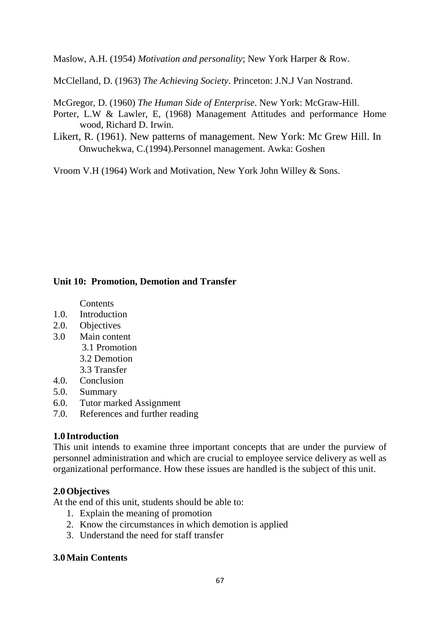Maslow, A.H. (1954) *Motivation and personality*; New York Harper & Row.

McClelland, D. (1963) *The Achieving Society*. Princeton: J.N.J Van Nostrand.

McGregor, D. (1960) *The Human Side of Enterprise*. New York: McGraw-Hill.

- Porter, L.W & Lawler, E, (1968) Management Attitudes and performance Home wood, Richard D. Irwin.
- Likert, R. (1961). New patterns of management. New York: Mc Grew Hill. In Onwuchekwa, C.(1994).Personnel management. Awka: Goshen

Vroom V.H (1964) Work and Motivation, New York John Willey & Sons.

# **Unit 10: Promotion, Demotion and Transfer**

Contents

- 1.0. Introduction
- 2.0. Objectives
- 3.0 Main content 3.1 Promotion 3.2 Demotion 3.3 Transfer
- 4.0. Conclusion
- 5.0. Summary
- 6.0. Tutor marked Assignment
- 7.0. References and further reading

# **1.0 Introduction**

This unit intends to examine three important concepts that are under the purview of personnel administration and which are crucial to employee service delivery as well as organizational performance. How these issues are handled is the subject of this unit.

# **2.0Objectives**

At the end of this unit, students should be able to:

- 1. Explain the meaning of promotion
- 2. Know the circumstances in which demotion is applied
- 3. Understand the need for staff transfer

### **3.0Main Contents**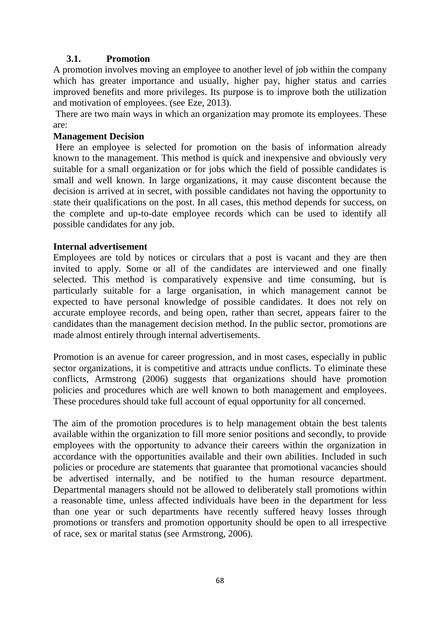#### **3.1. Promotion**

A promotion involves moving an employee to another level of job within the company which has greater importance and usually, higher pay, higher status and carries improved benefits and more privileges. Its purpose is to improve both the utilization and motivation of employees. (see Eze, 2013).

There are two main ways in which an organization may promote its employees. These are:

#### **Management Decision**

Here an employee is selected for promotion on the basis of information already known to the management. This method is quick and inexpensive and obviously very suitable for a small organization or for jobs which the field of possible candidates is small and well known. In large organizations, it may cause discontent because the decision is arrived at in secret, with possible candidates not having the opportunity to state their qualifications on the post. In all cases, this method depends for success, on the complete and up-to-date employee records which can be used to identify all possible candidates for any job.

#### **Internal advertisement**

Employees are told by notices or circulars that a post is vacant and they are then invited to apply. Some or all of the candidates are interviewed and one finally selected. This method is comparatively expensive and time consuming, but is particularly suitable for a large organisation, in which management cannot be expected to have personal knowledge of possible candidates. It does not rely on accurate employee records, and being open, rather than secret, appears fairer to the candidates than the management decision method. In the public sector, promotions are made almost entirely through internal advertisements.

Promotion is an avenue for career progression, and in most cases, especially in public sector organizations, it is competitive and attracts undue conflicts. To eliminate these conflicts, Armstrong (2006) suggests that organizations should have promotion policies and procedures which are well known to both management and employees. These procedures should take full account of equal opportunity for all concerned.

The aim of the promotion procedures is to help management obtain the best talents available within the organization to fill more senior positions and secondly, to provide employees with the opportunity to advance their careers within the organization in accordance with the opportunities available and their own abilities. Included in such policies or procedure are statements that guarantee that promotional vacancies should be advertised internally, and be notified to the human resource department. Departmental managers should not be allowed to deliberately stall promotions within a reasonable time, unless affected individuals have been in the department for less than one year or such departments have recently suffered heavy losses through promotions or transfers and promotion opportunity should be open to all irrespective of race, sex or marital status (see Armstrong, 2006).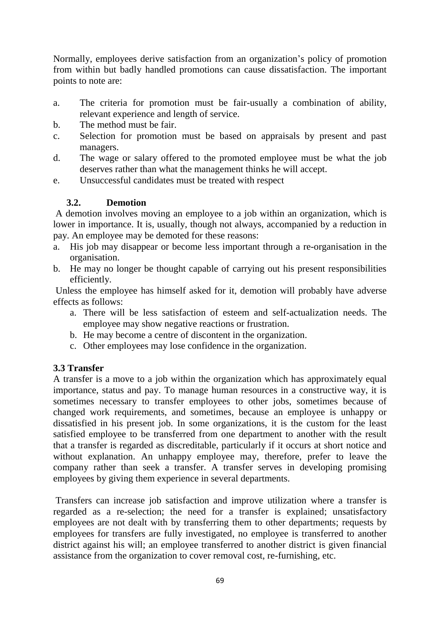Normally, employees derive satisfaction from an organization's policy of promotion from within but badly handled promotions can cause dissatisfaction. The important points to note are:

- a. The criteria for promotion must be fair-usually a combination of ability, relevant experience and length of service.
- b. The method must be fair.
- c. Selection for promotion must be based on appraisals by present and past managers.
- d. The wage or salary offered to the promoted employee must be what the job deserves rather than what the management thinks he will accept.
- e. Unsuccessful candidates must be treated with respect

# **3.2. Demotion**

A demotion involves moving an employee to a job within an organization, which is lower in importance. It is, usually, though not always, accompanied by a reduction in pay. An employee may be demoted for these reasons:

- a. His job may disappear or become less important through a re-organisation in the organisation.
- b. He may no longer be thought capable of carrying out his present responsibilities efficiently.

Unless the employee has himself asked for it, demotion will probably have adverse effects as follows:

- a. There will be less satisfaction of esteem and self-actualization needs. The employee may show negative reactions or frustration.
- b. He may become a centre of discontent in the organization.
- c. Other employees may lose confidence in the organization.

### **3.3 Transfer**

A transfer is a move to a job within the organization which has approximately equal importance, status and pay. To manage human resources in a constructive way, it is sometimes necessary to transfer employees to other jobs, sometimes because of changed work requirements, and sometimes, because an employee is unhappy or dissatisfied in his present job. In some organizations, it is the custom for the least satisfied employee to be transferred from one department to another with the result that a transfer is regarded as discreditable, particularly if it occurs at short notice and without explanation. An unhappy employee may, therefore, prefer to leave the company rather than seek a transfer. A transfer serves in developing promising employees by giving them experience in several departments.

Transfers can increase job satisfaction and improve utilization where a transfer is regarded as a re-selection; the need for a transfer is explained; unsatisfactory employees are not dealt with by transferring them to other departments; requests by employees for transfers are fully investigated, no employee is transferred to another district against his will; an employee transferred to another district is given financial assistance from the organization to cover removal cost, re-furnishing, etc.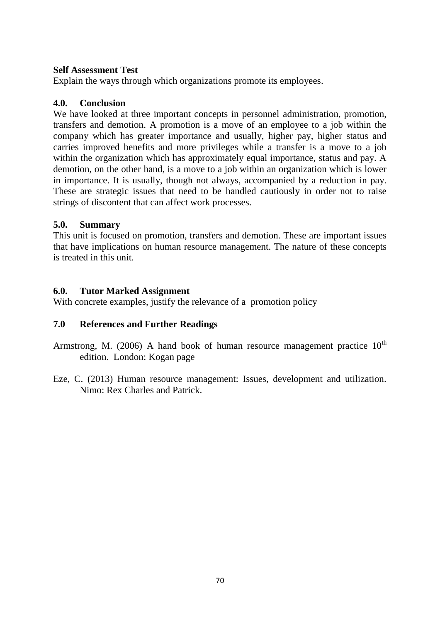#### **Self Assessment Test**

Explain the ways through which organizations promote its employees.

### **4.0. Conclusion**

We have looked at three important concepts in personnel administration, promotion, transfers and demotion. A promotion is a move of an employee to a job within the company which has greater importance and usually, higher pay, higher status and carries improved benefits and more privileges while a transfer is a move to a job within the organization which has approximately equal importance, status and pay. A demotion, on the other hand, is a move to a job within an organization which is lower in importance. It is usually, though not always, accompanied by a reduction in pay. These are strategic issues that need to be handled cautiously in order not to raise strings of discontent that can affect work processes.

#### **5.0. Summary**

This unit is focused on promotion, transfers and demotion. These are important issues that have implications on human resource management. The nature of these concepts is treated in this unit.

### **6.0. Tutor Marked Assignment**

With concrete examples, justify the relevance of a promotion policy

### **7.0 References and Further Readings**

- Armstrong, M. (2006) A hand book of human resource management practice  $10^{th}$ edition. London: Kogan page
- Eze, C. (2013) Human resource management: Issues, development and utilization. Nimo: Rex Charles and Patrick.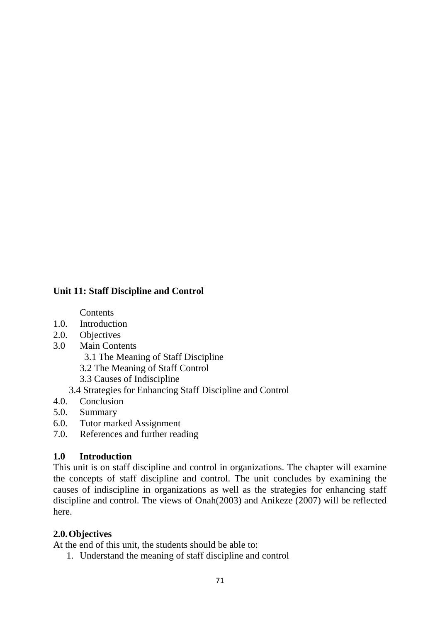# **Unit 11: Staff Discipline and Control**

**Contents** 

- 1.0. Introduction
- 2.0. Objectives
- 3.0 Main Contents

3.1 The Meaning of Staff Discipline

3.2 The Meaning of Staff Control

3.3 Causes of Indiscipline

3.4 Strategies for Enhancing Staff Discipline and Control

- 4.0. Conclusion
- 5.0. Summary
- 6.0. Tutor marked Assignment
- 7.0. References and further reading

### **1.0 Introduction**

This unit is on staff discipline and control in organizations. The chapter will examine the concepts of staff discipline and control. The unit concludes by examining the causes of indiscipline in organizations as well as the strategies for enhancing staff discipline and control. The views of Onah(2003) and Anikeze (2007) will be reflected here.

### **2.0.Objectives**

At the end of this unit, the students should be able to:

1. Understand the meaning of staff discipline and control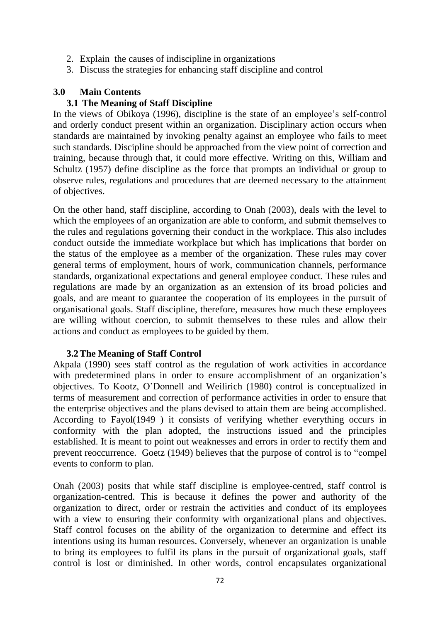- 2. Explain the causes of indiscipline in organizations
- 3. Discuss the strategies for enhancing staff discipline and control

#### **3.0 Main Contents**

#### **3.1 The Meaning of Staff Discipline**

In the views of Obikoya (1996), discipline is the state of an employee's self-control and orderly conduct present within an organization. Disciplinary action occurs when standards are maintained by invoking penalty against an employee who fails to meet such standards. Discipline should be approached from the view point of correction and training, because through that, it could more effective. Writing on this, William and Schultz (1957) define discipline as the force that prompts an individual or group to observe rules, regulations and procedures that are deemed necessary to the attainment of objectives.

On the other hand, staff discipline, according to Onah (2003), deals with the level to which the employees of an organization are able to conform, and submit themselves to the rules and regulations governing their conduct in the workplace. This also includes conduct outside the immediate workplace but which has implications that border on the status of the employee as a member of the organization. These rules may cover general terms of employment, hours of work, communication channels, performance standards, organizational expectations and general employee conduct. These rules and regulations are made by an organization as an extension of its broad policies and goals, and are meant to guarantee the cooperation of its employees in the pursuit of organisational goals. Staff discipline, therefore, measures how much these employees are willing without coercion, to submit themselves to these rules and allow their actions and conduct as employees to be guided by them.

#### **3.2The Meaning of Staff Control**

Akpala (1990) sees staff control as the regulation of work activities in accordance with predetermined plans in order to ensure accomplishment of an organization's objectives. To Kootz, O'Donnell and Weilirich (1980) control is conceptualized in terms of measurement and correction of performance activities in order to ensure that the enterprise objectives and the plans devised to attain them are being accomplished. According to Fayol(1949 ) it consists of verifying whether everything occurs in conformity with the plan adopted, the instructions issued and the principles established. It is meant to point out weaknesses and errors in order to rectify them and prevent reoccurrence. Goetz (1949) believes that the purpose of control is to "compel events to conform to plan.

Onah (2003) posits that while staff discipline is employee-centred, staff control is organization-centred. This is because it defines the power and authority of the organization to direct, order or restrain the activities and conduct of its employees with a view to ensuring their conformity with organizational plans and objectives. Staff control focuses on the ability of the organization to determine and effect its intentions using its human resources. Conversely, whenever an organization is unable to bring its employees to fulfil its plans in the pursuit of organizational goals, staff control is lost or diminished. In other words, control encapsulates organizational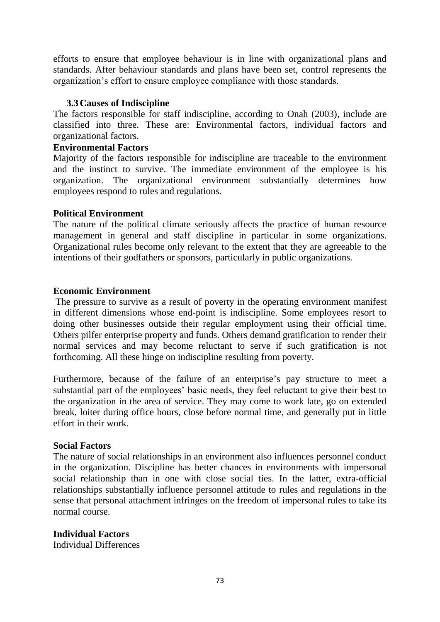efforts to ensure that employee behaviour is in line with organizational plans and standards. After behaviour standards and plans have been set, control represents the organization's effort to ensure employee compliance with those standards.

### **3.3Causes of Indiscipline**

The factors responsible for staff indiscipline, according to Onah (2003), include are classified into three. These are: Environmental factors, individual factors and organizational factors.

#### **Environmental Factors**

Majority of the factors responsible for indiscipline are traceable to the environment and the instinct to survive. The immediate environment of the employee is his organization. The organizational environment substantially determines how employees respond to rules and regulations.

#### **Political Environment**

The nature of the political climate seriously affects the practice of human resource management in general and staff discipline in particular in some organizations. Organizational rules become only relevant to the extent that they are agreeable to the intentions of their godfathers or sponsors, particularly in public organizations.

#### **Economic Environment**

The pressure to survive as a result of poverty in the operating environment manifest in different dimensions whose end-point is indiscipline. Some employees resort to doing other businesses outside their regular employment using their official time. Others pilfer enterprise property and funds. Others demand gratification to render their normal services and may become reluctant to serve if such gratification is not forthcoming. All these hinge on indiscipline resulting from poverty.

Furthermore, because of the failure of an enterprise's pay structure to meet a substantial part of the employees' basic needs, they feel reluctant to give their best to the organization in the area of service. They may come to work late, go on extended break, loiter during office hours, close before normal time, and generally put in little effort in their work.

#### **Social Factors**

The nature of social relationships in an environment also influences personnel conduct in the organization. Discipline has better chances in environments with impersonal social relationship than in one with close social ties. In the latter, extra-official relationships substantially influence personnel attitude to rules and regulations in the sense that personal attachment infringes on the freedom of impersonal rules to take its normal course.

### **Individual Factors**

Individual Differences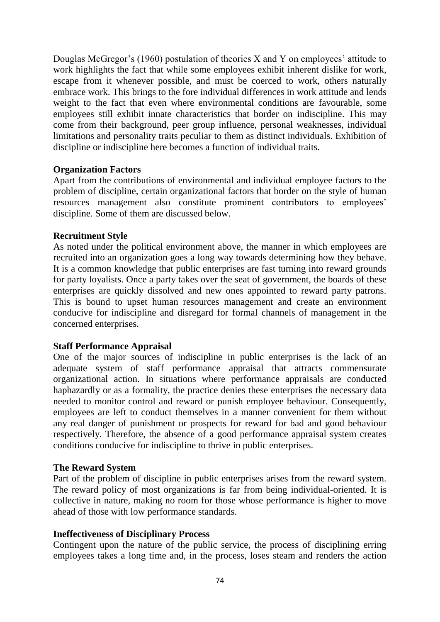Douglas McGregor's (1960) postulation of theories X and Y on employees' attitude to work highlights the fact that while some employees exhibit inherent dislike for work, escape from it whenever possible, and must be coerced to work, others naturally embrace work. This brings to the fore individual differences in work attitude and lends weight to the fact that even where environmental conditions are favourable, some employees still exhibit innate characteristics that border on indiscipline. This may come from their background, peer group influence, personal weaknesses, individual limitations and personality traits peculiar to them as distinct individuals. Exhibition of discipline or indiscipline here becomes a function of individual traits.

### **Organization Factors**

Apart from the contributions of environmental and individual employee factors to the problem of discipline, certain organizational factors that border on the style of human resources management also constitute prominent contributors to employees' discipline. Some of them are discussed below.

### **Recruitment Style**

As noted under the political environment above, the manner in which employees are recruited into an organization goes a long way towards determining how they behave. It is a common knowledge that public enterprises are fast turning into reward grounds for party loyalists. Once a party takes over the seat of government, the boards of these enterprises are quickly dissolved and new ones appointed to reward party patrons. This is bound to upset human resources management and create an environment conducive for indiscipline and disregard for formal channels of management in the concerned enterprises.

## **Staff Performance Appraisal**

One of the major sources of indiscipline in public enterprises is the lack of an adequate system of staff performance appraisal that attracts commensurate organizational action. In situations where performance appraisals are conducted haphazardly or as a formality, the practice denies these enterprises the necessary data needed to monitor control and reward or punish employee behaviour. Consequently, employees are left to conduct themselves in a manner convenient for them without any real danger of punishment or prospects for reward for bad and good behaviour respectively. Therefore, the absence of a good performance appraisal system creates conditions conducive for indiscipline to thrive in public enterprises.

### **The Reward System**

Part of the problem of discipline in public enterprises arises from the reward system. The reward policy of most organizations is far from being individual-oriented. It is collective in nature, making no room for those whose performance is higher to move ahead of those with low performance standards.

### **Ineffectiveness of Disciplinary Process**

Contingent upon the nature of the public service, the process of disciplining erring employees takes a long time and, in the process, loses steam and renders the action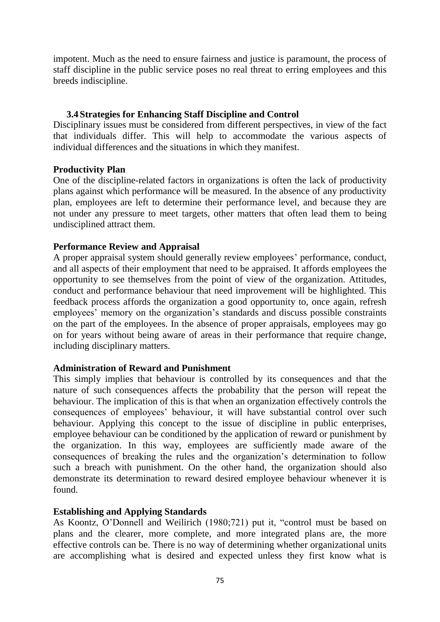impotent. Much as the need to ensure fairness and justice is paramount, the process of staff discipline in the public service poses no real threat to erring employees and this breeds indiscipline.

### **3.4Strategies for Enhancing Staff Discipline and Control**

Disciplinary issues must be considered from different perspectives, in view of the fact that individuals differ. This will help to accommodate the various aspects of individual differences and the situations in which they manifest.

### **Productivity Plan**

One of the discipline-related factors in organizations is often the lack of productivity plans against which performance will be measured. In the absence of any productivity plan, employees are left to determine their performance level, and because they are not under any pressure to meet targets, other matters that often lead them to being undisciplined attract them.

## **Performance Review and Appraisal**

A proper appraisal system should generally review employees' performance, conduct, and all aspects of their employment that need to be appraised. It affords employees the opportunity to see themselves from the point of view of the organization. Attitudes, conduct and performance behaviour that need improvement will be highlighted. This feedback process affords the organization a good opportunity to, once again, refresh employees' memory on the organization's standards and discuss possible constraints on the part of the employees. In the absence of proper appraisals, employees may go on for years without being aware of areas in their performance that require change, including disciplinary matters.

### **Administration of Reward and Punishment**

This simply implies that behaviour is controlled by its consequences and that the nature of such consequences affects the probability that the person will repeat the behaviour. The implication of this is that when an organization effectively controls the consequences of employees' behaviour, it will have substantial control over such behaviour. Applying this concept to the issue of discipline in public enterprises, employee behaviour can be conditioned by the application of reward or punishment by the organization. In this way, employees are sufficiently made aware of the consequences of breaking the rules and the organization's determination to follow such a breach with punishment. On the other hand, the organization should also demonstrate its determination to reward desired employee behaviour whenever it is found.

## **Establishing and Applying Standards**

As Koontz, O'Donnell and Weilirich (1980;721) put it, "control must be based on plans and the clearer, more complete, and more integrated plans are, the more effective controls can be. There is no way of determining whether organizational units are accomplishing what is desired and expected unless they first know what is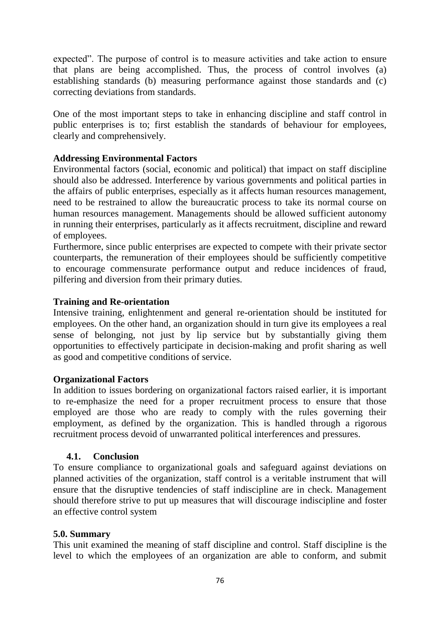expected". The purpose of control is to measure activities and take action to ensure that plans are being accomplished. Thus, the process of control involves (a) establishing standards (b) measuring performance against those standards and (c) correcting deviations from standards.

One of the most important steps to take in enhancing discipline and staff control in public enterprises is to; first establish the standards of behaviour for employees, clearly and comprehensively.

## **Addressing Environmental Factors**

Environmental factors (social, economic and political) that impact on staff discipline should also be addressed. Interference by various governments and political parties in the affairs of public enterprises, especially as it affects human resources management, need to be restrained to allow the bureaucratic process to take its normal course on human resources management. Managements should be allowed sufficient autonomy in running their enterprises, particularly as it affects recruitment, discipline and reward of employees.

Furthermore, since public enterprises are expected to compete with their private sector counterparts, the remuneration of their employees should be sufficiently competitive to encourage commensurate performance output and reduce incidences of fraud, pilfering and diversion from their primary duties.

## **Training and Re-orientation**

Intensive training, enlightenment and general re-orientation should be instituted for employees. On the other hand, an organization should in turn give its employees a real sense of belonging, not just by lip service but by substantially giving them opportunities to effectively participate in decision-making and profit sharing as well as good and competitive conditions of service.

## **Organizational Factors**

In addition to issues bordering on organizational factors raised earlier, it is important to re-emphasize the need for a proper recruitment process to ensure that those employed are those who are ready to comply with the rules governing their employment, as defined by the organization. This is handled through a rigorous recruitment process devoid of unwarranted political interferences and pressures.

## **4.1. Conclusion**

To ensure compliance to organizational goals and safeguard against deviations on planned activities of the organization, staff control is a veritable instrument that will ensure that the disruptive tendencies of staff indiscipline are in check. Management should therefore strive to put up measures that will discourage indiscipline and foster an effective control system

## **5.0. Summary**

This unit examined the meaning of staff discipline and control. Staff discipline is the level to which the employees of an organization are able to conform, and submit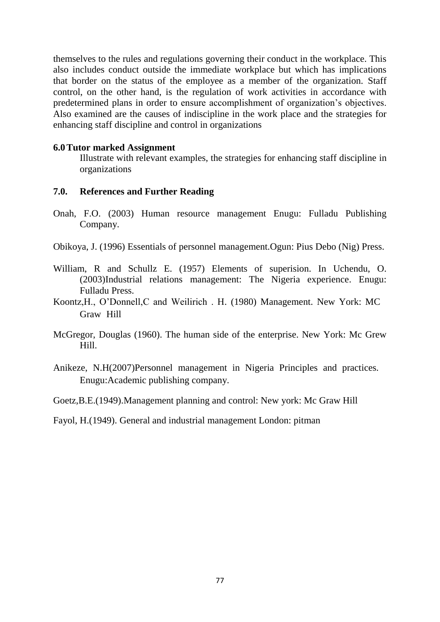themselves to the rules and regulations governing their conduct in the workplace. This also includes conduct outside the immediate workplace but which has implications that border on the status of the employee as a member of the organization. Staff control, on the other hand, is the regulation of work activities in accordance with predetermined plans in order to ensure accomplishment of organization's objectives. Also examined are the causes of indiscipline in the work place and the strategies for enhancing staff discipline and control in organizations

#### **6.0Tutor marked Assignment**

Illustrate with relevant examples, the strategies for enhancing staff discipline in organizations

### **7.0. References and Further Reading**

- Onah, F.O. (2003) Human resource management Enugu: Fulladu Publishing Company.
- Obikoya, J. (1996) Essentials of personnel management.Ogun: Pius Debo (Nig) Press.
- William, R and Schullz E. (1957) Elements of superision. In Uchendu, O. (2003)Industrial relations management: The Nigeria experience. Enugu: Fulladu Press.
- Koontz,H., O'Donnell,C and Weilirich . H. (1980) Management. New York: MC Graw Hill
- McGregor, Douglas (1960). The human side of the enterprise. New York: Mc Grew Hill.
- Anikeze, N.H(2007)Personnel management in Nigeria Principles and practices. Enugu:Academic publishing company.
- Goetz,B.E.(1949).Management planning and control: New york: Mc Graw Hill
- Fayol, H.(1949). General and industrial management London: pitman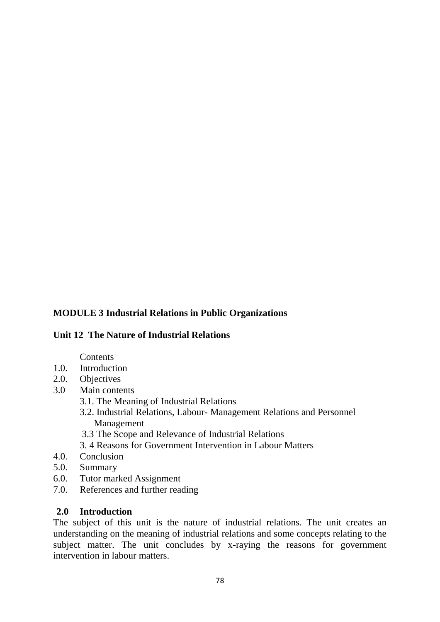# **MODULE 3 Industrial Relations in Public Organizations**

## **Unit 12 The Nature of Industrial Relations**

### **Contents**

- 1.0. Introduction
- 2.0. Objectives
- 3.0 Main contents
	- 3.1. The Meaning of Industrial Relations
	- 3.2. Industrial Relations, Labour- Management Relations and Personnel Management
	- 3.3 The Scope and Relevance of Industrial Relations
	- 3. 4 Reasons for Government Intervention in Labour Matters
- 4.0. Conclusion
- 5.0. Summary
- 6.0. Tutor marked Assignment
- 7.0. References and further reading

## **2.0 Introduction**

The subject of this unit is the nature of industrial relations. The unit creates an understanding on the meaning of industrial relations and some concepts relating to the subject matter. The unit concludes by x-raying the reasons for government intervention in labour matters.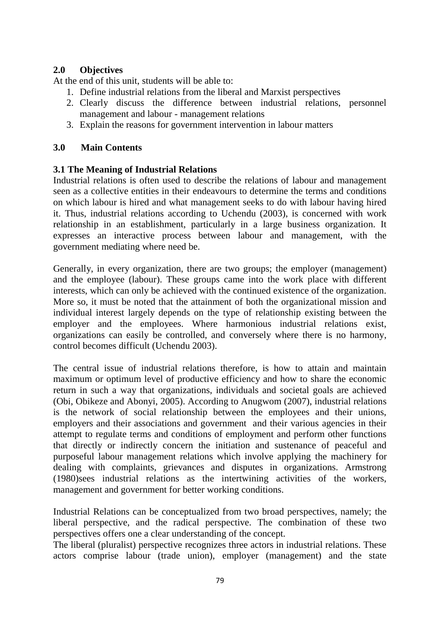## **2.0 Objectives**

At the end of this unit, students will be able to:

- 1. Define industrial relations from the liberal and Marxist perspectives
- 2. Clearly discuss the difference between industrial relations, personnel management and labour - management relations
- 3. Explain the reasons for government intervention in labour matters

## **3.0 Main Contents**

## **3.1 The Meaning of Industrial Relations**

Industrial relations is often used to describe the relations of labour and management seen as a collective entities in their endeavours to determine the terms and conditions on which labour is hired and what management seeks to do with labour having hired it. Thus, industrial relations according to Uchendu (2003), is concerned with work relationship in an establishment, particularly in a large business organization. It expresses an interactive process between labour and management, with the government mediating where need be.

Generally, in every organization, there are two groups; the employer (management) and the employee (labour). These groups came into the work place with different interests, which can only be achieved with the continued existence of the organization. More so, it must be noted that the attainment of both the organizational mission and individual interest largely depends on the type of relationship existing between the employer and the employees. Where harmonious industrial relations exist, organizations can easily be controlled, and conversely where there is no harmony, control becomes difficult (Uchendu 2003).

The central issue of industrial relations therefore, is how to attain and maintain maximum or optimum level of productive efficiency and how to share the economic return in such a way that organizations, individuals and societal goals are achieved (Obi, Obikeze and Abonyi, 2005). According to Anugwom (2007), industrial relations is the network of social relationship between the employees and their unions, employers and their associations and government and their various agencies in their attempt to regulate terms and conditions of employment and perform other functions that directly or indirectly concern the initiation and sustenance of peaceful and purposeful labour management relations which involve applying the machinery for dealing with complaints, grievances and disputes in organizations. Armstrong (1980)sees industrial relations as the intertwining activities of the workers, management and government for better working conditions.

Industrial Relations can be conceptualized from two broad perspectives, namely; the liberal perspective, and the radical perspective. The combination of these two perspectives offers one a clear understanding of the concept.

The liberal (pluralist) perspective recognizes three actors in industrial relations. These actors comprise labour (trade union), employer (management) and the state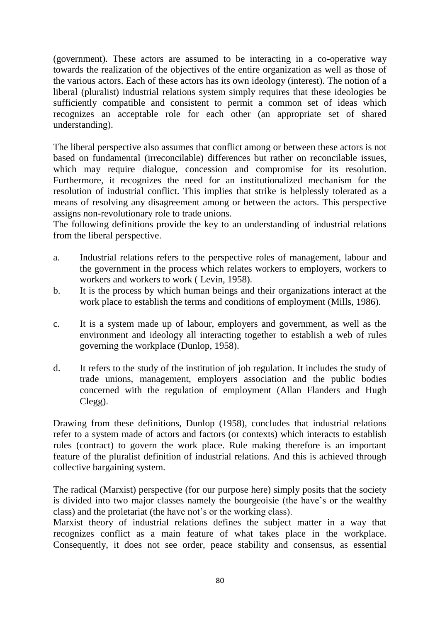(government). These actors are assumed to be interacting in a co-operative way towards the realization of the objectives of the entire organization as well as those of the various actors. Each of these actors has its own ideology (interest). The notion of a liberal (pluralist) industrial relations system simply requires that these ideologies be sufficiently compatible and consistent to permit a common set of ideas which recognizes an acceptable role for each other (an appropriate set of shared understanding).

The liberal perspective also assumes that conflict among or between these actors is not based on fundamental (irreconcilable) differences but rather on reconcilable issues, which may require dialogue, concession and compromise for its resolution. Furthermore, it recognizes the need for an institutionalized mechanism for the resolution of industrial conflict. This implies that strike is helplessly tolerated as a means of resolving any disagreement among or between the actors. This perspective assigns non-revolutionary role to trade unions.

The following definitions provide the key to an understanding of industrial relations from the liberal perspective.

- a. Industrial relations refers to the perspective roles of management, labour and the government in the process which relates workers to employers, workers to workers and workers to work ( Levin, 1958).
- b. It is the process by which human beings and their organizations interact at the work place to establish the terms and conditions of employment (Mills, 1986).
- c. It is a system made up of labour, employers and government, as well as the environment and ideology all interacting together to establish a web of rules governing the workplace (Dunlop, 1958).
- d. It refers to the study of the institution of job regulation. It includes the study of trade unions, management, employers association and the public bodies concerned with the regulation of employment (Allan Flanders and Hugh Clegg).

Drawing from these definitions, Dunlop (1958), concludes that industrial relations refer to a system made of actors and factors (or contexts) which interacts to establish rules (contract) to govern the work place. Rule making therefore is an important feature of the pluralist definition of industrial relations. And this is achieved through collective bargaining system.

The radical (Marxist) perspective (for our purpose here) simply posits that the society is divided into two major classes namely the bourgeoisie (the have's or the wealthy class) and the proletariat (the have not's or the working class).

Marxist theory of industrial relations defines the subject matter in a way that recognizes conflict as a main feature of what takes place in the workplace. Consequently, it does not see order, peace stability and consensus, as essential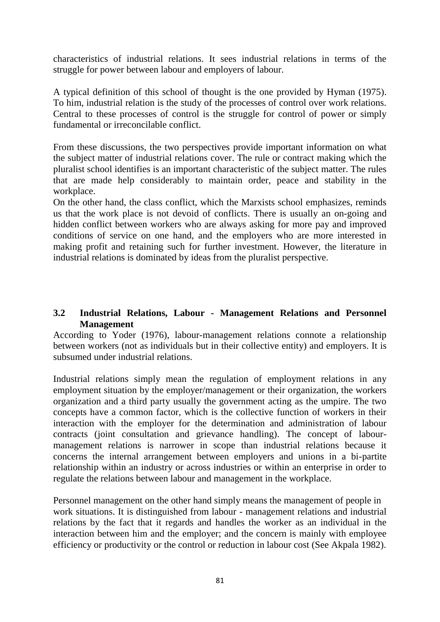characteristics of industrial relations. It sees industrial relations in terms of the struggle for power between labour and employers of labour.

A typical definition of this school of thought is the one provided by Hyman (1975). To him, industrial relation is the study of the processes of control over work relations. Central to these processes of control is the struggle for control of power or simply fundamental or irreconcilable conflict.

From these discussions, the two perspectives provide important information on what the subject matter of industrial relations cover. The rule or contract making which the pluralist school identifies is an important characteristic of the subject matter. The rules that are made help considerably to maintain order, peace and stability in the workplace.

On the other hand, the class conflict, which the Marxists school emphasizes, reminds us that the work place is not devoid of conflicts. There is usually an on-going and hidden conflict between workers who are always asking for more pay and improved conditions of service on one hand, and the employers who are more interested in making profit and retaining such for further investment. However, the literature in industrial relations is dominated by ideas from the pluralist perspective.

## **3.2 Industrial Relations, Labour - Management Relations and Personnel Management**

According to Yoder (1976), labour-management relations connote a relationship between workers (not as individuals but in their collective entity) and employers. It is subsumed under industrial relations.

Industrial relations simply mean the regulation of employment relations in any employment situation by the employer/management or their organization, the workers organization and a third party usually the government acting as the umpire. The two concepts have a common factor, which is the collective function of workers in their interaction with the employer for the determination and administration of labour contracts (joint consultation and grievance handling). The concept of labourmanagement relations is narrower in scope than industrial relations because it concerns the internal arrangement between employers and unions in a bi-partite relationship within an industry or across industries or within an enterprise in order to regulate the relations between labour and management in the workplace.

Personnel management on the other hand simply means the management of people in work situations. It is distinguished from labour - management relations and industrial relations by the fact that it regards and handles the worker as an individual in the interaction between him and the employer; and the concern is mainly with employee efficiency or productivity or the control or reduction in labour cost (See Akpala 1982).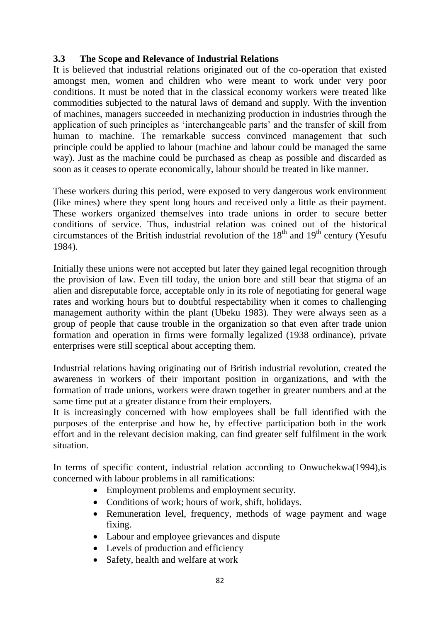## **3.3 The Scope and Relevance of Industrial Relations**

It is believed that industrial relations originated out of the co-operation that existed amongst men, women and children who were meant to work under very poor conditions. It must be noted that in the classical economy workers were treated like commodities subjected to the natural laws of demand and supply. With the invention of machines, managers succeeded in mechanizing production in industries through the application of such principles as 'interchangeable parts' and the transfer of skill from human to machine. The remarkable success convinced management that such principle could be applied to labour (machine and labour could be managed the same way). Just as the machine could be purchased as cheap as possible and discarded as soon as it ceases to operate economically, labour should be treated in like manner.

These workers during this period, were exposed to very dangerous work environment (like mines) where they spent long hours and received only a little as their payment. These workers organized themselves into trade unions in order to secure better conditions of service. Thus, industrial relation was coined out of the historical circumstances of the British industrial revolution of the  $18<sup>th</sup>$  and  $19<sup>th</sup>$  century (Yesufu 1984).

Initially these unions were not accepted but later they gained legal recognition through the provision of law. Even till today, the union bore and still bear that stigma of an alien and disreputable force, acceptable only in its role of negotiating for general wage rates and working hours but to doubtful respectability when it comes to challenging management authority within the plant (Ubeku 1983). They were always seen as a group of people that cause trouble in the organization so that even after trade union formation and operation in firms were formally legalized (1938 ordinance), private enterprises were still sceptical about accepting them.

Industrial relations having originating out of British industrial revolution, created the awareness in workers of their important position in organizations, and with the formation of trade unions, workers were drawn together in greater numbers and at the same time put at a greater distance from their employers.

It is increasingly concerned with how employees shall be full identified with the purposes of the enterprise and how he, by effective participation both in the work effort and in the relevant decision making, can find greater self fulfilment in the work situation.

In terms of specific content, industrial relation according to Onwuchekwa(1994), is concerned with labour problems in all ramifications:

- Employment problems and employment security.
- Conditions of work; hours of work, shift, holidays.
- Remuneration level, frequency, methods of wage payment and wage fixing.
- Labour and employee grievances and dispute
- Levels of production and efficiency
- Safety, health and welfare at work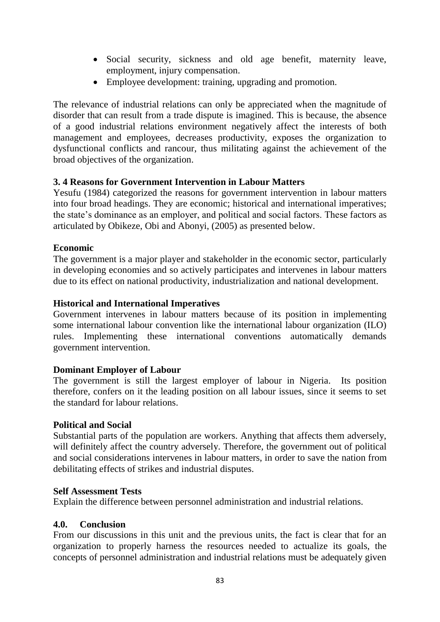- Social security, sickness and old age benefit, maternity leave, employment, injury compensation.
- Employee development: training, upgrading and promotion.

The relevance of industrial relations can only be appreciated when the magnitude of disorder that can result from a trade dispute is imagined. This is because, the absence of a good industrial relations environment negatively affect the interests of both management and employees, decreases productivity, exposes the organization to dysfunctional conflicts and rancour, thus militating against the achievement of the broad objectives of the organization.

## **3. 4 Reasons for Government Intervention in Labour Matters**

Yesufu (1984) categorized the reasons for government intervention in labour matters into four broad headings. They are economic; historical and international imperatives; the state's dominance as an employer, and political and social factors. These factors as articulated by Obikeze, Obi and Abonyi, (2005) as presented below.

## **Economic**

The government is a major player and stakeholder in the economic sector, particularly in developing economies and so actively participates and intervenes in labour matters due to its effect on national productivity, industrialization and national development.

## **Historical and International Imperatives**

Government intervenes in labour matters because of its position in implementing some international labour convention like the international labour organization (ILO) rules. Implementing these international conventions automatically demands government intervention.

## **Dominant Employer of Labour**

The government is still the largest employer of labour in Nigeria. Its position therefore, confers on it the leading position on all labour issues, since it seems to set the standard for labour relations.

## **Political and Social**

Substantial parts of the population are workers. Anything that affects them adversely, will definitely affect the country adversely. Therefore, the government out of political and social considerations intervenes in labour matters, in order to save the nation from debilitating effects of strikes and industrial disputes.

## **Self Assessment Tests**

Explain the difference between personnel administration and industrial relations.

## **4.0. Conclusion**

From our discussions in this unit and the previous units, the fact is clear that for an organization to properly harness the resources needed to actualize its goals, the concepts of personnel administration and industrial relations must be adequately given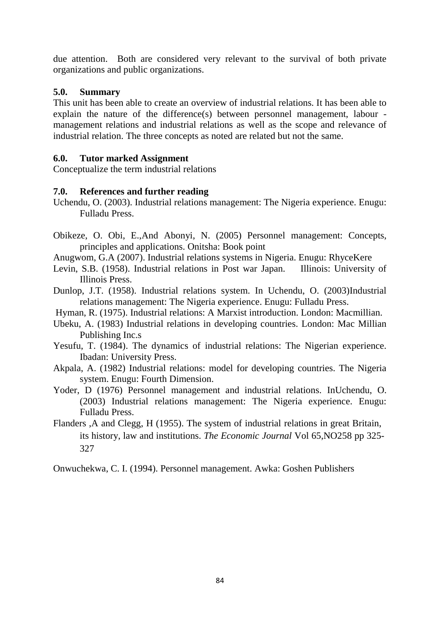due attention. Both are considered very relevant to the survival of both private organizations and public organizations.

## **5.0. Summary**

This unit has been able to create an overview of industrial relations. It has been able to explain the nature of the difference(s) between personnel management, labour management relations and industrial relations as well as the scope and relevance of industrial relation. The three concepts as noted are related but not the same.

# **6.0. Tutor marked Assignment**

Conceptualize the term industrial relations

## **7.0. References and further reading**

- Uchendu, O. (2003). Industrial relations management: The Nigeria experience. Enugu: Fulladu Press.
- Obikeze, O. Obi, E.,And Abonyi, N. (2005) Personnel management: Concepts, principles and applications. Onitsha: Book point
- Anugwom, G.A (2007). Industrial relations systems in Nigeria. Enugu: RhyceKere
- Levin, S.B. (1958). Industrial relations in Post war Japan. Illinois: University of Illinois Press.
- Dunlop, J.T. (1958). Industrial relations system. In Uchendu, O. (2003)Industrial relations management: The Nigeria experience. Enugu: Fulladu Press.
- Hyman, R. (1975). Industrial relations: A Marxist introduction. London: Macmillian.
- Ubeku, A. (1983) Industrial relations in developing countries. London: Mac Millian Publishing Inc.s
- Yesufu, T. (1984). The dynamics of industrial relations: The Nigerian experience. Ibadan: University Press.
- Akpala, A. (1982) Industrial relations: model for developing countries. The Nigeria system. Enugu: Fourth Dimension.
- Yoder, D (1976) Personnel management and industrial relations. InUchendu, O. (2003) Industrial relations management: The Nigeria experience. Enugu: Fulladu Press.
- Flanders ,A and Clegg, H (1955). The system of industrial relations in great Britain, its history, law and institutions. *The Economic Journal* Vol 65,NO258 pp 325- 327

Onwuchekwa, C. I. (1994). Personnel management. Awka: Goshen Publishers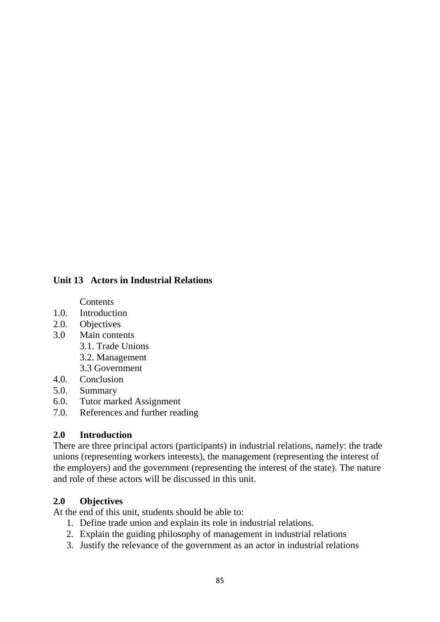## **Unit 13 Actors in Industrial Relations**

**Contents** 

- 1.0. Introduction
- 2.0. Objectives
- 3.0 Main contents
	- 3.1. Trade Unions
	- 3.2. Management
	- 3.3 Government
- 4.0. Conclusion
- 5.0. Summary
- 6.0. Tutor marked Assignment
- 7.0. References and further reading

### **2.0 Introduction**

There are three principal actors (participants) in industrial relations, namely: the trade unions (representing workers interests), the management (representing the interest of the employers) and the government (representing the interest of the state). The nature and role of these actors will be discussed in this unit.

## **2.0 Objectives**

At the end of this unit, students should be able to:

- 1. Define trade union and explain its role in industrial relations.
- 2. Explain the guiding philosophy of management in industrial relations
- 3. Justify the relevance of the government as an actor in industrial relations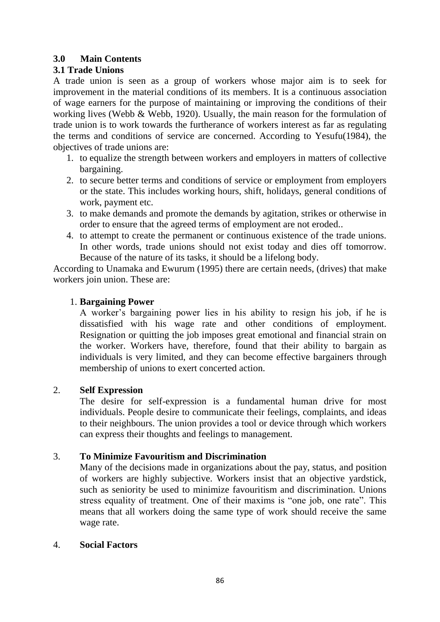## **3.0 Main Contents**

## **3.1 Trade Unions**

A trade union is seen as a group of workers whose major aim is to seek for improvement in the material conditions of its members. It is a continuous association of wage earners for the purpose of maintaining or improving the conditions of their working lives (Webb & Webb, 1920). Usually, the main reason for the formulation of trade union is to work towards the furtherance of workers interest as far as regulating the terms and conditions of service are concerned. According to Yesufu(1984), the objectives of trade unions are:

- 1. to equalize the strength between workers and employers in matters of collective bargaining.
- 2. to secure better terms and conditions of service or employment from employers or the state. This includes working hours, shift, holidays, general conditions of work, payment etc.
- 3. to make demands and promote the demands by agitation, strikes or otherwise in order to ensure that the agreed terms of employment are not eroded..
- 4. to attempt to create the permanent or continuous existence of the trade unions. In other words, trade unions should not exist today and dies off tomorrow. Because of the nature of its tasks, it should be a lifelong body.

According to Unamaka and Ewurum (1995) there are certain needs, (drives) that make workers join union. These are:

## 1. **Bargaining Power**

A worker's bargaining power lies in his ability to resign his job, if he is dissatisfied with his wage rate and other conditions of employment. Resignation or quitting the job imposes great emotional and financial strain on the worker. Workers have, therefore, found that their ability to bargain as individuals is very limited, and they can become effective bargainers through membership of unions to exert concerted action.

## 2. **Self Expression**

The desire for self-expression is a fundamental human drive for most individuals. People desire to communicate their feelings, complaints, and ideas to their neighbours. The union provides a tool or device through which workers can express their thoughts and feelings to management.

## 3. **To Minimize Favouritism and Discrimination**

Many of the decisions made in organizations about the pay, status, and position of workers are highly subjective. Workers insist that an objective yardstick, such as seniority be used to minimize favouritism and discrimination. Unions stress equality of treatment. One of their maxims is "one job, one rate". This means that all workers doing the same type of work should receive the same wage rate.

## 4. **Social Factors**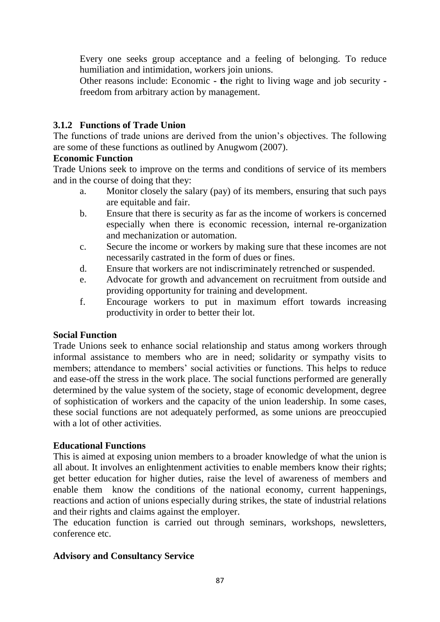Every one seeks group acceptance and a feeling of belonging. To reduce humiliation and intimidation, workers join unions.

Other reasons include: Economic **- t**he right to living wage and job security  freedom from arbitrary action by management.

## **3.1.2 Functions of Trade Union**

The functions of trade unions are derived from the union's objectives. The following are some of these functions as outlined by Anugwom (2007).

## **Economic Function**

Trade Unions seek to improve on the terms and conditions of service of its members and in the course of doing that they:

- a. Monitor closely the salary (pay) of its members, ensuring that such pays are equitable and fair.
- b. Ensure that there is security as far as the income of workers is concerned especially when there is economic recession, internal re-organization and mechanization or automation.
- c. Secure the income or workers by making sure that these incomes are not necessarily castrated in the form of dues or fines.
- d. Ensure that workers are not indiscriminately retrenched or suspended.
- e. Advocate for growth and advancement on recruitment from outside and providing opportunity for training and development.
- f. Encourage workers to put in maximum effort towards increasing productivity in order to better their lot.

## **Social Function**

Trade Unions seek to enhance social relationship and status among workers through informal assistance to members who are in need; solidarity or sympathy visits to members; attendance to members' social activities or functions. This helps to reduce and ease-off the stress in the work place. The social functions performed are generally determined by the value system of the society, stage of economic development, degree of sophistication of workers and the capacity of the union leadership. In some cases, these social functions are not adequately performed, as some unions are preoccupied with a lot of other activities.

## **Educational Functions**

This is aimed at exposing union members to a broader knowledge of what the union is all about. It involves an enlightenment activities to enable members know their rights; get better education for higher duties, raise the level of awareness of members and enable them know the conditions of the national economy, current happenings, reactions and action of unions especially during strikes, the state of industrial relations and their rights and claims against the employer.

The education function is carried out through seminars, workshops, newsletters, conference etc.

# **Advisory and Consultancy Service**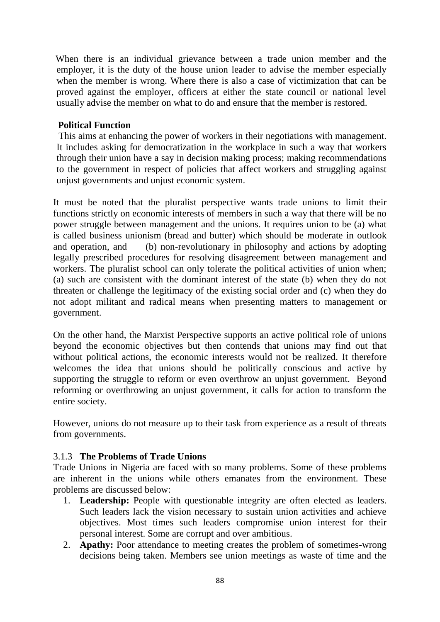When there is an individual grievance between a trade union member and the employer, it is the duty of the house union leader to advise the member especially when the member is wrong. Where there is also a case of victimization that can be proved against the employer, officers at either the state council or national level usually advise the member on what to do and ensure that the member is restored.

## **Political Function**

 This aims at enhancing the power of workers in their negotiations with management. It includes asking for democratization in the workplace in such a way that workers through their union have a say in decision making process; making recommendations to the government in respect of policies that affect workers and struggling against unjust governments and unjust economic system.

It must be noted that the pluralist perspective wants trade unions to limit their functions strictly on economic interests of members in such a way that there will be no power struggle between management and the unions. It requires union to be (a) what is called business unionism (bread and butter) which should be moderate in outlook and operation, and (b) non-revolutionary in philosophy and actions by adopting legally prescribed procedures for resolving disagreement between management and workers. The pluralist school can only tolerate the political activities of union when; (a) such are consistent with the dominant interest of the state (b) when they do not threaten or challenge the legitimacy of the existing social order and (c) when they do not adopt militant and radical means when presenting matters to management or government.

On the other hand, the Marxist Perspective supports an active political role of unions beyond the economic objectives but then contends that unions may find out that without political actions, the economic interests would not be realized. It therefore welcomes the idea that unions should be politically conscious and active by supporting the struggle to reform or even overthrow an unjust government. Beyond reforming or overthrowing an unjust government, it calls for action to transform the entire society.

However, unions do not measure up to their task from experience as a result of threats from governments.

# 3.1.3 **The Problems of Trade Unions**

Trade Unions in Nigeria are faced with so many problems. Some of these problems are inherent in the unions while others emanates from the environment. These problems are discussed below:

- 1. **Leadership:** People with questionable integrity are often elected as leaders. Such leaders lack the vision necessary to sustain union activities and achieve objectives. Most times such leaders compromise union interest for their personal interest. Some are corrupt and over ambitious.
- 2. **Apathy:** Poor attendance to meeting creates the problem of sometimes-wrong decisions being taken. Members see union meetings as waste of time and the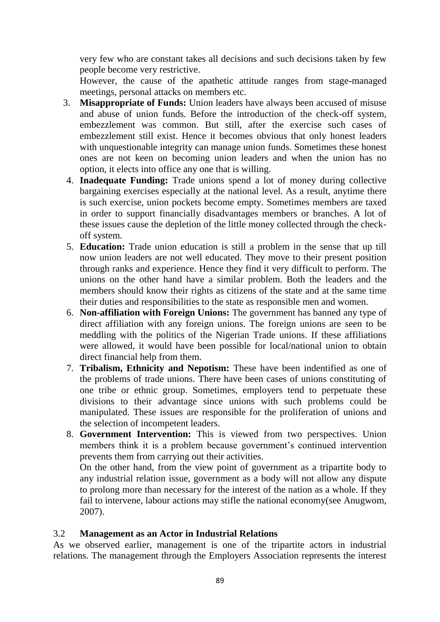very few who are constant takes all decisions and such decisions taken by few people become very restrictive.

However, the cause of the apathetic attitude ranges from stage-managed meetings, personal attacks on members etc.

- 3. **Misappropriate of Funds:** Union leaders have always been accused of misuse and abuse of union funds. Before the introduction of the check-off system, embezzlement was common. But still, after the exercise such cases of embezzlement still exist. Hence it becomes obvious that only honest leaders with unquestionable integrity can manage union funds. Sometimes these honest ones are not keen on becoming union leaders and when the union has no option, it elects into office any one that is willing.
- 4. **Inadequate Funding:** Trade unions spend a lot of money during collective bargaining exercises especially at the national level. As a result, anytime there is such exercise, union pockets become empty. Sometimes members are taxed in order to support financially disadvantages members or branches. A lot of these issues cause the depletion of the little money collected through the checkoff system.
- 5. **Education:** Trade union education is still a problem in the sense that up till now union leaders are not well educated. They move to their present position through ranks and experience. Hence they find it very difficult to perform. The unions on the other hand have a similar problem. Both the leaders and the members should know their rights as citizens of the state and at the same time their duties and responsibilities to the state as responsible men and women.
- 6. **Non-affiliation with Foreign Unions:** The government has banned any type of direct affiliation with any foreign unions. The foreign unions are seen to be meddling with the politics of the Nigerian Trade unions. If these affiliations were allowed, it would have been possible for local/national union to obtain direct financial help from them.
- 7. **Tribalism, Ethnicity and Nepotism:** These have been indentified as one of the problems of trade unions. There have been cases of unions constituting of one tribe or ethnic group. Sometimes, employers tend to perpetuate these divisions to their advantage since unions with such problems could be manipulated. These issues are responsible for the proliferation of unions and the selection of incompetent leaders.
- 8. **Government Intervention:** This is viewed from two perspectives. Union members think it is a problem because government's continued intervention prevents them from carrying out their activities.

On the other hand, from the view point of government as a tripartite body to any industrial relation issue, government as a body will not allow any dispute to prolong more than necessary for the interest of the nation as a whole. If they fail to intervene, labour actions may stifle the national economy(see Anugwom, 2007).

## 3.2 **Management as an Actor in Industrial Relations**

As we observed earlier, management is one of the tripartite actors in industrial relations. The management through the Employers Association represents the interest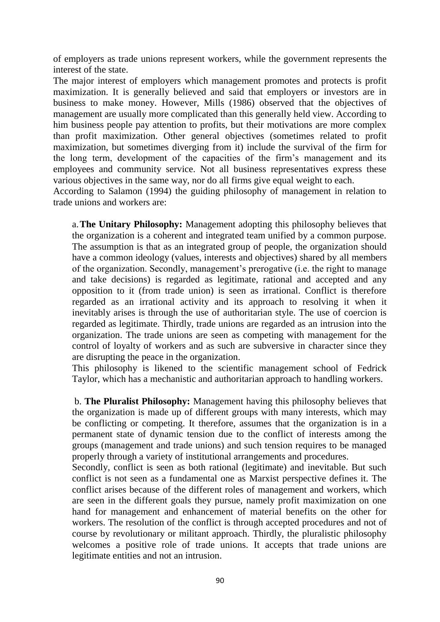of employers as trade unions represent workers, while the government represents the interest of the state.

The major interest of employers which management promotes and protects is profit maximization. It is generally believed and said that employers or investors are in business to make money. However, Mills (1986) observed that the objectives of management are usually more complicated than this generally held view. According to him business people pay attention to profits, but their motivations are more complex than profit maximization. Other general objectives (sometimes related to profit maximization, but sometimes diverging from it) include the survival of the firm for the long term, development of the capacities of the firm's management and its employees and community service. Not all business representatives express these various objectives in the same way, nor do all firms give equal weight to each.

According to Salamon (1994) the guiding philosophy of management in relation to trade unions and workers are:

a.**The Unitary Philosophy:** Management adopting this philosophy believes that the organization is a coherent and integrated team unified by a common purpose. The assumption is that as an integrated group of people, the organization should have a common ideology (values, interests and objectives) shared by all members of the organization. Secondly, management's prerogative (i.e. the right to manage and take decisions) is regarded as legitimate, rational and accepted and any opposition to it (from trade union) is seen as irrational. Conflict is therefore regarded as an irrational activity and its approach to resolving it when it inevitably arises is through the use of authoritarian style. The use of coercion is regarded as legitimate. Thirdly, trade unions are regarded as an intrusion into the organization. The trade unions are seen as competing with management for the control of loyalty of workers and as such are subversive in character since they are disrupting the peace in the organization.

This philosophy is likened to the scientific management school of Fedrick Taylor, which has a mechanistic and authoritarian approach to handling workers.

b. **The Pluralist Philosophy:** Management having this philosophy believes that the organization is made up of different groups with many interests, which may be conflicting or competing. It therefore, assumes that the organization is in a permanent state of dynamic tension due to the conflict of interests among the groups (management and trade unions) and such tension requires to be managed properly through a variety of institutional arrangements and procedures.

Secondly, conflict is seen as both rational (legitimate) and inevitable. But such conflict is not seen as a fundamental one as Marxist perspective defines it. The conflict arises because of the different roles of management and workers, which are seen in the different goals they pursue, namely profit maximization on one hand for management and enhancement of material benefits on the other for workers. The resolution of the conflict is through accepted procedures and not of course by revolutionary or militant approach. Thirdly, the pluralistic philosophy welcomes a positive role of trade unions. It accepts that trade unions are legitimate entities and not an intrusion.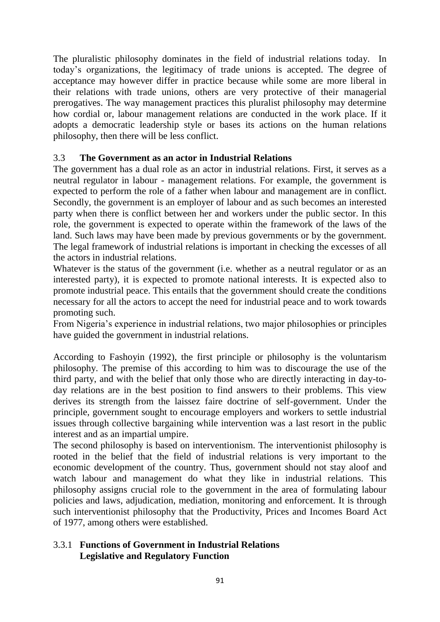The pluralistic philosophy dominates in the field of industrial relations today. In today's organizations, the legitimacy of trade unions is accepted. The degree of acceptance may however differ in practice because while some are more liberal in their relations with trade unions, others are very protective of their managerial prerogatives. The way management practices this pluralist philosophy may determine how cordial or, labour management relations are conducted in the work place. If it adopts a democratic leadership style or bases its actions on the human relations philosophy, then there will be less conflict.

## 3.3 **The Government as an actor in Industrial Relations**

The government has a dual role as an actor in industrial relations. First, it serves as a neutral regulator in labour - management relations. For example, the government is expected to perform the role of a father when labour and management are in conflict. Secondly, the government is an employer of labour and as such becomes an interested party when there is conflict between her and workers under the public sector. In this role, the government is expected to operate within the framework of the laws of the land. Such laws may have been made by previous governments or by the government. The legal framework of industrial relations is important in checking the excesses of all the actors in industrial relations.

Whatever is the status of the government (i.e. whether as a neutral regulator or as an interested party), it is expected to promote national interests. It is expected also to promote industrial peace. This entails that the government should create the conditions necessary for all the actors to accept the need for industrial peace and to work towards promoting such.

From Nigeria's experience in industrial relations, two major philosophies or principles have guided the government in industrial relations.

According to Fashoyin (1992), the first principle or philosophy is the voluntarism philosophy. The premise of this according to him was to discourage the use of the third party, and with the belief that only those who are directly interacting in day-today relations are in the best position to find answers to their problems. This view derives its strength from the laissez faire doctrine of self-government. Under the principle, government sought to encourage employers and workers to settle industrial issues through collective bargaining while intervention was a last resort in the public interest and as an impartial umpire.

The second philosophy is based on interventionism. The interventionist philosophy is rooted in the belief that the field of industrial relations is very important to the economic development of the country. Thus, government should not stay aloof and watch labour and management do what they like in industrial relations. This philosophy assigns crucial role to the government in the area of formulating labour policies and laws, adjudication, mediation, monitoring and enforcement. It is through such interventionist philosophy that the Productivity, Prices and Incomes Board Act of 1977, among others were established.

## 3.3.1 **Functions of Government in Industrial Relations Legislative and Regulatory Function**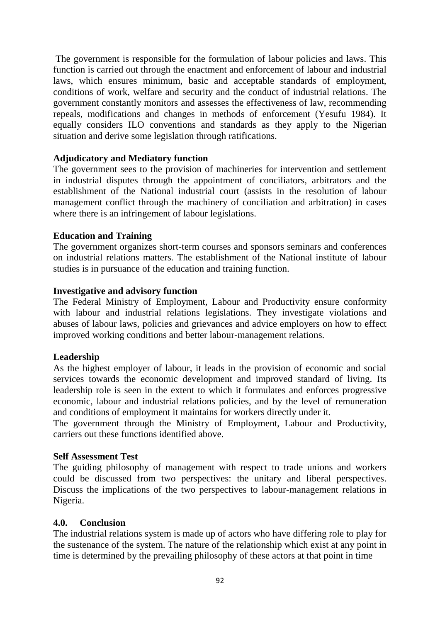The government is responsible for the formulation of labour policies and laws. This function is carried out through the enactment and enforcement of labour and industrial laws, which ensures minimum, basic and acceptable standards of employment, conditions of work, welfare and security and the conduct of industrial relations. The government constantly monitors and assesses the effectiveness of law, recommending repeals, modifications and changes in methods of enforcement (Yesufu 1984). It equally considers ILO conventions and standards as they apply to the Nigerian situation and derive some legislation through ratifications.

### **Adjudicatory and Mediatory function**

The government sees to the provision of machineries for intervention and settlement in industrial disputes through the appointment of conciliators, arbitrators and the establishment of the National industrial court (assists in the resolution of labour management conflict through the machinery of conciliation and arbitration) in cases where there is an infringement of labour legislations.

### **Education and Training**

The government organizes short-term courses and sponsors seminars and conferences on industrial relations matters. The establishment of the National institute of labour studies is in pursuance of the education and training function.

### **Investigative and advisory function**

The Federal Ministry of Employment, Labour and Productivity ensure conformity with labour and industrial relations legislations. They investigate violations and abuses of labour laws, policies and grievances and advice employers on how to effect improved working conditions and better labour-management relations.

### **Leadership**

As the highest employer of labour, it leads in the provision of economic and social services towards the economic development and improved standard of living. Its leadership role is seen in the extent to which it formulates and enforces progressive economic, labour and industrial relations policies, and by the level of remuneration and conditions of employment it maintains for workers directly under it.

The government through the Ministry of Employment, Labour and Productivity, carriers out these functions identified above.

### **Self Assessment Test**

The guiding philosophy of management with respect to trade unions and workers could be discussed from two perspectives: the unitary and liberal perspectives. Discuss the implications of the two perspectives to labour-management relations in Nigeria.

### **4.0. Conclusion**

The industrial relations system is made up of actors who have differing role to play for the sustenance of the system. The nature of the relationship which exist at any point in time is determined by the prevailing philosophy of these actors at that point in time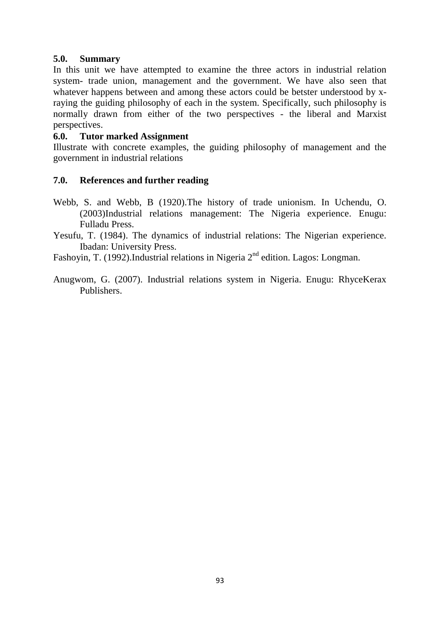### **5.0. Summary**

In this unit we have attempted to examine the three actors in industrial relation system- trade union, management and the government. We have also seen that whatever happens between and among these actors could be betster understood by xraying the guiding philosophy of each in the system. Specifically, such philosophy is normally drawn from either of the two perspectives - the liberal and Marxist perspectives.

### **6.0. Tutor marked Assignment**

Illustrate with concrete examples, the guiding philosophy of management and the government in industrial relations

### **7.0. References and further reading**

- Webb, S. and Webb, B (1920).The history of trade unionism. In Uchendu, O. (2003)Industrial relations management: The Nigeria experience. Enugu: Fulladu Press.
- Yesufu, T. (1984). The dynamics of industrial relations: The Nigerian experience. Ibadan: University Press.

Fashoyin, T. (1992).Industrial relations in Nigeria 2<sup>nd</sup> edition. Lagos: Longman.

Anugwom, G. (2007). Industrial relations system in Nigeria. Enugu: RhyceKerax Publishers.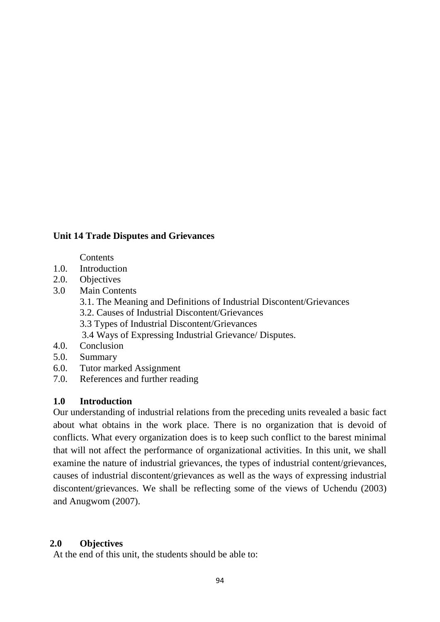## **Unit 14 Trade Disputes and Grievances**

#### **Contents**

- 1.0. Introduction
- 2.0. Objectives
- 3.0 Main Contents
	- 3.1. The Meaning and Definitions of Industrial Discontent/Grievances
	- 3.2. Causes of Industrial Discontent/Grievances
	- 3.3 Types of Industrial Discontent/Grievances
	- 3.4 Ways of Expressing Industrial Grievance/ Disputes.
- 4.0. Conclusion
- 5.0. Summary
- 6.0. Tutor marked Assignment
- 7.0. References and further reading

### **1.0 Introduction**

Our understanding of industrial relations from the preceding units revealed a basic fact about what obtains in the work place. There is no organization that is devoid of conflicts. What every organization does is to keep such conflict to the barest minimal that will not affect the performance of organizational activities. In this unit, we shall examine the nature of industrial grievances, the types of industrial content/grievances, causes of industrial discontent/grievances as well as the ways of expressing industrial discontent/grievances. We shall be reflecting some of the views of Uchendu (2003) and Anugwom (2007).

### **2.0 Objectives**

At the end of this unit, the students should be able to: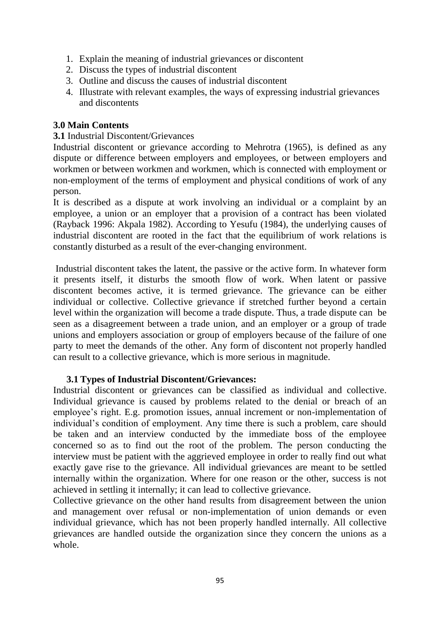- 1. Explain the meaning of industrial grievances or discontent
- 2. Discuss the types of industrial discontent
- 3. Outline and discuss the causes of industrial discontent
- 4. Illustrate with relevant examples, the ways of expressing industrial grievances and discontents

### **3.0 Main Contents**

### **3.1** Industrial Discontent/Grievances

Industrial discontent or grievance according to Mehrotra (1965), is defined as any dispute or difference between employers and employees, or between employers and workmen or between workmen and workmen, which is connected with employment or non-employment of the terms of employment and physical conditions of work of any person.

It is described as a dispute at work involving an individual or a complaint by an employee, a union or an employer that a provision of a contract has been violated (Rayback 1996: Akpala 1982). According to Yesufu (1984), the underlying causes of industrial discontent are rooted in the fact that the equilibrium of work relations is constantly disturbed as a result of the ever-changing environment.

Industrial discontent takes the latent, the passive or the active form. In whatever form it presents itself, it disturbs the smooth flow of work. When latent or passive discontent becomes active, it is termed grievance. The grievance can be either individual or collective. Collective grievance if stretched further beyond a certain level within the organization will become a trade dispute. Thus, a trade dispute can be seen as a disagreement between a trade union, and an employer or a group of trade unions and employers association or group of employers because of the failure of one party to meet the demands of the other. Any form of discontent not properly handled can result to a collective grievance, which is more serious in magnitude.

### **3.1 Types of Industrial Discontent/Grievances:**

Industrial discontent or grievances can be classified as individual and collective. Individual grievance is caused by problems related to the denial or breach of an employee's right. E.g. promotion issues, annual increment or non-implementation of individual's condition of employment. Any time there is such a problem, care should be taken and an interview conducted by the immediate boss of the employee concerned so as to find out the root of the problem. The person conducting the interview must be patient with the aggrieved employee in order to really find out what exactly gave rise to the grievance. All individual grievances are meant to be settled internally within the organization. Where for one reason or the other, success is not achieved in settling it internally; it can lead to collective grievance.

Collective grievance on the other hand results from disagreement between the union and management over refusal or non-implementation of union demands or even individual grievance, which has not been properly handled internally. All collective grievances are handled outside the organization since they concern the unions as a whole.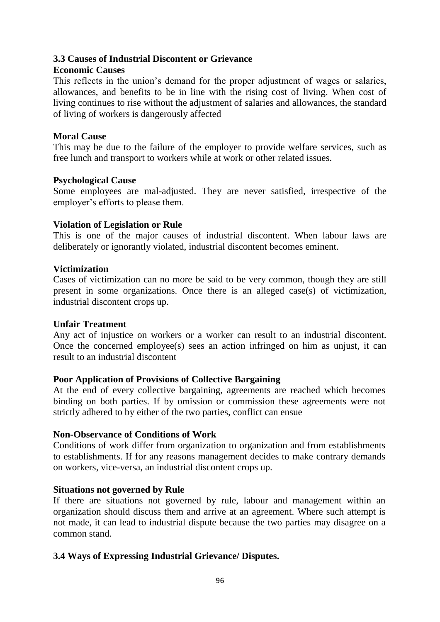## **3.3 Causes of Industrial Discontent or Grievance**

### **Economic Causes**

This reflects in the union's demand for the proper adjustment of wages or salaries, allowances, and benefits to be in line with the rising cost of living. When cost of living continues to rise without the adjustment of salaries and allowances, the standard of living of workers is dangerously affected

### **Moral Cause**

This may be due to the failure of the employer to provide welfare services, such as free lunch and transport to workers while at work or other related issues.

### **Psychological Cause**

Some employees are mal-adjusted. They are never satisfied, irrespective of the employer's efforts to please them.

### **Violation of Legislation or Rule**

This is one of the major causes of industrial discontent. When labour laws are deliberately or ignorantly violated, industrial discontent becomes eminent.

### **Victimization**

Cases of victimization can no more be said to be very common, though they are still present in some organizations. Once there is an alleged case(s) of victimization, industrial discontent crops up.

### **Unfair Treatment**

Any act of injustice on workers or a worker can result to an industrial discontent. Once the concerned employee(s) sees an action infringed on him as unjust, it can result to an industrial discontent

## **Poor Application of Provisions of Collective Bargaining**

At the end of every collective bargaining, agreements are reached which becomes binding on both parties. If by omission or commission these agreements were not strictly adhered to by either of the two parties, conflict can ensue

### **Non-Observance of Conditions of Work**

Conditions of work differ from organization to organization and from establishments to establishments. If for any reasons management decides to make contrary demands on workers, vice-versa, an industrial discontent crops up.

### **Situations not governed by Rule**

If there are situations not governed by rule, labour and management within an organization should discuss them and arrive at an agreement. Where such attempt is not made, it can lead to industrial dispute because the two parties may disagree on a common stand.

## **3.4 Ways of Expressing Industrial Grievance/ Disputes.**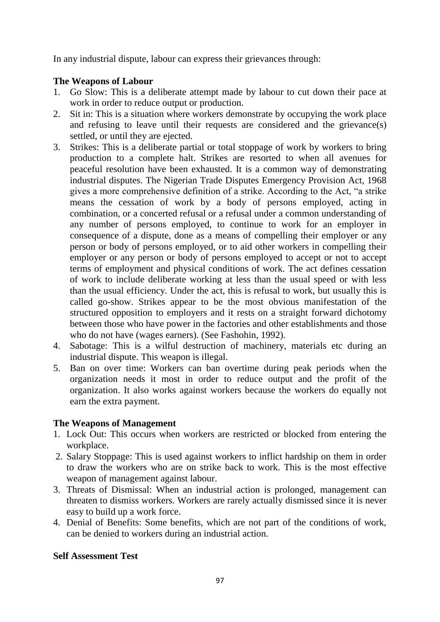In any industrial dispute, labour can express their grievances through:

# **The Weapons of Labour**

- 1. Go Slow: This is a deliberate attempt made by labour to cut down their pace at work in order to reduce output or production.
- 2. Sit in: This is a situation where workers demonstrate by occupying the work place and refusing to leave until their requests are considered and the grievance(s) settled, or until they are ejected.
- 3. Strikes: This is a deliberate partial or total stoppage of work by workers to bring production to a complete halt. Strikes are resorted to when all avenues for peaceful resolution have been exhausted. It is a common way of demonstrating industrial disputes. The Nigerian Trade Disputes Emergency Provision Act, 1968 gives a more comprehensive definition of a strike. According to the Act, "a strike means the cessation of work by a body of persons employed, acting in combination, or a concerted refusal or a refusal under a common understanding of any number of persons employed, to continue to work for an employer in consequence of a dispute, done as a means of compelling their employer or any person or body of persons employed, or to aid other workers in compelling their employer or any person or body of persons employed to accept or not to accept terms of employment and physical conditions of work. The act defines cessation of work to include deliberate working at less than the usual speed or with less than the usual efficiency. Under the act, this is refusal to work, but usually this is called go-show. Strikes appear to be the most obvious manifestation of the structured opposition to employers and it rests on a straight forward dichotomy between those who have power in the factories and other establishments and those who do not have (wages earners). (See Fashohin, 1992).
- 4. Sabotage: This is a wilful destruction of machinery, materials etc during an industrial dispute. This weapon is illegal.
- 5. Ban on over time: Workers can ban overtime during peak periods when the organization needs it most in order to reduce output and the profit of the organization. It also works against workers because the workers do equally not earn the extra payment.

# **The Weapons of Management**

- 1. Lock Out: This occurs when workers are restricted or blocked from entering the workplace.
- 2. Salary Stoppage: This is used against workers to inflict hardship on them in order to draw the workers who are on strike back to work. This is the most effective weapon of management against labour.
- 3. Threats of Dismissal: When an industrial action is prolonged, management can threaten to dismiss workers. Workers are rarely actually dismissed since it is never easy to build up a work force.
- 4. Denial of Benefits: Some benefits, which are not part of the conditions of work, can be denied to workers during an industrial action.

# **Self Assessment Test**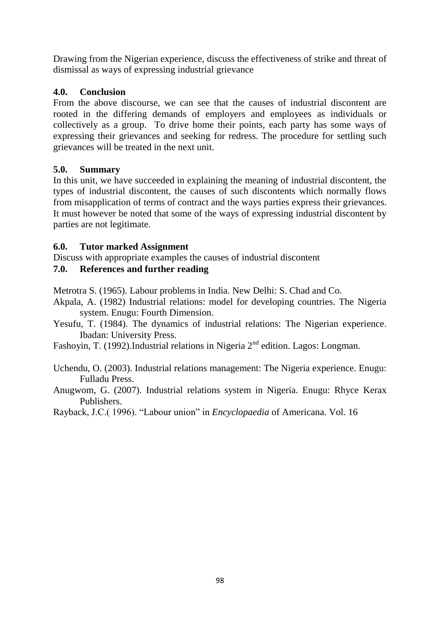Drawing from the Nigerian experience, discuss the effectiveness of strike and threat of dismissal as ways of expressing industrial grievance

# **4.0. Conclusion**

From the above discourse, we can see that the causes of industrial discontent are rooted in the differing demands of employers and employees as individuals or collectively as a group. To drive home their points, each party has some ways of expressing their grievances and seeking for redress. The procedure for settling such grievances will be treated in the next unit.

## **5.0. Summary**

In this unit, we have succeeded in explaining the meaning of industrial discontent, the types of industrial discontent, the causes of such discontents which normally flows from misapplication of terms of contract and the ways parties express their grievances. It must however be noted that some of the ways of expressing industrial discontent by parties are not legitimate.

## **6.0. Tutor marked Assignment**

Discuss with appropriate examples the causes of industrial discontent

# **7.0. References and further reading**

Metrotra S. (1965). Labour problems in India. New Delhi: S. Chad and Co.

- Akpala, A. (1982) Industrial relations: model for developing countries. The Nigeria system. Enugu: Fourth Dimension.
- Yesufu, T. (1984). The dynamics of industrial relations: The Nigerian experience. Ibadan: University Press.
- Fashoyin, T. (1992).Industrial relations in Nigeria 2nd edition. Lagos: Longman.

Uchendu, O. (2003). Industrial relations management: The Nigeria experience. Enugu: Fulladu Press.

Anugwom, G. (2007). Industrial relations system in Nigeria. Enugu: Rhyce Kerax Publishers.

Rayback, J.C.( 1996). "Labour union" in *Encyclopaedia* of Americana. Vol. 16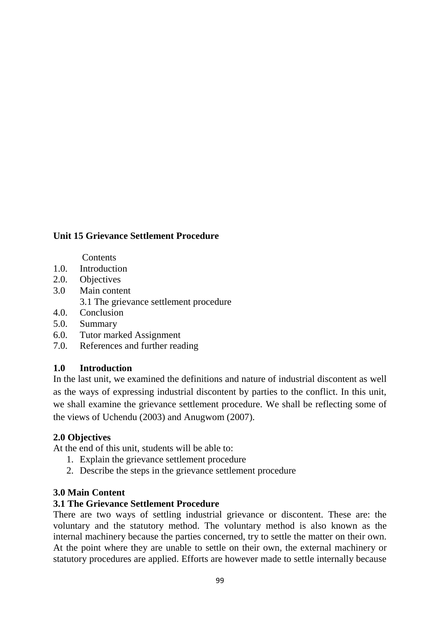# **Unit 15 Grievance Settlement Procedure**

#### **Contents**

- 1.0. Introduction
- 2.0. Objectives
- 3.0 Main content 3.1 The grievance settlement procedure
- 4.0. Conclusion
- 5.0. Summary
- 6.0. Tutor marked Assignment
- 7.0. References and further reading

### **1.0 Introduction**

In the last unit, we examined the definitions and nature of industrial discontent as well as the ways of expressing industrial discontent by parties to the conflict. In this unit, we shall examine the grievance settlement procedure. We shall be reflecting some of the views of Uchendu (2003) and Anugwom (2007).

### **2.0 Objectives**

At the end of this unit, students will be able to:

- 1. Explain the grievance settlement procedure
- 2. Describe the steps in the grievance settlement procedure

### **3.0 Main Content**

### **3.1 The Grievance Settlement Procedure**

There are two ways of settling industrial grievance or discontent. These are: the voluntary and the statutory method. The voluntary method is also known as the internal machinery because the parties concerned, try to settle the matter on their own. At the point where they are unable to settle on their own, the external machinery or statutory procedures are applied. Efforts are however made to settle internally because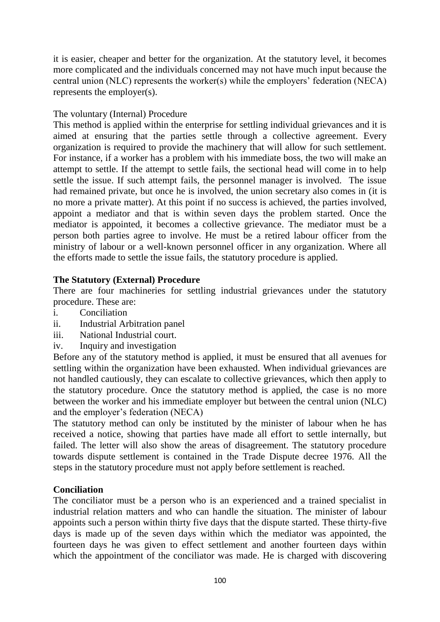it is easier, cheaper and better for the organization. At the statutory level, it becomes more complicated and the individuals concerned may not have much input because the central union (NLC) represents the worker(s) while the employers' federation (NECA) represents the employer(s).

## The voluntary (Internal) Procedure

This method is applied within the enterprise for settling individual grievances and it is aimed at ensuring that the parties settle through a collective agreement. Every organization is required to provide the machinery that will allow for such settlement. For instance, if a worker has a problem with his immediate boss, the two will make an attempt to settle. If the attempt to settle fails, the sectional head will come in to help settle the issue. If such attempt fails, the personnel manager is involved. The issue had remained private, but once he is involved, the union secretary also comes in (it is no more a private matter). At this point if no success is achieved, the parties involved, appoint a mediator and that is within seven days the problem started. Once the mediator is appointed, it becomes a collective grievance. The mediator must be a person both parties agree to involve. He must be a retired labour officer from the ministry of labour or a well-known personnel officer in any organization. Where all the efforts made to settle the issue fails, the statutory procedure is applied.

## **The Statutory (External) Procedure**

There are four machineries for settling industrial grievances under the statutory procedure. These are:

- i. Conciliation
- ii. Industrial Arbitration panel
- iii. National Industrial court.
- iv. Inquiry and investigation

Before any of the statutory method is applied, it must be ensured that all avenues for settling within the organization have been exhausted. When individual grievances are not handled cautiously, they can escalate to collective grievances, which then apply to the statutory procedure. Once the statutory method is applied, the case is no more between the worker and his immediate employer but between the central union (NLC) and the employer's federation (NECA)

The statutory method can only be instituted by the minister of labour when he has received a notice, showing that parties have made all effort to settle internally, but failed. The letter will also show the areas of disagreement. The statutory procedure towards dispute settlement is contained in the Trade Dispute decree 1976. All the steps in the statutory procedure must not apply before settlement is reached.

## **Conciliation**

The conciliator must be a person who is an experienced and a trained specialist in industrial relation matters and who can handle the situation. The minister of labour appoints such a person within thirty five days that the dispute started. These thirty-five days is made up of the seven days within which the mediator was appointed, the fourteen days he was given to effect settlement and another fourteen days within which the appointment of the conciliator was made. He is charged with discovering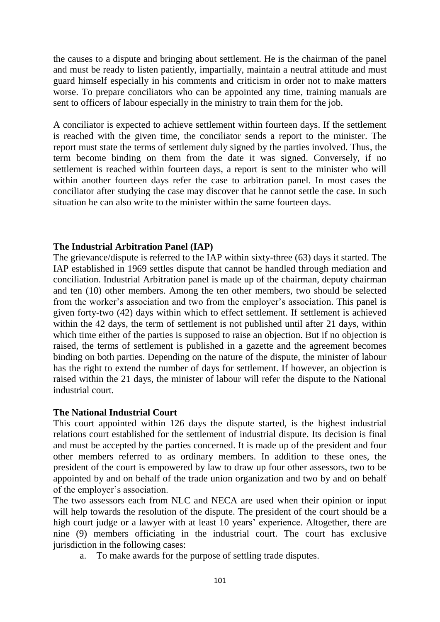the causes to a dispute and bringing about settlement. He is the chairman of the panel and must be ready to listen patiently, impartially, maintain a neutral attitude and must guard himself especially in his comments and criticism in order not to make matters worse. To prepare conciliators who can be appointed any time, training manuals are sent to officers of labour especially in the ministry to train them for the job.

A conciliator is expected to achieve settlement within fourteen days. If the settlement is reached with the given time, the conciliator sends a report to the minister. The report must state the terms of settlement duly signed by the parties involved. Thus, the term become binding on them from the date it was signed. Conversely, if no settlement is reached within fourteen days, a report is sent to the minister who will within another fourteen days refer the case to arbitration panel. In most cases the conciliator after studying the case may discover that he cannot settle the case. In such situation he can also write to the minister within the same fourteen days.

### **The Industrial Arbitration Panel (IAP)**

The grievance/dispute is referred to the IAP within sixty-three (63) days it started. The IAP established in 1969 settles dispute that cannot be handled through mediation and conciliation. Industrial Arbitration panel is made up of the chairman, deputy chairman and ten (10) other members. Among the ten other members, two should be selected from the worker's association and two from the employer's association. This panel is given forty-two (42) days within which to effect settlement. If settlement is achieved within the 42 days, the term of settlement is not published until after 21 days, within which time either of the parties is supposed to raise an objection. But if no objection is raised, the terms of settlement is published in a gazette and the agreement becomes binding on both parties. Depending on the nature of the dispute, the minister of labour has the right to extend the number of days for settlement. If however, an objection is raised within the 21 days, the minister of labour will refer the dispute to the National industrial court.

### **The National Industrial Court**

This court appointed within 126 days the dispute started, is the highest industrial relations court established for the settlement of industrial dispute. Its decision is final and must be accepted by the parties concerned. It is made up of the president and four other members referred to as ordinary members. In addition to these ones, the president of the court is empowered by law to draw up four other assessors, two to be appointed by and on behalf of the trade union organization and two by and on behalf of the employer's association.

The two assessors each from NLC and NECA are used when their opinion or input will help towards the resolution of the dispute. The president of the court should be a high court judge or a lawyer with at least 10 years' experience. Altogether, there are nine (9) members officiating in the industrial court. The court has exclusive jurisdiction in the following cases:

a. To make awards for the purpose of settling trade disputes.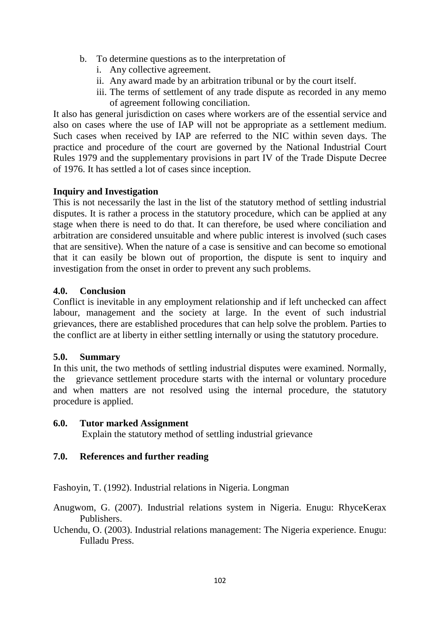- b. To determine questions as to the interpretation of
	- i. Any collective agreement.
	- ii. Any award made by an arbitration tribunal or by the court itself.
	- iii. The terms of settlement of any trade dispute as recorded in any memo of agreement following conciliation.

It also has general jurisdiction on cases where workers are of the essential service and also on cases where the use of IAP will not be appropriate as a settlement medium. Such cases when received by IAP are referred to the NIC within seven days. The practice and procedure of the court are governed by the National Industrial Court Rules 1979 and the supplementary provisions in part IV of the Trade Dispute Decree of 1976. It has settled a lot of cases since inception.

### **Inquiry and Investigation**

This is not necessarily the last in the list of the statutory method of settling industrial disputes. It is rather a process in the statutory procedure, which can be applied at any stage when there is need to do that. It can therefore, be used where conciliation and arbitration are considered unsuitable and where public interest is involved (such cases that are sensitive). When the nature of a case is sensitive and can become so emotional that it can easily be blown out of proportion, the dispute is sent to inquiry and investigation from the onset in order to prevent any such problems.

### **4.0. Conclusion**

Conflict is inevitable in any employment relationship and if left unchecked can affect labour, management and the society at large. In the event of such industrial grievances, there are established procedures that can help solve the problem. Parties to the conflict are at liberty in either settling internally or using the statutory procedure.

### **5.0. Summary**

In this unit, the two methods of settling industrial disputes were examined. Normally, the grievance settlement procedure starts with the internal or voluntary procedure and when matters are not resolved using the internal procedure, the statutory procedure is applied.

### **6.0. Tutor marked Assignment**

Explain the statutory method of settling industrial grievance

## **7.0. References and further reading**

Fashoyin, T. (1992). Industrial relations in Nigeria. Longman

Anugwom, G. (2007). Industrial relations system in Nigeria. Enugu: RhyceKerax Publishers.

Uchendu, O. (2003). Industrial relations management: The Nigeria experience. Enugu: Fulladu Press.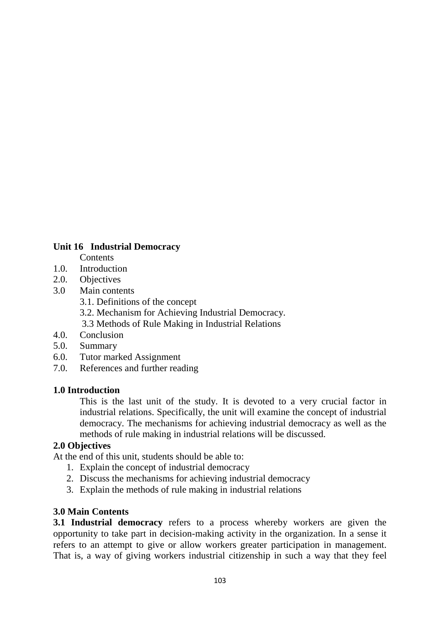### **Unit 16 Industrial Democracy**

- **Contents**
- 1.0. Introduction
- 2.0. Objectives
- 3.0 Main contents
	- 3.1. Definitions of the concept
	- 3.2. Mechanism for Achieving Industrial Democracy.
	- 3.3 Methods of Rule Making in Industrial Relations
- 4.0. Conclusion
- 5.0. Summary
- 6.0. Tutor marked Assignment
- 7.0. References and further reading

### **1.0 Introduction**

This is the last unit of the study. It is devoted to a very crucial factor in industrial relations. Specifically, the unit will examine the concept of industrial democracy. The mechanisms for achieving industrial democracy as well as the methods of rule making in industrial relations will be discussed.

## **2.0 Objectives**

At the end of this unit, students should be able to:

- 1. Explain the concept of industrial democracy
- 2. Discuss the mechanisms for achieving industrial democracy
- 3. Explain the methods of rule making in industrial relations

## **3.0 Main Contents**

**3.1 Industrial democracy** refers to a process whereby workers are given the opportunity to take part in decision-making activity in the organization. In a sense it refers to an attempt to give or allow workers greater participation in management. That is, a way of giving workers industrial citizenship in such a way that they feel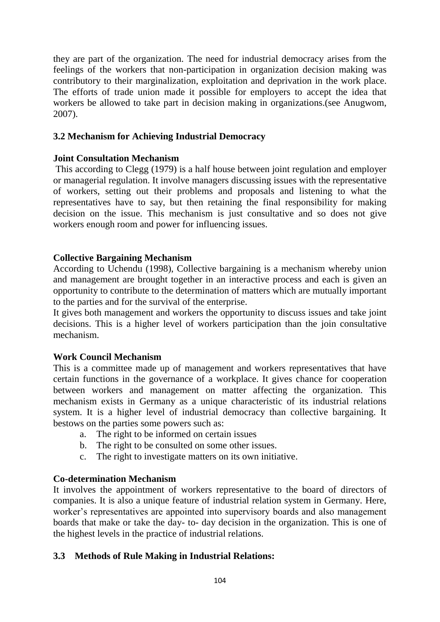they are part of the organization. The need for industrial democracy arises from the feelings of the workers that non-participation in organization decision making was contributory to their marginalization, exploitation and deprivation in the work place. The efforts of trade union made it possible for employers to accept the idea that workers be allowed to take part in decision making in organizations.(see Anugwom, 2007).

## **3.2 Mechanism for Achieving Industrial Democracy**

## **Joint Consultation Mechanism**

This according to Clegg (1979) is a half house between joint regulation and employer or managerial regulation. It involve managers discussing issues with the representative of workers, setting out their problems and proposals and listening to what the representatives have to say, but then retaining the final responsibility for making decision on the issue. This mechanism is just consultative and so does not give workers enough room and power for influencing issues.

## **Collective Bargaining Mechanism**

According to Uchendu (1998), Collective bargaining is a mechanism whereby union and management are brought together in an interactive process and each is given an opportunity to contribute to the determination of matters which are mutually important to the parties and for the survival of the enterprise.

It gives both management and workers the opportunity to discuss issues and take joint decisions. This is a higher level of workers participation than the join consultative mechanism.

## **Work Council Mechanism**

This is a committee made up of management and workers representatives that have certain functions in the governance of a workplace. It gives chance for cooperation between workers and management on matter affecting the organization. This mechanism exists in Germany as a unique characteristic of its industrial relations system. It is a higher level of industrial democracy than collective bargaining. It bestows on the parties some powers such as:

- a. The right to be informed on certain issues
- b. The right to be consulted on some other issues.
- c. The right to investigate matters on its own initiative.

# **Co-determination Mechanism**

It involves the appointment of workers representative to the board of directors of companies. It is also a unique feature of industrial relation system in Germany. Here, worker's representatives are appointed into supervisory boards and also management boards that make or take the day- to- day decision in the organization. This is one of the highest levels in the practice of industrial relations.

# **3.3 Methods of Rule Making in Industrial Relations:**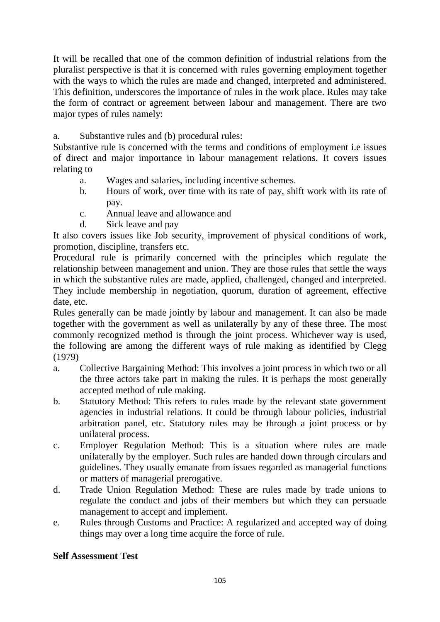It will be recalled that one of the common definition of industrial relations from the pluralist perspective is that it is concerned with rules governing employment together with the ways to which the rules are made and changed, interpreted and administered. This definition, underscores the importance of rules in the work place. Rules may take the form of contract or agreement between labour and management. There are two major types of rules namely:

# a. Substantive rules and (b) procedural rules:

Substantive rule is concerned with the terms and conditions of employment i.e issues of direct and major importance in labour management relations. It covers issues relating to

- a. Wages and salaries, including incentive schemes.
- b. Hours of work, over time with its rate of pay, shift work with its rate of pay.
- c. Annual leave and allowance and
- d. Sick leave and pay

It also covers issues like Job security, improvement of physical conditions of work, promotion, discipline, transfers etc.

Procedural rule is primarily concerned with the principles which regulate the relationship between management and union. They are those rules that settle the ways in which the substantive rules are made, applied, challenged, changed and interpreted. They include membership in negotiation, quorum, duration of agreement, effective date, etc.

Rules generally can be made jointly by labour and management. It can also be made together with the government as well as unilaterally by any of these three. The most commonly recognized method is through the joint process. Whichever way is used, the following are among the different ways of rule making as identified by Clegg (1979)

- a. Collective Bargaining Method: This involves a joint process in which two or all the three actors take part in making the rules. It is perhaps the most generally accepted method of rule making.
- b. Statutory Method: This refers to rules made by the relevant state government agencies in industrial relations. It could be through labour policies, industrial arbitration panel, etc. Statutory rules may be through a joint process or by unilateral process.
- c. Employer Regulation Method: This is a situation where rules are made unilaterally by the employer. Such rules are handed down through circulars and guidelines. They usually emanate from issues regarded as managerial functions or matters of managerial prerogative.
- d. Trade Union Regulation Method: These are rules made by trade unions to regulate the conduct and jobs of their members but which they can persuade management to accept and implement.
- e. Rules through Customs and Practice: A regularized and accepted way of doing things may over a long time acquire the force of rule.

# **Self Assessment Test**